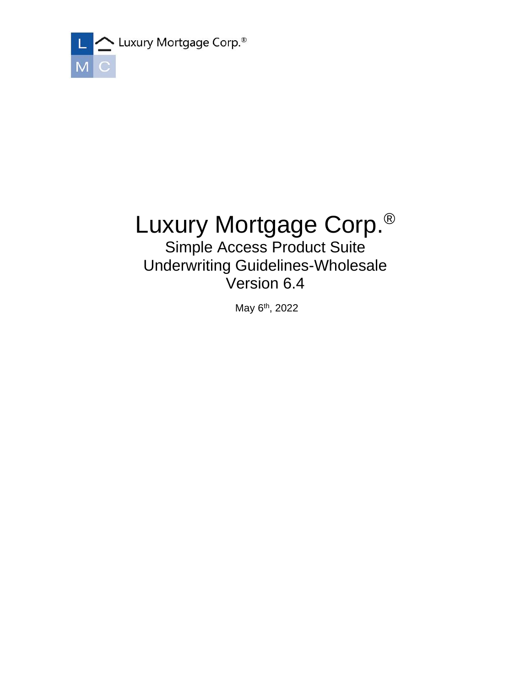

# Luxury Mortgage Corp.®

Simple Access Product Suite Underwriting Guidelines-Wholesale Version 6.4

May 6<sup>th</sup>, 2022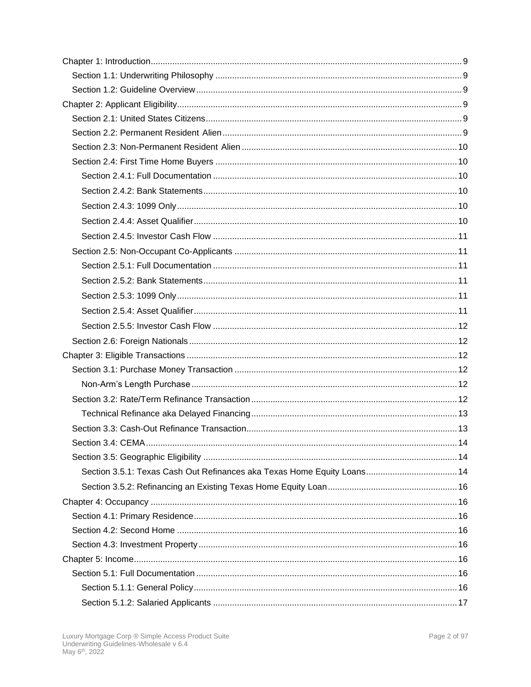| Section 3.5.1: Texas Cash Out Refinances aka Texas Home Equity Loans 14 |  |
|-------------------------------------------------------------------------|--|
|                                                                         |  |
|                                                                         |  |
|                                                                         |  |
|                                                                         |  |
|                                                                         |  |
|                                                                         |  |
|                                                                         |  |
|                                                                         |  |
|                                                                         |  |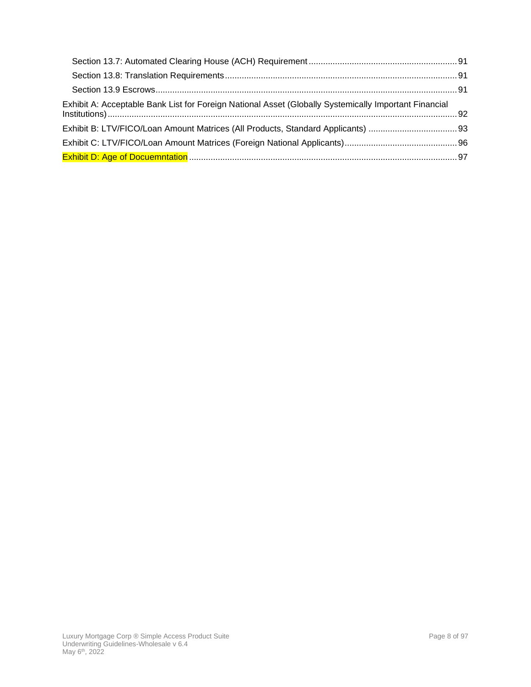| Exhibit A: Acceptable Bank List for Foreign National Asset (Globally Systemically Important Financial |  |
|-------------------------------------------------------------------------------------------------------|--|
|                                                                                                       |  |
|                                                                                                       |  |
|                                                                                                       |  |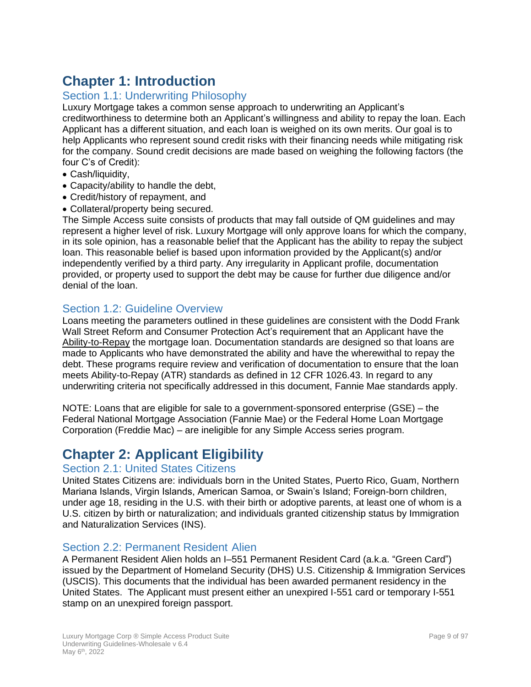# <span id="page-8-0"></span>**Chapter 1: Introduction**

# <span id="page-8-1"></span>Section 1.1: Underwriting Philosophy

Luxury Mortgage takes a common sense approach to underwriting an Applicant's creditworthiness to determine both an Applicant's willingness and ability to repay the loan. Each Applicant has a different situation, and each loan is weighed on its own merits. Our goal is to help Applicants who represent sound credit risks with their financing needs while mitigating risk for the company. Sound credit decisions are made based on weighing the following factors (the four C's of Credit):

- Cash/liquidity,
- Capacity/ability to handle the debt,
- Credit/history of repayment, and
- Collateral/property being secured.

The Simple Access suite consists of products that may fall outside of QM guidelines and may represent a higher level of risk. Luxury Mortgage will only approve loans for which the company, in its sole opinion, has a reasonable belief that the Applicant has the ability to repay the subject loan. This reasonable belief is based upon information provided by the Applicant(s) and/or independently verified by a third party. Any irregularity in Applicant profile, documentation provided, or property used to support the debt may be cause for further due diligence and/or denial of the loan.

# <span id="page-8-2"></span>Section 1.2: Guideline Overview

Loans meeting the parameters outlined in these guidelines are consistent with the Dodd Frank Wall Street Reform and Consumer Protection Act's requirement that an Applicant have the Ability-to-Repay the mortgage loan. Documentation standards are designed so that loans are made to Applicants who have demonstrated the ability and have the wherewithal to repay the debt. These programs require review and verification of documentation to ensure that the loan meets Ability-to-Repay (ATR) standards as defined in 12 CFR 1026.43. In regard to any underwriting criteria not specifically addressed in this document, Fannie Mae standards apply.

NOTE: Loans that are eligible for sale to a government-sponsored enterprise (GSE) – the Federal National Mortgage Association (Fannie Mae) or the Federal Home Loan Mortgage Corporation (Freddie Mac) – are ineligible for any Simple Access series program.

# <span id="page-8-3"></span>**Chapter 2: Applicant Eligibility**

# <span id="page-8-4"></span>Section 2.1: United States Citizens

United States Citizens are: individuals born in the United States, Puerto Rico, Guam, Northern Mariana Islands, Virgin Islands, American Samoa, or Swain's Island; Foreign-born children, under age 18, residing in the U.S. with their birth or adoptive parents, at least one of whom is a U.S. citizen by birth or naturalization; and individuals granted citizenship status by Immigration and Naturalization Services (INS).

# <span id="page-8-5"></span>Section 2.2: Permanent Resident Alien

A Permanent Resident Alien holds an I–551 Permanent Resident Card (a.k.a. "Green Card") issued by the Department of Homeland Security (DHS) U.S. Citizenship & Immigration Services (USCIS). This documents that the individual has been awarded permanent residency in the United States. The Applicant must present either an unexpired I-551 card or temporary I-551 stamp on an unexpired foreign passport.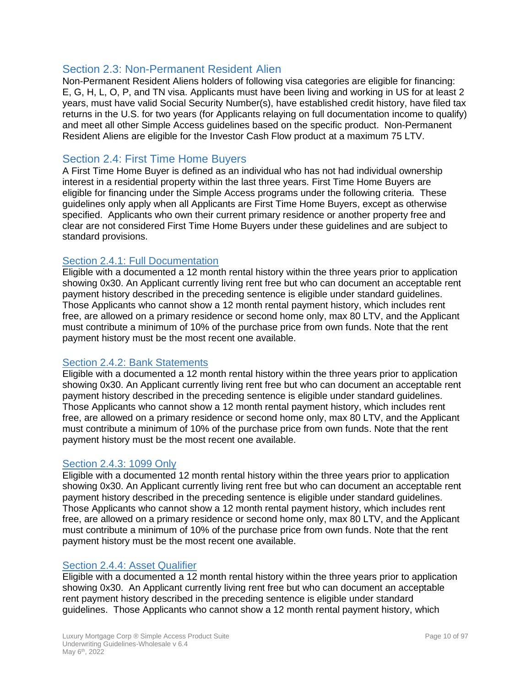# <span id="page-9-0"></span>Section 2.3: Non-Permanent Resident Alien

Non-Permanent Resident Aliens holders of following visa categories are eligible for financing: E, G, H, L, O, P, and TN visa. Applicants must have been living and working in US for at least 2 years, must have valid Social Security Number(s), have established credit history, have filed tax returns in the U.S. for two years (for Applicants relaying on full documentation income to qualify) and meet all other Simple Access guidelines based on the specific product. Non-Permanent Resident Aliens are eligible for the Investor Cash Flow product at a maximum 75 LTV.

# <span id="page-9-1"></span>Section 2.4: First Time Home Buyers

A First Time Home Buyer is defined as an individual who has not had individual ownership interest in a residential property within the last three years. First Time Home Buyers are eligible for financing under the Simple Access programs under the following criteria. These guidelines only apply when all Applicants are First Time Home Buyers, except as otherwise specified. Applicants who own their current primary residence or another property free and clear are not considered First Time Home Buyers under these guidelines and are subject to standard provisions.

#### <span id="page-9-2"></span>Section 2.4.1: Full Documentation

Eligible with a documented a 12 month rental history within the three years prior to application showing 0x30. An Applicant currently living rent free but who can document an acceptable rent payment history described in the preceding sentence is eligible under standard guidelines. Those Applicants who cannot show a 12 month rental payment history, which includes rent free, are allowed on a primary residence or second home only, max 80 LTV, and the Applicant must contribute a minimum of 10% of the purchase price from own funds. Note that the rent payment history must be the most recent one available.

#### <span id="page-9-3"></span>Section 2.4.2: Bank Statements

Eligible with a documented a 12 month rental history within the three years prior to application showing 0x30. An Applicant currently living rent free but who can document an acceptable rent payment history described in the preceding sentence is eligible under standard guidelines. Those Applicants who cannot show a 12 month rental payment history, which includes rent free, are allowed on a primary residence or second home only, max 80 LTV, and the Applicant must contribute a minimum of 10% of the purchase price from own funds. Note that the rent payment history must be the most recent one available.

#### <span id="page-9-4"></span>Section 2.4.3: 1099 Only

Eligible with a documented 12 month rental history within the three years prior to application showing 0x30. An Applicant currently living rent free but who can document an acceptable rent payment history described in the preceding sentence is eligible under standard guidelines. Those Applicants who cannot show a 12 month rental payment history, which includes rent free, are allowed on a primary residence or second home only, max 80 LTV, and the Applicant must contribute a minimum of 10% of the purchase price from own funds. Note that the rent payment history must be the most recent one available.

#### <span id="page-9-5"></span>Section 2.4.4: Asset Qualifier

Eligible with a documented a 12 month rental history within the three years prior to application showing 0x30. An Applicant currently living rent free but who can document an acceptable rent payment history described in the preceding sentence is eligible under standard guidelines. Those Applicants who cannot show a 12 month rental payment history, which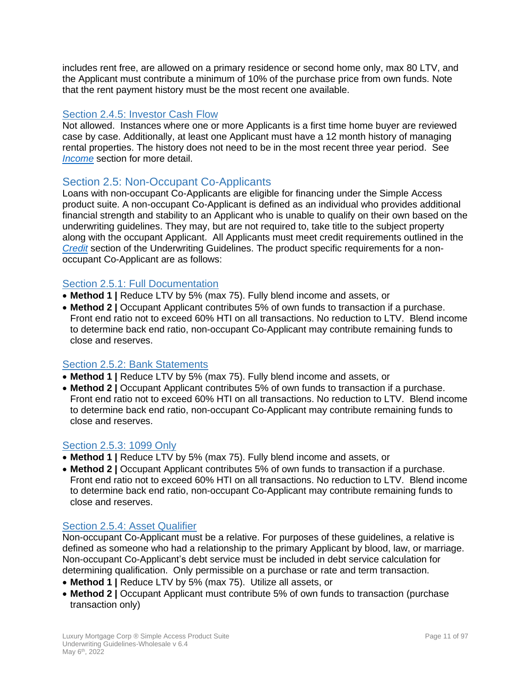includes rent free, are allowed on a primary residence or second home only, max 80 LTV, and the Applicant must contribute a minimum of 10% of the purchase price from own funds. Note that the rent payment history must be the most recent one available.

#### <span id="page-10-0"></span>Section 2.4.5: Investor Cash Flow

Not allowed. Instances where one or more Applicants is a first time home buyer are reviewed case by case. Additionally, at least one Applicant must have a 12 month history of managing rental properties. The history does not need to be in the most recent three year period. See *[Income](#page-43-2)* section for more detail.

# <span id="page-10-1"></span>Section 2.5: Non-Occupant Co-Applicants

Loans with non-occupant Co-Applicants are eligible for financing under the Simple Access product suite. A non-occupant Co-Applicant is defined as an individual who provides additional financial strength and stability to an Applicant who is unable to qualify on their own based on the underwriting guidelines. They may, but are not required to, take title to the subject property along with the occupant Applicant. All Applicants must meet credit requirements outlined in the *[Credit](#page-55-0)* section of the Underwriting Guidelines. The product specific requirements for a nonoccupant Co-Applicant are as follows:

#### <span id="page-10-2"></span>Section 2.5.1: Full Documentation

- **Method 1 |** Reduce LTV by 5% (max 75). Fully blend income and assets, or
- **Method 2 |** Occupant Applicant contributes 5% of own funds to transaction if a purchase. Front end ratio not to exceed 60% HTI on all transactions. No reduction to LTV. Blend income to determine back end ratio, non-occupant Co-Applicant may contribute remaining funds to close and reserves.

# <span id="page-10-3"></span>Section 2.5.2: Bank Statements

- **Method 1 |** Reduce LTV by 5% (max 75). Fully blend income and assets, or
- **Method 2 |** Occupant Applicant contributes 5% of own funds to transaction if a purchase. Front end ratio not to exceed 60% HTI on all transactions. No reduction to LTV. Blend income to determine back end ratio, non-occupant Co-Applicant may contribute remaining funds to close and reserves.

#### <span id="page-10-4"></span>Section 2.5.3: 1099 Only

- **Method 1 |** Reduce LTV by 5% (max 75). Fully blend income and assets, or
- **Method 2 |** Occupant Applicant contributes 5% of own funds to transaction if a purchase. Front end ratio not to exceed 60% HTI on all transactions. No reduction to LTV. Blend income to determine back end ratio, non-occupant Co-Applicant may contribute remaining funds to close and reserves.

## <span id="page-10-5"></span>Section 2.5.4: Asset Qualifier

Non-occupant Co-Applicant must be a relative. For purposes of these guidelines, a relative is defined as someone who had a relationship to the primary Applicant by blood, law, or marriage. Non-occupant Co-Applicant's debt service must be included in debt service calculation for determining qualification. Only permissible on a purchase or rate and term transaction.

- **Method 1 |** Reduce LTV by 5% (max 75). Utilize all assets, or
- **Method 2 |** Occupant Applicant must contribute 5% of own funds to transaction (purchase transaction only)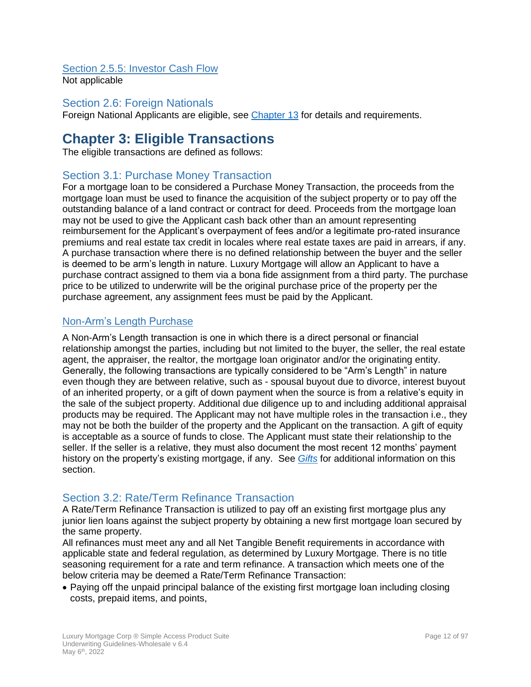#### <span id="page-11-0"></span>Section 2.5.5: Investor Cash Flow Not applicable

# <span id="page-11-1"></span>Section 2.6: Foreign Nationals

<span id="page-11-2"></span>Foreign National Applicants are eligible, see [Chapter 13](#page-88-0) for details and requirements.

# **Chapter 3: Eligible Transactions**

The eligible transactions are defined as follows:

# <span id="page-11-3"></span>Section 3.1: Purchase Money Transaction

For a mortgage loan to be considered a Purchase Money Transaction, the proceeds from the mortgage loan must be used to finance the acquisition of the subject property or to pay off the outstanding balance of a land contract or contract for deed. Proceeds from the mortgage loan may not be used to give the Applicant cash back other than an amount representing reimbursement for the Applicant's overpayment of fees and/or a legitimate pro-rated insurance premiums and real estate tax credit in locales where real estate taxes are paid in arrears, if any. A purchase transaction where there is no defined relationship between the buyer and the seller is deemed to be arm's length in nature. Luxury Mortgage will allow an Applicant to have a purchase contract assigned to them via a bona fide assignment from a third party. The purchase price to be utilized to underwrite will be the original purchase price of the property per the purchase agreement, any assignment fees must be paid by the Applicant.

# <span id="page-11-4"></span>Non-Arm's Length Purchase

A Non-Arm's Length transaction is one in which there is a direct personal or financial relationship amongst the parties, including but not limited to the buyer, the seller, the real estate agent, the appraiser, the realtor, the mortgage loan originator and/or the originating entity. Generally, the following transactions are typically considered to be "Arm's Length" in nature even though they are between relative, such as - spousal buyout due to divorce, interest buyout of an inherited property, or a gift of down payment when the source is from a relative's equity in the sale of the subject property. Additional due diligence up to and including additional appraisal products may be required. The Applicant may not have multiple roles in the transaction i.e., they may not be both the builder of the property and the Applicant on the transaction. A gift of equity is acceptable as a source of funds to close. The Applicant must state their relationship to the seller. If the seller is a relative, they must also document the most recent 12 months' payment history on the property's existing mortgage, if any. See *[Gifts](#page-50-5)* for additional information on this section.

# <span id="page-11-5"></span>Section 3.2: Rate/Term Refinance Transaction

A Rate/Term Refinance Transaction is utilized to pay off an existing first mortgage plus any junior lien loans against the subject property by obtaining a new first mortgage loan secured by the same property.

All refinances must meet any and all Net Tangible Benefit requirements in accordance with applicable state and federal regulation, as determined by Luxury Mortgage. There is no title seasoning requirement for a rate and term refinance. A transaction which meets one of the below criteria may be deemed a Rate/Term Refinance Transaction:

• Paying off the unpaid principal balance of the existing first mortgage loan including closing costs, prepaid items, and points,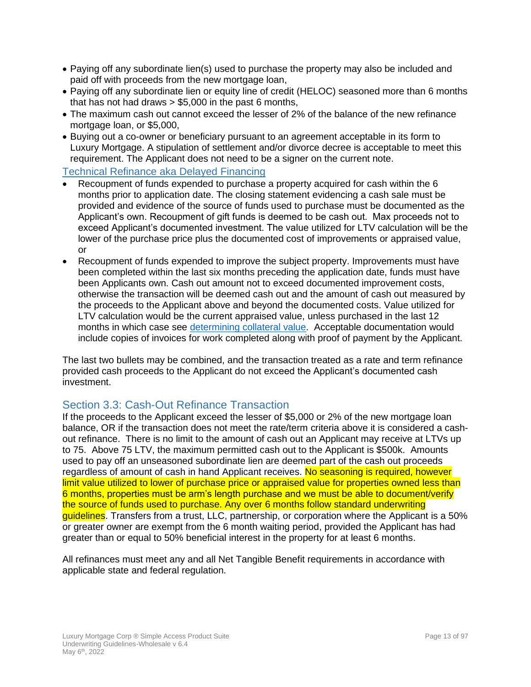- Paying off any subordinate lien(s) used to purchase the property may also be included and paid off with proceeds from the new mortgage loan,
- Paying off any subordinate lien or equity line of credit (HELOC) seasoned more than 6 months that has not had draws > \$5,000 in the past 6 months,
- The maximum cash out cannot exceed the lesser of 2% of the balance of the new refinance mortgage loan, or \$5,000,
- Buying out a co-owner or beneficiary pursuant to an agreement acceptable in its form to Luxury Mortgage. A stipulation of settlement and/or divorce decree is acceptable to meet this requirement. The Applicant does not need to be a signer on the current note.

<span id="page-12-0"></span>Technical Refinance aka Delayed Financing

- Recoupment of funds expended to purchase a property acquired for cash within the 6 months prior to application date. The closing statement evidencing a cash sale must be provided and evidence of the source of funds used to purchase must be documented as the Applicant's own. Recoupment of gift funds is deemed to be cash out. Max proceeds not to exceed Applicant's documented investment. The value utilized for LTV calculation will be the lower of the purchase price plus the documented cost of improvements or appraised value, or
- Recoupment of funds expended to improve the subject property. Improvements must have been completed within the last six months preceding the application date, funds must have been Applicants own. Cash out amount not to exceed documented improvement costs, otherwise the transaction will be deemed cash out and the amount of cash out measured by the proceeds to the Applicant above and beyond the documented costs. Value utilized for LTV calculation would be the current appraised value, unless purchased in the last 12 months in which case see determining collateral value. Acceptable documentation would include copies of invoices for work completed along with proof of payment by the Applicant.

The last two bullets may be combined, and the transaction treated as a rate and term refinance provided cash proceeds to the Applicant do not exceed the Applicant's documented cash investment.

# <span id="page-12-1"></span>Section 3.3: Cash-Out Refinance Transaction

If the proceeds to the Applicant exceed the lesser of \$5,000 or 2% of the new mortgage loan balance, OR if the transaction does not meet the rate/term criteria above it is considered a cashout refinance. There is no limit to the amount of cash out an Applicant may receive at LTVs up to 75. Above 75 LTV, the maximum permitted cash out to the Applicant is \$500k. Amounts used to pay off an unseasoned subordinate lien are deemed part of the cash out proceeds regardless of amount of cash in hand Applicant receives. No seasoning is required, however limit value utilized to lower of purchase price or appraised value for properties owned less than 6 months, properties must be arm's length purchase and we must be able to document/verify the source of funds used to purchase. Any over 6 months follow standard underwriting guidelines. Transfers from a trust, LLC, partnership, or corporation where the Applicant is a 50% or greater owner are exempt from the 6 month waiting period, provided the Applicant has had greater than or equal to 50% beneficial interest in the property for at least 6 months.

All refinances must meet any and all Net Tangible Benefit requirements in accordance with applicable state and federal regulation.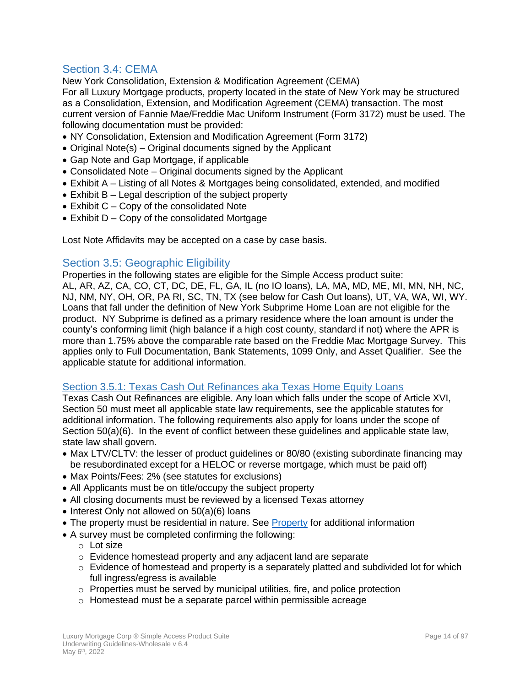# <span id="page-13-0"></span>Section 3.4: CEMA

New York Consolidation, Extension & Modification Agreement (CEMA) For all Luxury Mortgage products, property located in the state of New York may be structured as a Consolidation, Extension, and Modification Agreement (CEMA) transaction. The most current version of Fannie Mae/Freddie Mac Uniform Instrument (Form 3172) must be used. The following documentation must be provided:

- NY Consolidation, Extension and Modification Agreement (Form 3172)
- Original Note(s) Original documents signed by the Applicant
- Gap Note and Gap Mortgage, if applicable
- Consolidated Note Original documents signed by the Applicant
- Exhibit A Listing of all Notes & Mortgages being consolidated, extended, and modified
- Exhibit B Legal description of the subject property
- Exhibit C Copy of the consolidated Note
- Exhibit D Copy of the consolidated Mortgage

Lost Note Affidavits may be accepted on a case by case basis.

# <span id="page-13-1"></span>Section 3.5: Geographic Eligibility

Properties in the following states are eligible for the Simple Access product suite: AL, AR, AZ, CA, CO, CT, DC, DE, FL, GA, IL (no IO loans), LA, MA, MD, ME, MI, MN, NH, NC, NJ, NM, NY, OH, OR, PA RI, SC, TN, TX (see below for Cash Out loans), UT, VA, WA, WI, WY. Loans that fall under the definition of New York Subprime Home Loan are not eligible for the product. NY Subprime is defined as a primary residence where the loan amount is under the county's conforming limit (high balance if a high cost county, standard if not) where the APR is more than 1.75% above the comparable rate based on the Freddie Mac Mortgage Survey. This applies only to Full Documentation, Bank Statements, 1099 Only, and Asset Qualifier. See the applicable statute for additional information.

#### <span id="page-13-2"></span>Section 3.5.1: Texas Cash Out Refinances aka Texas Home Equity Loans

Texas Cash Out Refinances are eligible. Any loan which falls under the scope of Article XVI, Section 50 must meet all applicable state law requirements, see the applicable statutes for additional information. The following requirements also apply for loans under the scope of Section 50(a)(6). In the event of conflict between these guidelines and applicable state law, state law shall govern.

- Max LTV/CLTV: the lesser of product quidelines or 80/80 (existing subordinate financing may be resubordinated except for a HELOC or reverse mortgage, which must be paid off)
- Max Points/Fees: 2% (see statutes for exclusions)
- All Applicants must be on title/occupy the subject property
- All closing documents must be reviewed by a licensed Texas attorney
- Interest Only not allowed on 50(a)(6) loans
- The property must be residential in nature. See Property for additional information
- A survey must be completed confirming the following:
	- o Lot size
	- o Evidence homestead property and any adjacent land are separate
	- $\circ$  Evidence of homestead and property is a separately platted and subdivided lot for which full ingress/egress is available
	- o Properties must be served by municipal utilities, fire, and police protection
	- o Homestead must be a separate parcel within permissible acreage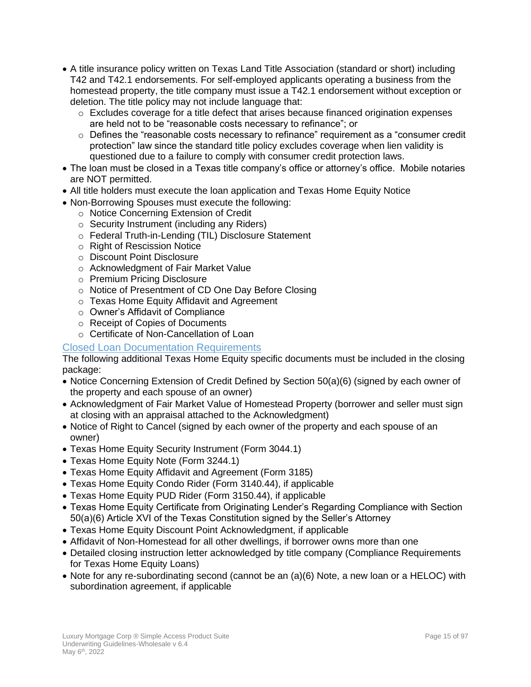- A title insurance policy written on Texas Land Title Association (standard or short) including T42 and T42.1 endorsements. For self-employed applicants operating a business from the homestead property, the title company must issue a T42.1 endorsement without exception or deletion. The title policy may not include language that:
	- $\circ$  Excludes coverage for a title defect that arises because financed origination expenses are held not to be "reasonable costs necessary to refinance"; or
	- $\circ$  Defines the "reasonable costs necessary to refinance" requirement as a "consumer credit" protection" law since the standard title policy excludes coverage when lien validity is questioned due to a failure to comply with consumer credit protection laws.
- The loan must be closed in a Texas title company's office or attorney's office. Mobile notaries are NOT permitted.
- All title holders must execute the loan application and Texas Home Equity Notice
- Non-Borrowing Spouses must execute the following:
	- o Notice Concerning Extension of Credit
	- o Security Instrument (including any Riders)
	- o Federal Truth-in-Lending (TIL) Disclosure Statement
	- o Right of Rescission Notice
	- o Discount Point Disclosure
	- o Acknowledgment of Fair Market Value
	- o Premium Pricing Disclosure
	- o Notice of Presentment of CD One Day Before Closing
	- o Texas Home Equity Affidavit and Agreement
	- o Owner's Affidavit of Compliance
	- o Receipt of Copies of Documents
	- o Certificate of Non-Cancellation of Loan

#### Closed Loan Documentation Requirements

The following additional Texas Home Equity specific documents must be included in the closing package:

- Notice Concerning Extension of Credit Defined by Section 50(a)(6) (signed by each owner of the property and each spouse of an owner)
- Acknowledgment of Fair Market Value of Homestead Property (borrower and seller must sign at closing with an appraisal attached to the Acknowledgment)
- Notice of Right to Cancel (signed by each owner of the property and each spouse of an owner)
- Texas Home Equity Security Instrument (Form 3044.1)
- Texas Home Equity Note (Form 3244.1)
- Texas Home Equity Affidavit and Agreement (Form 3185)
- Texas Home Equity Condo Rider (Form 3140.44), if applicable
- Texas Home Equity PUD Rider (Form 3150.44), if applicable
- Texas Home Equity Certificate from Originating Lender's Regarding Compliance with Section 50(a)(6) Article XVI of the Texas Constitution signed by the Seller's Attorney
- Texas Home Equity Discount Point Acknowledgment, if applicable
- Affidavit of Non-Homestead for all other dwellings, if borrower owns more than one
- Detailed closing instruction letter acknowledged by title company (Compliance Requirements for Texas Home Equity Loans)
- Note for any re-subordinating second (cannot be an (a)(6) Note, a new loan or a HELOC) with subordination agreement, if applicable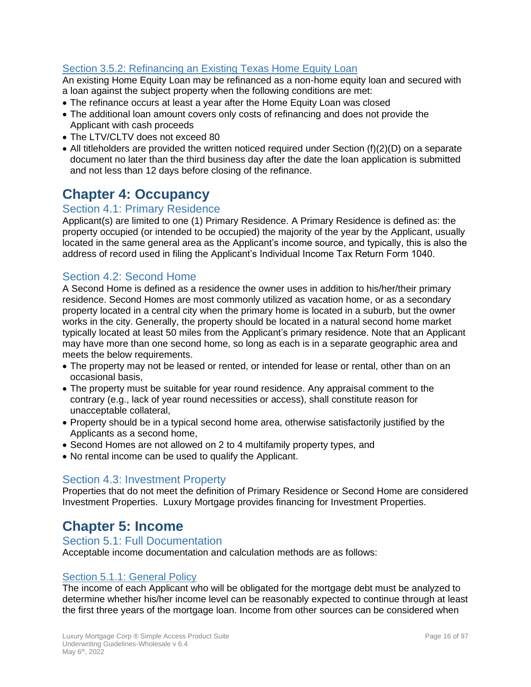# <span id="page-15-0"></span>Section 3.5.2: Refinancing an Existing Texas Home Equity Loan

An existing Home Equity Loan may be refinanced as a non-home equity loan and secured with a loan against the subject property when the following conditions are met:

- The refinance occurs at least a year after the Home Equity Loan was closed
- The additional loan amount covers only costs of refinancing and does not provide the Applicant with cash proceeds
- The LTV/CLTV does not exceed 80
- All titleholders are provided the written noticed required under Section (f)(2)(D) on a separate document no later than the third business day after the date the loan application is submitted and not less than 12 days before closing of the refinance.

# <span id="page-15-1"></span>**Chapter 4: Occupancy**

# <span id="page-15-2"></span>Section 4.1: Primary Residence

Applicant(s) are limited to one (1) Primary Residence. A Primary Residence is defined as: the property occupied (or intended to be occupied) the majority of the year by the Applicant, usually located in the same general area as the Applicant's income source, and typically, this is also the address of record used in filing the Applicant's Individual Income Tax Return Form 1040.

# <span id="page-15-3"></span>Section 4.2: Second Home

A Second Home is defined as a residence the owner uses in addition to his/her/their primary residence. Second Homes are most commonly utilized as vacation home, or as a secondary property located in a central city when the primary home is located in a suburb, but the owner works in the city. Generally, the property should be located in a natural second home market typically located at least 50 miles from the Applicant's primary residence. Note that an Applicant may have more than one second home, so long as each is in a separate geographic area and meets the below requirements.

- The property may not be leased or rented, or intended for lease or rental, other than on an occasional basis,
- The property must be suitable for year round residence. Any appraisal comment to the contrary (e.g., lack of year round necessities or access), shall constitute reason for unacceptable collateral,
- Property should be in a typical second home area, otherwise satisfactorily justified by the Applicants as a second home,
- Second Homes are not allowed on 2 to 4 multifamily property types, and
- No rental income can be used to qualify the Applicant.

# <span id="page-15-4"></span>Section 4.3: Investment Property

Properties that do not meet the definition of Primary Residence or Second Home are considered Investment Properties. Luxury Mortgage provides financing for Investment Properties.

# <span id="page-15-5"></span>**Chapter 5: Income**

#### <span id="page-15-6"></span>Section 5.1: Full Documentation

Acceptable income documentation and calculation methods are as follows:

# <span id="page-15-7"></span>Section 5.1.1: General Policy

The income of each Applicant who will be obligated for the mortgage debt must be analyzed to determine whether his/her income level can be reasonably expected to continue through at least the first three years of the mortgage loan. Income from other sources can be considered when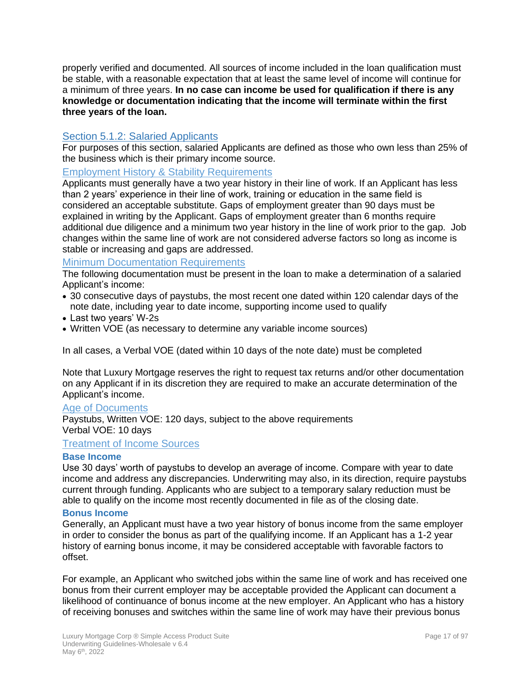properly verified and documented. All sources of income included in the loan qualification must be stable, with a reasonable expectation that at least the same level of income will continue for a minimum of three years. **In no case can income be used for qualification if there is any knowledge or documentation indicating that the income will terminate within the first three years of the loan.**

## <span id="page-16-0"></span>Section 5.1.2: Salaried Applicants

For purposes of this section, salaried Applicants are defined as those who own less than 25% of the business which is their primary income source.

#### Employment History & Stability Requirements

Applicants must generally have a two year history in their line of work. If an Applicant has less than 2 years' experience in their line of work, training or education in the same field is considered an acceptable substitute. Gaps of employment greater than 90 days must be explained in writing by the Applicant. Gaps of employment greater than 6 months require additional due diligence and a minimum two year history in the line of work prior to the gap. Job changes within the same line of work are not considered adverse factors so long as income is stable or increasing and gaps are addressed.

#### <span id="page-16-1"></span>Minimum Documentation Requirements

The following documentation must be present in the loan to make a determination of a salaried Applicant's income:

- 30 consecutive days of paystubs, the most recent one dated within 120 calendar days of the note date, including year to date income, supporting income used to qualify
- Last two years' W-2s
- Written VOE (as necessary to determine any variable income sources)

In all cases, a Verbal VOE (dated within 10 days of the note date) must be completed

Note that Luxury Mortgage reserves the right to request tax returns and/or other documentation on any Applicant if in its discretion they are required to make an accurate determination of the Applicant's income.

#### Age of Documents

Paystubs, Written VOE: 120 days, subject to the above requirements Verbal VOE: 10 days

#### Treatment of Income Sources

#### **Base Income**

Use 30 days' worth of paystubs to develop an average of income. Compare with year to date income and address any discrepancies. Underwriting may also, in its direction, require paystubs current through funding. Applicants who are subject to a temporary salary reduction must be able to qualify on the income most recently documented in file as of the closing date.

#### **Bonus Income**

Generally, an Applicant must have a two year history of bonus income from the same employer in order to consider the bonus as part of the qualifying income. If an Applicant has a 1-2 year history of earning bonus income, it may be considered acceptable with favorable factors to offset.

For example, an Applicant who switched jobs within the same line of work and has received one bonus from their current employer may be acceptable provided the Applicant can document a likelihood of continuance of bonus income at the new employer. An Applicant who has a history of receiving bonuses and switches within the same line of work may have their previous bonus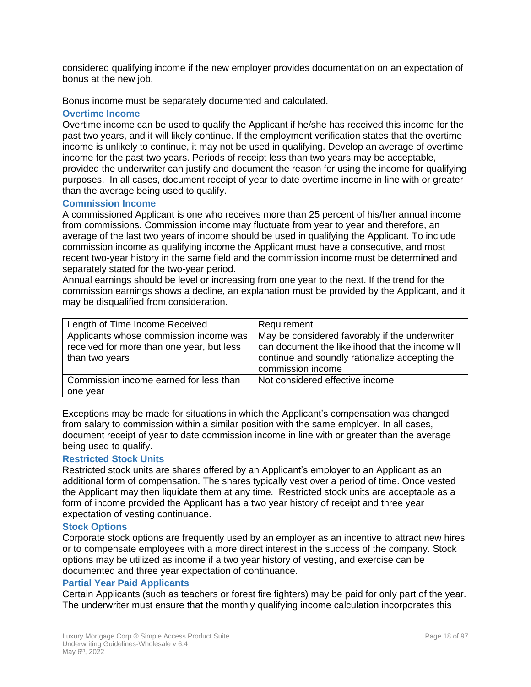considered qualifying income if the new employer provides documentation on an expectation of bonus at the new job.

Bonus income must be separately documented and calculated.

#### **Overtime Income**

Overtime income can be used to qualify the Applicant if he/she has received this income for the past two years, and it will likely continue. If the employment verification states that the overtime income is unlikely to continue, it may not be used in qualifying. Develop an average of overtime income for the past two years. Periods of receipt less than two years may be acceptable, provided the underwriter can justify and document the reason for using the income for qualifying purposes. In all cases, document receipt of year to date overtime income in line with or greater than the average being used to qualify.

#### **Commission Income**

A commissioned Applicant is one who receives more than 25 percent of his/her annual income from commissions. Commission income may fluctuate from year to year and therefore, an average of the last two years of income should be used in qualifying the Applicant. To include commission income as qualifying income the Applicant must have a consecutive, and most recent two-year history in the same field and the commission income must be determined and separately stated for the two-year period.

Annual earnings should be level or increasing from one year to the next. If the trend for the commission earnings shows a decline, an explanation must be provided by the Applicant, and it may be disqualified from consideration.

| Length of Time Income Received                                                                        | Requirement                                                                                                                                                               |
|-------------------------------------------------------------------------------------------------------|---------------------------------------------------------------------------------------------------------------------------------------------------------------------------|
| Applicants whose commission income was<br>received for more than one year, but less<br>than two years | May be considered favorably if the underwriter<br>can document the likelihood that the income will<br>continue and soundly rationalize accepting the<br>commission income |
| Commission income earned for less than<br>one year                                                    | Not considered effective income                                                                                                                                           |

Exceptions may be made for situations in which the Applicant's compensation was changed from salary to commission within a similar position with the same employer. In all cases, document receipt of year to date commission income in line with or greater than the average being used to qualify.

#### **Restricted Stock Units**

Restricted stock units are shares offered by an Applicant's employer to an Applicant as an additional form of compensation. The shares typically vest over a period of time. Once vested the Applicant may then liquidate them at any time. Restricted stock units are acceptable as a form of income provided the Applicant has a two year history of receipt and three year expectation of vesting continuance.

#### **Stock Options**

Corporate stock options are frequently used by an employer as an incentive to attract new hires or to compensate employees with a more direct interest in the success of the company. Stock options may be utilized as income if a two year history of vesting, and exercise can be documented and three year expectation of continuance.

#### **Partial Year Paid Applicants**

Certain Applicants (such as teachers or forest fire fighters) may be paid for only part of the year. The underwriter must ensure that the monthly qualifying income calculation incorporates this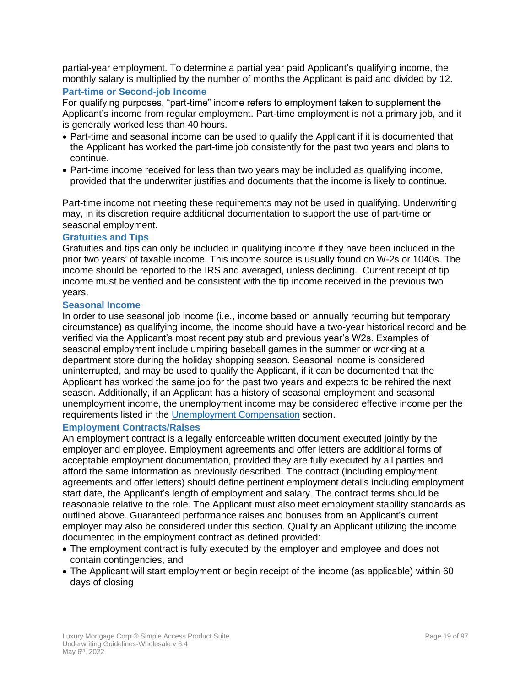partial-year employment. To determine a partial year paid Applicant's qualifying income, the monthly salary is multiplied by the number of months the Applicant is paid and divided by 12.

# **Part-time or Second-job Income**

For qualifying purposes, "part-time" income refers to employment taken to supplement the Applicant's income from regular employment. Part-time employment is not a primary job, and it is generally worked less than 40 hours.

- Part-time and seasonal income can be used to qualify the Applicant if it is documented that the Applicant has worked the part-time job consistently for the past two years and plans to continue.
- Part-time income received for less than two years may be included as qualifying income, provided that the underwriter justifies and documents that the income is likely to continue.

Part-time income not meeting these requirements may not be used in qualifying. Underwriting may, in its discretion require additional documentation to support the use of part-time or seasonal employment.

#### **Gratuities and Tips**

Gratuities and tips can only be included in qualifying income if they have been included in the prior two years' of taxable income. This income source is usually found on W-2s or 1040s. The income should be reported to the IRS and averaged, unless declining. Current receipt of tip income must be verified and be consistent with the tip income received in the previous two years.

#### **Seasonal Income**

In order to use seasonal job income (i.e., income based on annually recurring but temporary circumstance) as qualifying income, the income should have a two-year historical record and be verified via the Applicant's most recent pay stub and previous year's W2s. Examples of seasonal employment include umpiring baseball games in the summer or working at a department store during the holiday shopping season. Seasonal income is considered uninterrupted, and may be used to qualify the Applicant, if it can be documented that the Applicant has worked the same job for the past two years and expects to be rehired the next season. Additionally, if an Applicant has a history of seasonal employment and seasonal unemployment income, the unemployment income may be considered effective income per the requirements listed in the [Unemployment Compensation](#page-29-0) section.

#### **Employment Contracts/Raises**

An employment contract is a legally enforceable written document executed jointly by the employer and employee. Employment agreements and offer letters are additional forms of acceptable employment documentation, provided they are fully executed by all parties and afford the same information as previously described. The contract (including employment agreements and offer letters) should define pertinent employment details including employment start date, the Applicant's length of employment and salary. The contract terms should be reasonable relative to the role. The Applicant must also meet employment stability standards as outlined above. Guaranteed performance raises and bonuses from an Applicant's current employer may also be considered under this section. Qualify an Applicant utilizing the income documented in the employment contract as defined provided:

- The employment contract is fully executed by the employer and employee and does not contain contingencies, and
- The Applicant will start employment or begin receipt of the income (as applicable) within 60 days of closing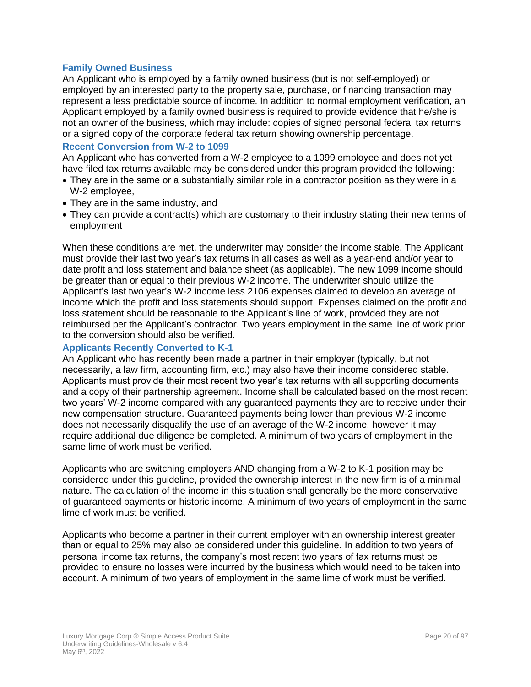#### **Family Owned Business**

An Applicant who is employed by a family owned business (but is not self-employed) or employed by an interested party to the property sale, purchase, or financing transaction may represent a less predictable source of income. In addition to normal employment verification, an Applicant employed by a family owned business is required to provide evidence that he/she is not an owner of the business, which may include: copies of signed personal federal tax returns or a signed copy of the corporate federal tax return showing ownership percentage.

#### **Recent Conversion from W-2 to 1099**

An Applicant who has converted from a W-2 employee to a 1099 employee and does not yet have filed tax returns available may be considered under this program provided the following:

- They are in the same or a substantially similar role in a contractor position as they were in a W-2 employee,
- They are in the same industry, and
- They can provide a contract(s) which are customary to their industry stating their new terms of employment

When these conditions are met, the underwriter may consider the income stable. The Applicant must provide their last two year's tax returns in all cases as well as a year-end and/or year to date profit and loss statement and balance sheet (as applicable). The new 1099 income should be greater than or equal to their previous W-2 income. The underwriter should utilize the Applicant's last two year's W-2 income less 2106 expenses claimed to develop an average of income which the profit and loss statements should support. Expenses claimed on the profit and loss statement should be reasonable to the Applicant's line of work, provided they are not reimbursed per the Applicant's contractor. Two years employment in the same line of work prior to the conversion should also be verified.

#### **Applicants Recently Converted to K-1**

An Applicant who has recently been made a partner in their employer (typically, but not necessarily, a law firm, accounting firm, etc.) may also have their income considered stable. Applicants must provide their most recent two year's tax returns with all supporting documents and a copy of their partnership agreement. Income shall be calculated based on the most recent two years' W-2 income compared with any guaranteed payments they are to receive under their new compensation structure. Guaranteed payments being lower than previous W-2 income does not necessarily disqualify the use of an average of the W-2 income, however it may require additional due diligence be completed. A minimum of two years of employment in the same lime of work must be verified.

Applicants who are switching employers AND changing from a W-2 to K-1 position may be considered under this guideline, provided the ownership interest in the new firm is of a minimal nature. The calculation of the income in this situation shall generally be the more conservative of guaranteed payments or historic income. A minimum of two years of employment in the same lime of work must be verified.

Applicants who become a partner in their current employer with an ownership interest greater than or equal to 25% may also be considered under this guideline. In addition to two years of personal income tax returns, the company's most recent two years of tax returns must be provided to ensure no losses were incurred by the business which would need to be taken into account. A minimum of two years of employment in the same lime of work must be verified.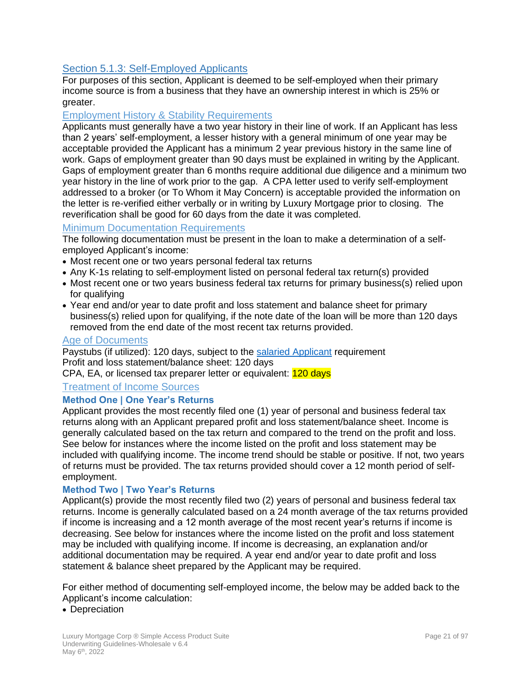# <span id="page-20-0"></span>Section 5.1.3: Self-Employed Applicants

For purposes of this section, Applicant is deemed to be self-employed when their primary income source is from a business that they have an ownership interest in which is 25% or greater.

#### Employment History & Stability Requirements

Applicants must generally have a two year history in their line of work. If an Applicant has less than 2 years' self-employment, a lesser history with a general minimum of one year may be acceptable provided the Applicant has a minimum 2 year previous history in the same line of work. Gaps of employment greater than 90 days must be explained in writing by the Applicant. Gaps of employment greater than 6 months require additional due diligence and a minimum two year history in the line of work prior to the gap. A CPA letter used to verify self-employment addressed to a broker (or To Whom it May Concern) is acceptable provided the information on the letter is re-verified either verbally or in writing by Luxury Mortgage prior to closing. The reverification shall be good for 60 days from the date it was completed.

#### Minimum Documentation Requirements

The following documentation must be present in the loan to make a determination of a selfemployed Applicant's income:

- Most recent one or two years personal federal tax returns
- Any K-1s relating to self-employment listed on personal federal tax return(s) provided
- Most recent one or two years business federal tax returns for primary business(s) relied upon for qualifying
- Year end and/or year to date profit and loss statement and balance sheet for primary business(s) relied upon for qualifying, if the note date of the loan will be more than 120 days removed from the end date of the most recent tax returns provided.

#### Age of Documents

Paystubs (if utilized): 120 days, subject to the [salaried Applicant](#page-16-1) requirement Profit and loss statement/balance sheet: 120 days

CPA, EA, or licensed tax preparer letter or equivalent: 120 days

#### <span id="page-20-1"></span>Treatment of Income Sources

#### **Method One | One Year's Returns**

Applicant provides the most recently filed one (1) year of personal and business federal tax returns along with an Applicant prepared profit and loss statement/balance sheet. Income is generally calculated based on the tax return and compared to the trend on the profit and loss. See below for instances where the income listed on the profit and loss statement may be included with qualifying income. The income trend should be stable or positive. If not, two years of returns must be provided. The tax returns provided should cover a 12 month period of selfemployment.

#### **Method Two | Two Year's Returns**

Applicant(s) provide the most recently filed two (2) years of personal and business federal tax returns. Income is generally calculated based on a 24 month average of the tax returns provided if income is increasing and a 12 month average of the most recent year's returns if income is decreasing. See below for instances where the income listed on the profit and loss statement may be included with qualifying income. If income is decreasing, an explanation and/or additional documentation may be required. A year end and/or year to date profit and loss statement & balance sheet prepared by the Applicant may be required.

For either method of documenting self-employed income, the below may be added back to the Applicant's income calculation:

• Depreciation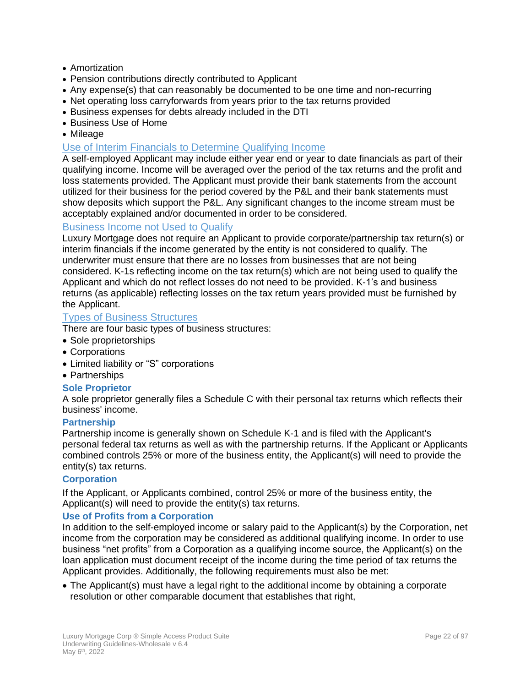- Amortization
- Pension contributions directly contributed to Applicant
- Any expense(s) that can reasonably be documented to be one time and non-recurring
- Net operating loss carryforwards from years prior to the tax returns provided
- Business expenses for debts already included in the DTI
- Business Use of Home
- Mileage

## Use of Interim Financials to Determine Qualifying Income

A self-employed Applicant may include either year end or year to date financials as part of their qualifying income. Income will be averaged over the period of the tax returns and the profit and loss statements provided. The Applicant must provide their bank statements from the account utilized for their business for the period covered by the P&L and their bank statements must show deposits which support the P&L. Any significant changes to the income stream must be acceptably explained and/or documented in order to be considered.

#### Business Income not Used to Qualify

Luxury Mortgage does not require an Applicant to provide corporate/partnership tax return(s) or interim financials if the income generated by the entity is not considered to qualify. The underwriter must ensure that there are no losses from businesses that are not being considered. K-1s reflecting income on the tax return(s) which are not being used to qualify the Applicant and which do not reflect losses do not need to be provided. K-1's and business returns (as applicable) reflecting losses on the tax return years provided must be furnished by the Applicant.

# Types of Business Structures

There are four basic types of business structures:

- Sole proprietorships
- Corporations
- Limited liability or "S" corporations
- Partnerships

#### **Sole Proprietor**

A sole proprietor generally files a Schedule C with their personal tax returns which reflects their business' income.

#### **Partnership**

Partnership income is generally shown on Schedule K-1 and is filed with the Applicant's personal federal tax returns as well as with the partnership returns. If the Applicant or Applicants combined controls 25% or more of the business entity, the Applicant(s) will need to provide the entity(s) tax returns.

#### **Corporation**

If the Applicant, or Applicants combined, control 25% or more of the business entity, the Applicant(s) will need to provide the entity(s) tax returns.

#### **Use of Profits from a Corporation**

In addition to the self-employed income or salary paid to the Applicant(s) by the Corporation, net income from the corporation may be considered as additional qualifying income. In order to use business "net profits" from a Corporation as a qualifying income source, the Applicant(s) on the loan application must document receipt of the income during the time period of tax returns the Applicant provides. Additionally, the following requirements must also be met:

• The Applicant(s) must have a legal right to the additional income by obtaining a corporate resolution or other comparable document that establishes that right,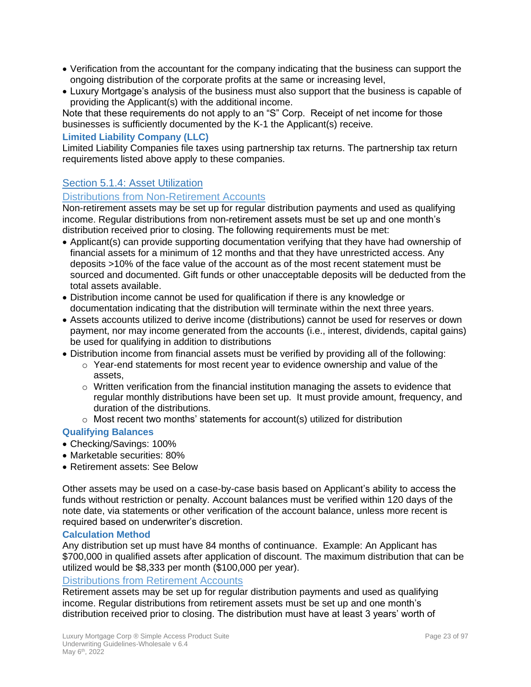- Verification from the accountant for the company indicating that the business can support the ongoing distribution of the corporate profits at the same or increasing level,
- Luxury Mortgage's analysis of the business must also support that the business is capable of providing the Applicant(s) with the additional income.

Note that these requirements do not apply to an "S" Corp. Receipt of net income for those businesses is sufficiently documented by the K-1 the Applicant(s) receive.

#### **Limited Liability Company (LLC)**

Limited Liability Companies file taxes using partnership tax returns. The partnership tax return requirements listed above apply to these companies.

# <span id="page-22-0"></span>Section 5.1.4: Asset Utilization

#### Distributions from Non-Retirement Accounts

Non-retirement assets may be set up for regular distribution payments and used as qualifying income. Regular distributions from non-retirement assets must be set up and one month's distribution received prior to closing. The following requirements must be met:

- Applicant(s) can provide supporting documentation verifying that they have had ownership of financial assets for a minimum of 12 months and that they have unrestricted access. Any deposits >10% of the face value of the account as of the most recent statement must be sourced and documented. Gift funds or other unacceptable deposits will be deducted from the total assets available.
- Distribution income cannot be used for qualification if there is any knowledge or documentation indicating that the distribution will terminate within the next three years.
- Assets accounts utilized to derive income (distributions) cannot be used for reserves or down payment, nor may income generated from the accounts (i.e., interest, dividends, capital gains) be used for qualifying in addition to distributions
- Distribution income from financial assets must be verified by providing all of the following:
	- $\circ$  Year-end statements for most recent year to evidence ownership and value of the assets,
	- $\circ$  Written verification from the financial institution managing the assets to evidence that regular monthly distributions have been set up. It must provide amount, frequency, and duration of the distributions.
	- $\circ$  Most recent two months' statements for account(s) utilized for distribution

#### **Qualifying Balances**

- Checking/Savings: 100%
- Marketable securities: 80%
- Retirement assets: See Below

Other assets may be used on a case-by-case basis based on Applicant's ability to access the funds without restriction or penalty. Account balances must be verified within 120 days of the note date, via statements or other verification of the account balance, unless more recent is required based on underwriter's discretion.

#### **Calculation Method**

Any distribution set up must have 84 months of continuance. Example: An Applicant has \$700,000 in qualified assets after application of discount. The maximum distribution that can be utilized would be \$8,333 per month (\$100,000 per year).

#### Distributions from Retirement Accounts

Retirement assets may be set up for regular distribution payments and used as qualifying income. Regular distributions from retirement assets must be set up and one month's distribution received prior to closing. The distribution must have at least 3 years' worth of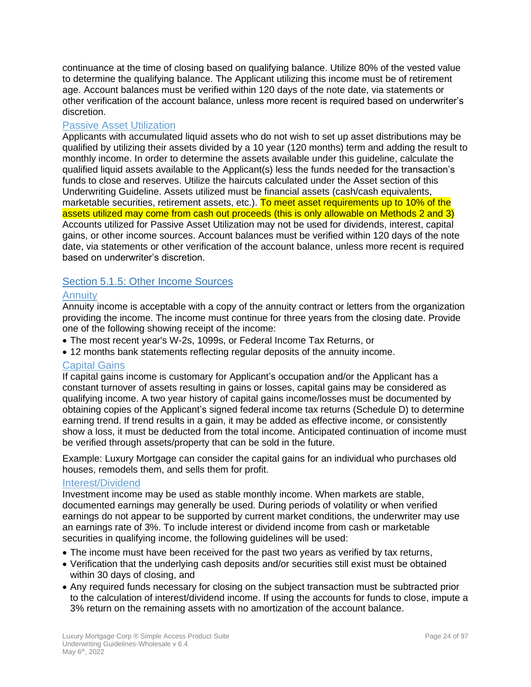continuance at the time of closing based on qualifying balance. Utilize 80% of the vested value to determine the qualifying balance. The Applicant utilizing this income must be of retirement age. Account balances must be verified within 120 days of the note date, via statements or other verification of the account balance, unless more recent is required based on underwriter's discretion.

## Passive Asset Utilization

Applicants with accumulated liquid assets who do not wish to set up asset distributions may be qualified by utilizing their assets divided by a 10 year (120 months) term and adding the result to monthly income. In order to determine the assets available under this guideline, calculate the qualified liquid assets available to the Applicant(s) less the funds needed for the transaction's funds to close and reserves. Utilize the haircuts calculated under the Asset section of this Underwriting Guideline. Assets utilized must be financial assets (cash/cash equivalents, marketable securities, retirement assets, etc.). To meet asset requirements up to 10% of the assets utilized may come from cash out proceeds (this is only allowable on Methods 2 and 3) Accounts utilized for Passive Asset Utilization may not be used for dividends, interest, capital gains, or other income sources. Account balances must be verified within 120 days of the note date, via statements or other verification of the account balance, unless more recent is required based on underwriter's discretion.

# <span id="page-23-0"></span>Section 5.1.5: Other Income Sources

#### **Annuity**

Annuity income is acceptable with a copy of the annuity contract or letters from the organization providing the income. The income must continue for three years from the closing date. Provide one of the following showing receipt of the income:

- The most recent year's W-2s, 1099s, or Federal Income Tax Returns, or
- 12 months bank statements reflecting regular deposits of the annuity income.

#### Capital Gains

If capital gains income is customary for Applicant's occupation and/or the Applicant has a constant turnover of assets resulting in gains or losses, capital gains may be considered as qualifying income. A two year history of capital gains income/losses must be documented by obtaining copies of the Applicant's signed federal income tax returns (Schedule D) to determine earning trend. If trend results in a gain, it may be added as effective income, or consistently show a loss, it must be deducted from the total income. Anticipated continuation of income must be verified through assets/property that can be sold in the future.

Example: Luxury Mortgage can consider the capital gains for an individual who purchases old houses, remodels them, and sells them for profit.

#### Interest/Dividend

Investment income may be used as stable monthly income. When markets are stable, documented earnings may generally be used. During periods of volatility or when verified earnings do not appear to be supported by current market conditions, the underwriter may use an earnings rate of 3%. To include interest or dividend income from cash or marketable securities in qualifying income, the following guidelines will be used:

- The income must have been received for the past two years as verified by tax returns,
- Verification that the underlying cash deposits and/or securities still exist must be obtained within 30 days of closing, and
- Any required funds necessary for closing on the subject transaction must be subtracted prior to the calculation of interest/dividend income. If using the accounts for funds to close, impute a 3% return on the remaining assets with no amortization of the account balance.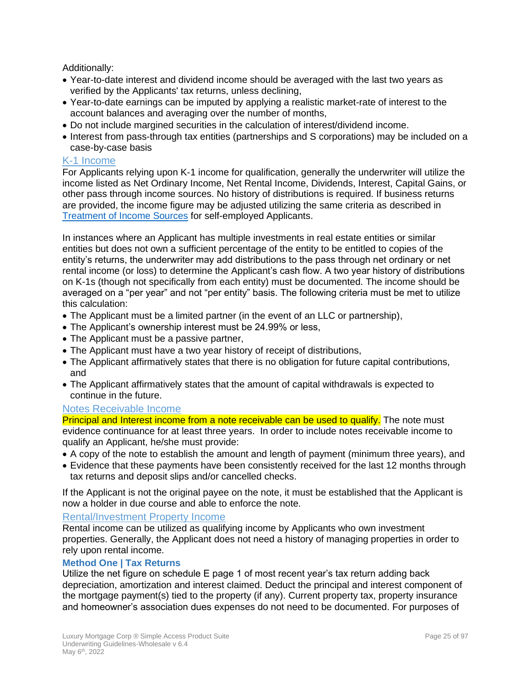Additionally:

- Year-to-date interest and dividend income should be averaged with the last two years as verified by the Applicants' tax returns, unless declining,
- Year-to-date earnings can be imputed by applying a realistic market-rate of interest to the account balances and averaging over the number of months,
- Do not include margined securities in the calculation of interest/dividend income.
- Interest from pass-through tax entities (partnerships and S corporations) may be included on a case-by-case basis

#### K-1 Income

For Applicants relying upon K-1 income for qualification, generally the underwriter will utilize the income listed as Net Ordinary Income, Net Rental Income, Dividends, Interest, Capital Gains, or other pass through income sources. No history of distributions is required. If business returns are provided, the income figure may be adjusted utilizing the same criteria as described in [Treatment of Income Sources](#page-20-1) for self-employed Applicants.

In instances where an Applicant has multiple investments in real estate entities or similar entities but does not own a sufficient percentage of the entity to be entitled to copies of the entity's returns, the underwriter may add distributions to the pass through net ordinary or net rental income (or loss) to determine the Applicant's cash flow. A two year history of distributions on K-1s (though not specifically from each entity) must be documented. The income should be averaged on a "per year" and not "per entity" basis. The following criteria must be met to utilize this calculation:

- The Applicant must be a limited partner (in the event of an LLC or partnership),
- The Applicant's ownership interest must be 24.99% or less,
- The Applicant must be a passive partner,
- The Applicant must have a two year history of receipt of distributions,
- The Applicant affirmatively states that there is no obligation for future capital contributions, and
- The Applicant affirmatively states that the amount of capital withdrawals is expected to continue in the future.

#### Notes Receivable Income

Principal and Interest income from a note receivable can be used to qualify. The note must evidence continuance for at least three years. In order to include notes receivable income to qualify an Applicant, he/she must provide:

- A copy of the note to establish the amount and length of payment (minimum three years), and
- Evidence that these payments have been consistently received for the last 12 months through tax returns and deposit slips and/or cancelled checks.

If the Applicant is not the original payee on the note, it must be established that the Applicant is now a holder in due course and able to enforce the note.

#### Rental/Investment Property Income

Rental income can be utilized as qualifying income by Applicants who own investment properties. Generally, the Applicant does not need a history of managing properties in order to rely upon rental income.

#### **Method One | Tax Returns**

Utilize the net figure on schedule E page 1 of most recent year's tax return adding back depreciation, amortization and interest claimed. Deduct the principal and interest component of the mortgage payment(s) tied to the property (if any). Current property tax, property insurance and homeowner's association dues expenses do not need to be documented. For purposes of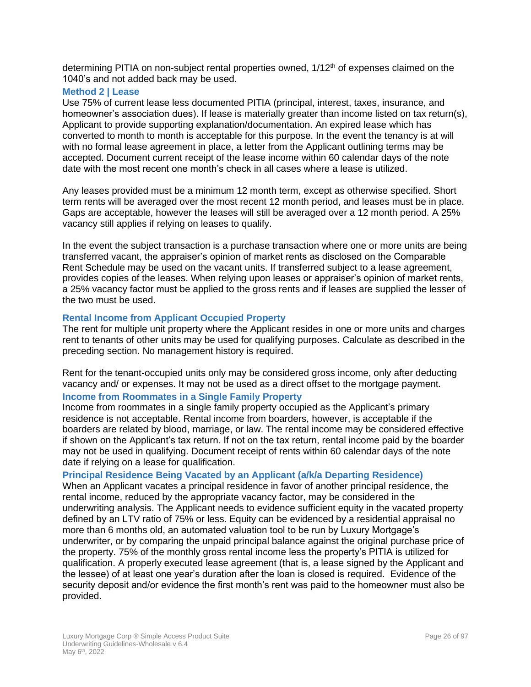determining PITIA on non-subject rental properties owned, 1/12<sup>th</sup> of expenses claimed on the 1040's and not added back may be used.

#### **Method 2 | Lease**

Use 75% of current lease less documented PITIA (principal, interest, taxes, insurance, and homeowner's association dues). If lease is materially greater than income listed on tax return(s), Applicant to provide supporting explanation/documentation. An expired lease which has converted to month to month is acceptable for this purpose. In the event the tenancy is at will with no formal lease agreement in place, a letter from the Applicant outlining terms may be accepted. Document current receipt of the lease income within 60 calendar days of the note date with the most recent one month's check in all cases where a lease is utilized.

Any leases provided must be a minimum 12 month term, except as otherwise specified. Short term rents will be averaged over the most recent 12 month period, and leases must be in place. Gaps are acceptable, however the leases will still be averaged over a 12 month period. A 25% vacancy still applies if relying on leases to qualify.

In the event the subject transaction is a purchase transaction where one or more units are being transferred vacant, the appraiser's opinion of market rents as disclosed on the Comparable Rent Schedule may be used on the vacant units. If transferred subject to a lease agreement, provides copies of the leases. When relying upon leases or appraiser's opinion of market rents, a 25% vacancy factor must be applied to the gross rents and if leases are supplied the lesser of the two must be used.

#### **Rental Income from Applicant Occupied Property**

The rent for multiple unit property where the Applicant resides in one or more units and charges rent to tenants of other units may be used for qualifying purposes. Calculate as described in the preceding section. No management history is required.

Rent for the tenant-occupied units only may be considered gross income, only after deducting vacancy and/ or expenses. It may not be used as a direct offset to the mortgage payment.

#### **Income from Roommates in a Single Family Property**

Income from roommates in a single family property occupied as the Applicant's primary residence is not acceptable. Rental income from boarders, however, is acceptable if the boarders are related by blood, marriage, or law. The rental income may be considered effective if shown on the Applicant's tax return. If not on the tax return, rental income paid by the boarder may not be used in qualifying. Document receipt of rents within 60 calendar days of the note date if relying on a lease for qualification.

#### **Principal Residence Being Vacated by an Applicant (a/k/a Departing Residence)**

When an Applicant vacates a principal residence in favor of another principal residence, the rental income, reduced by the appropriate vacancy factor, may be considered in the underwriting analysis. The Applicant needs to evidence sufficient equity in the vacated property defined by an LTV ratio of 75% or less. Equity can be evidenced by a residential appraisal no more than 6 months old, an automated valuation tool to be run by Luxury Mortgage's underwriter, or by comparing the unpaid principal balance against the original purchase price of the property. 75% of the monthly gross rental income less the property's PITIA is utilized for qualification. A properly executed lease agreement (that is, a lease signed by the Applicant and the lessee) of at least one year's duration after the loan is closed is required. Evidence of the security deposit and/or evidence the first month's rent was paid to the homeowner must also be provided.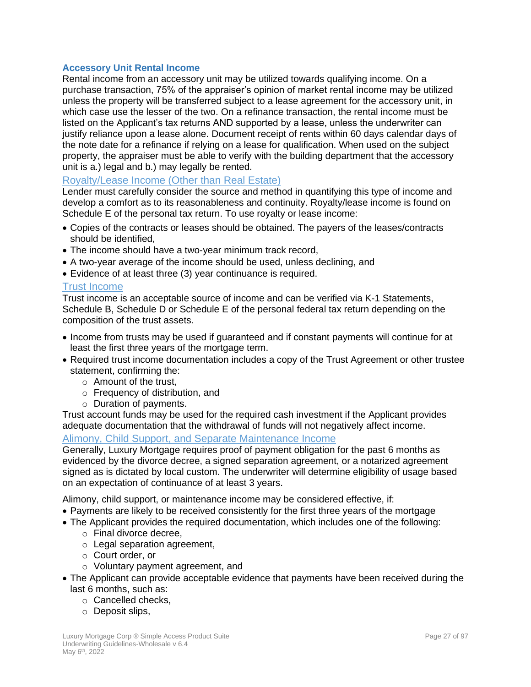#### **Accessory Unit Rental Income**

Rental income from an accessory unit may be utilized towards qualifying income. On a purchase transaction, 75% of the appraiser's opinion of market rental income may be utilized unless the property will be transferred subject to a lease agreement for the accessory unit, in which case use the lesser of the two. On a refinance transaction, the rental income must be listed on the Applicant's tax returns AND supported by a lease, unless the underwriter can justify reliance upon a lease alone. Document receipt of rents within 60 days calendar days of the note date for a refinance if relying on a lease for qualification. When used on the subject property, the appraiser must be able to verify with the building department that the accessory unit is a.) legal and b.) may legally be rented.

#### Royalty/Lease Income (Other than Real Estate)

Lender must carefully consider the source and method in quantifying this type of income and develop a comfort as to its reasonableness and continuity. Royalty/lease income is found on Schedule E of the personal tax return. To use royalty or lease income:

- Copies of the contracts or leases should be obtained. The payers of the leases/contracts should be identified,
- The income should have a two-year minimum track record,
- A two-year average of the income should be used, unless declining, and
- Evidence of at least three (3) year continuance is required.

#### Trust Income

Trust income is an acceptable source of income and can be verified via K-1 Statements, Schedule B, Schedule D or Schedule E of the personal federal tax return depending on the composition of the trust assets.

- Income from trusts may be used if guaranteed and if constant payments will continue for at least the first three years of the mortgage term.
- Required trust income documentation includes a copy of the Trust Agreement or other trustee statement, confirming the:
	- o Amount of the trust,
	- o Frequency of distribution, and
	- o Duration of payments.

Trust account funds may be used for the required cash investment if the Applicant provides adequate documentation that the withdrawal of funds will not negatively affect income.

#### Alimony, Child Support, and Separate Maintenance Income

Generally, Luxury Mortgage requires proof of payment obligation for the past 6 months as evidenced by the divorce decree, a signed separation agreement, or a notarized agreement signed as is dictated by local custom. The underwriter will determine eligibility of usage based on an expectation of continuance of at least 3 years.

Alimony, child support, or maintenance income may be considered effective, if:

- Payments are likely to be received consistently for the first three years of the mortgage
- The Applicant provides the required documentation, which includes one of the following:
	- o Final divorce decree,
	- o Legal separation agreement,
	- o Court order, or
	- o Voluntary payment agreement, and
- The Applicant can provide acceptable evidence that payments have been received during the last 6 months, such as:
	- o Cancelled checks,
	- o Deposit slips,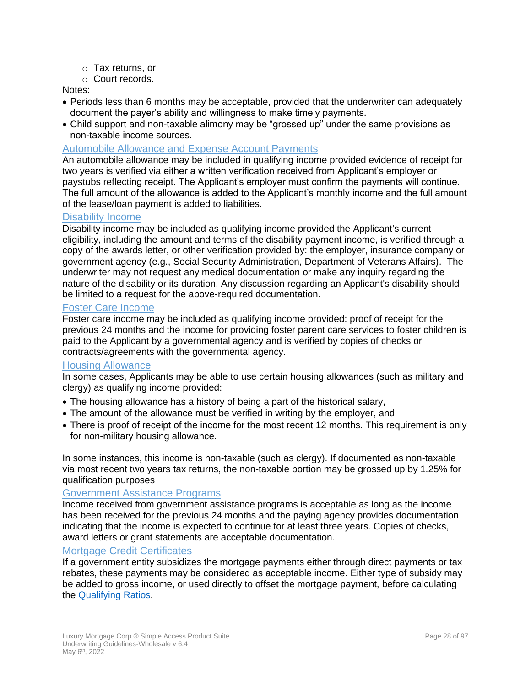- o Tax returns, or
- o Court records.

#### Notes:

- Periods less than 6 months may be acceptable, provided that the underwriter can adequately document the payer's ability and willingness to make timely payments.
- Child support and non-taxable alimony may be "grossed up" under the same provisions as non-taxable income sources.

#### Automobile Allowance and Expense Account Payments

An automobile allowance may be included in qualifying income provided evidence of receipt for two years is verified via either a written verification received from Applicant's employer or paystubs reflecting receipt. The Applicant's employer must confirm the payments will continue. The full amount of the allowance is added to the Applicant's monthly income and the full amount of the lease/loan payment is added to liabilities.

#### Disability Income

Disability income may be included as qualifying income provided the Applicant's current eligibility, including the amount and terms of the disability payment income, is verified through a copy of the awards letter, or other verification provided by: the employer, insurance company or government agency (e.g., Social Security Administration, Department of Veterans Affairs). The underwriter may not request any medical documentation or make any inquiry regarding the nature of the disability or its duration. Any discussion regarding an Applicant's disability should be limited to a request for the above-required documentation.

#### Foster Care Income

Foster care income may be included as qualifying income provided: proof of receipt for the previous 24 months and the income for providing foster parent care services to foster children is paid to the Applicant by a governmental agency and is verified by copies of checks or contracts/agreements with the governmental agency.

#### Housing Allowance

In some cases, Applicants may be able to use certain housing allowances (such as military and clergy) as qualifying income provided:

- The housing allowance has a history of being a part of the historical salary,
- The amount of the allowance must be verified in writing by the employer, and
- There is proof of receipt of the income for the most recent 12 months. This requirement is only for non-military housing allowance.

In some instances, this income is non-taxable (such as clergy). If documented as non-taxable via most recent two years tax returns, the non-taxable portion may be grossed up by 1.25% for qualification purposes

#### Government Assistance Programs

Income received from government assistance programs is acceptable as long as the income has been received for the previous 24 months and the paying agency provides documentation indicating that the income is expected to continue for at least three years. Copies of checks, award letters or grant statements are acceptable documentation.

#### Mortgage Credit Certificates

If a government entity subsidizes the mortgage payments either through direct payments or tax rebates, these payments may be considered as acceptable income. Either type of subsidy may be added to gross income, or used directly to offset the mortgage payment, before calculating the [Qualifying Ratios.](#page-73-7)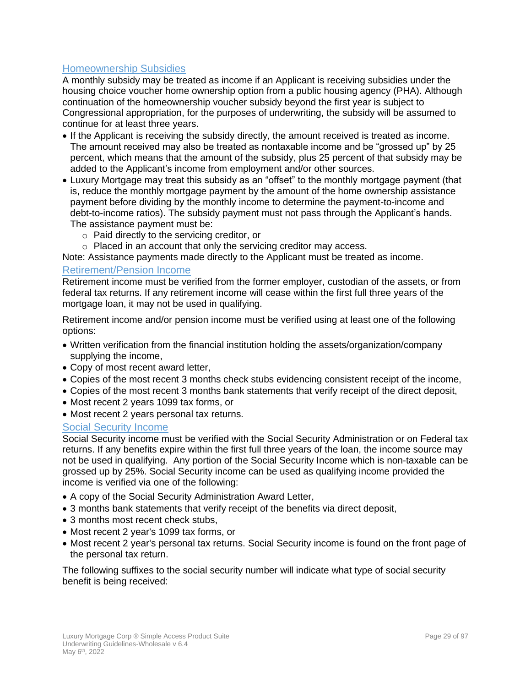# Homeownership Subsidies

A monthly subsidy may be treated as income if an Applicant is receiving subsidies under the housing choice voucher home ownership option from a public housing agency (PHA). Although continuation of the homeownership voucher subsidy beyond the first year is subject to Congressional appropriation, for the purposes of underwriting, the subsidy will be assumed to continue for at least three years.

- If the Applicant is receiving the subsidy directly, the amount received is treated as income. The amount received may also be treated as nontaxable income and be "grossed up" by 25 percent, which means that the amount of the subsidy, plus 25 percent of that subsidy may be added to the Applicant's income from employment and/or other sources.
- Luxury Mortgage may treat this subsidy as an "offset" to the monthly mortgage payment (that is, reduce the monthly mortgage payment by the amount of the home ownership assistance payment before dividing by the monthly income to determine the payment-to-income and debt-to-income ratios). The subsidy payment must not pass through the Applicant's hands. The assistance payment must be:
	- o Paid directly to the servicing creditor, or
	- o Placed in an account that only the servicing creditor may access.

Note: Assistance payments made directly to the Applicant must be treated as income.

#### Retirement/Pension Income

Retirement income must be verified from the former employer, custodian of the assets, or from federal tax returns. If any retirement income will cease within the first full three years of the mortgage loan, it may not be used in qualifying.

Retirement income and/or pension income must be verified using at least one of the following options:

- Written verification from the financial institution holding the assets/organization/company supplying the income,
- Copy of most recent award letter,
- Copies of the most recent 3 months check stubs evidencing consistent receipt of the income,
- Copies of the most recent 3 months bank statements that verify receipt of the direct deposit,
- Most recent 2 years 1099 tax forms, or
- Most recent 2 years personal tax returns.

#### Social Security Income

Social Security income must be verified with the Social Security Administration or on Federal tax returns. If any benefits expire within the first full three years of the loan, the income source may not be used in qualifying. Any portion of the Social Security Income which is non-taxable can be grossed up by 25%. Social Security income can be used as qualifying income provided the income is verified via one of the following:

- A copy of the Social Security Administration Award Letter,
- 3 months bank statements that verify receipt of the benefits via direct deposit,
- 3 months most recent check stubs,
- Most recent 2 year's 1099 tax forms, or
- Most recent 2 year's personal tax returns. Social Security income is found on the front page of the personal tax return.

The following suffixes to the social security number will indicate what type of social security benefit is being received: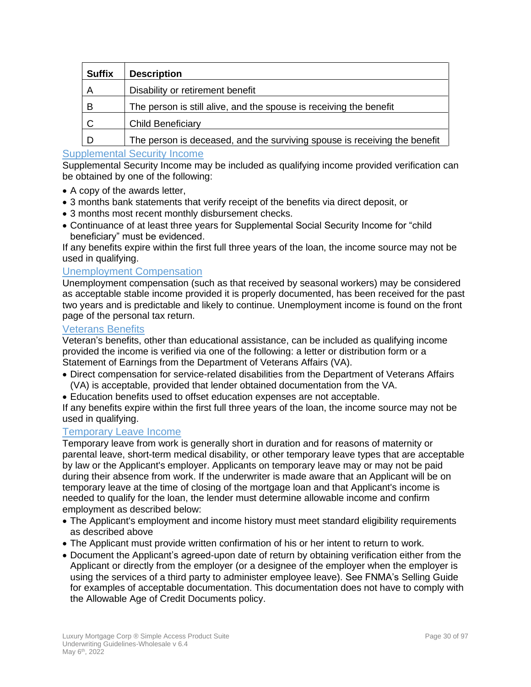| <b>Suffix</b> | <b>Description</b>                                                        |
|---------------|---------------------------------------------------------------------------|
|               | Disability or retirement benefit                                          |
| B             | The person is still alive, and the spouse is receiving the benefit        |
|               | <b>Child Beneficiary</b>                                                  |
|               | The person is deceased, and the surviving spouse is receiving the benefit |

# Supplemental Security Income

Supplemental Security Income may be included as qualifying income provided verification can be obtained by one of the following:

- A copy of the awards letter,
- 3 months bank statements that verify receipt of the benefits via direct deposit, or
- 3 months most recent monthly disbursement checks.
- Continuance of at least three years for Supplemental Social Security Income for "child beneficiary" must be evidenced.

If any benefits expire within the first full three years of the loan, the income source may not be used in qualifying.

#### <span id="page-29-0"></span>Unemployment Compensation

Unemployment compensation (such as that received by seasonal workers) may be considered as acceptable stable income provided it is properly documented, has been received for the past two years and is predictable and likely to continue. Unemployment income is found on the front page of the personal tax return.

#### Veterans Benefits

Veteran's benefits, other than educational assistance, can be included as qualifying income provided the income is verified via one of the following: a letter or distribution form or a Statement of Earnings from the Department of Veterans Affairs (VA).

- Direct compensation for service-related disabilities from the Department of Veterans Affairs (VA) is acceptable, provided that lender obtained documentation from the VA.
- Education benefits used to offset education expenses are not acceptable.

If any benefits expire within the first full three years of the loan, the income source may not be used in qualifying.

#### Temporary Leave Income

Temporary leave from work is generally short in duration and for reasons of maternity or parental leave, short-term medical disability, or other temporary leave types that are acceptable by law or the Applicant's employer. Applicants on temporary leave may or may not be paid during their absence from work. If the underwriter is made aware that an Applicant will be on temporary leave at the time of closing of the mortgage loan and that Applicant's income is needed to qualify for the loan, the lender must determine allowable income and confirm employment as described below:

- The Applicant's employment and income history must meet standard eligibility requirements as described above
- The Applicant must provide written confirmation of his or her intent to return to work.
- Document the Applicant's agreed-upon date of return by obtaining verification either from the Applicant or directly from the employer (or a designee of the employer when the employer is using the services of a third party to administer employee leave). See FNMA's Selling Guide for examples of acceptable documentation. This documentation does not have to comply with the Allowable Age of Credit Documents policy.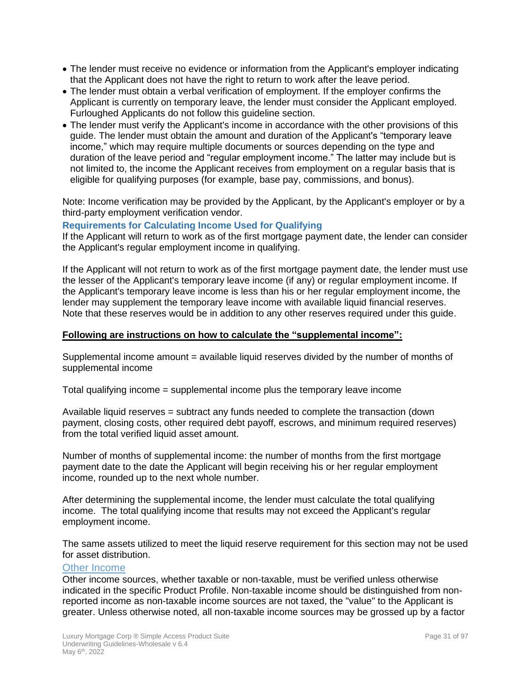- The lender must receive no evidence or information from the Applicant's employer indicating that the Applicant does not have the right to return to work after the leave period.
- The lender must obtain a verbal verification of employment. If the employer confirms the Applicant is currently on temporary leave, the lender must consider the Applicant employed. Furloughed Applicants do not follow this guideline section.
- The lender must verify the Applicant's income in accordance with the other provisions of this guide. The lender must obtain the amount and duration of the Applicant's "temporary leave income," which may require multiple documents or sources depending on the type and duration of the leave period and "regular employment income." The latter may include but is not limited to, the income the Applicant receives from employment on a regular basis that is eligible for qualifying purposes (for example, base pay, commissions, and bonus).

Note: Income verification may be provided by the Applicant, by the Applicant's employer or by a third-party employment verification vendor.

#### **Requirements for Calculating Income Used for Qualifying**

If the Applicant will return to work as of the first mortgage payment date, the lender can consider the Applicant's regular employment income in qualifying.

If the Applicant will not return to work as of the first mortgage payment date, the lender must use the lesser of the Applicant's temporary leave income (if any) or regular employment income. If the Applicant's temporary leave income is less than his or her regular employment income, the lender may supplement the temporary leave income with available liquid financial reserves. Note that these reserves would be in addition to any other reserves required under this guide.

#### **Following are instructions on how to calculate the "supplemental income":**

Supplemental income amount = available liquid reserves divided by the number of months of supplemental income

Total qualifying income = supplemental income plus the temporary leave income

Available liquid reserves = subtract any funds needed to complete the transaction (down payment, closing costs, other required debt payoff, escrows, and minimum required reserves) from the total verified liquid asset amount.

Number of months of supplemental income: the number of months from the first mortgage payment date to the date the Applicant will begin receiving his or her regular employment income, rounded up to the next whole number.

After determining the supplemental income, the lender must calculate the total qualifying income. The total qualifying income that results may not exceed the Applicant's regular employment income.

The same assets utilized to meet the liquid reserve requirement for this section may not be used for asset distribution.

#### Other Income

Other income sources, whether taxable or non-taxable, must be verified unless otherwise indicated in the specific Product Profile. Non-taxable income should be distinguished from nonreported income as non-taxable income sources are not taxed, the "value" to the Applicant is greater. Unless otherwise noted, all non-taxable income sources may be grossed up by a factor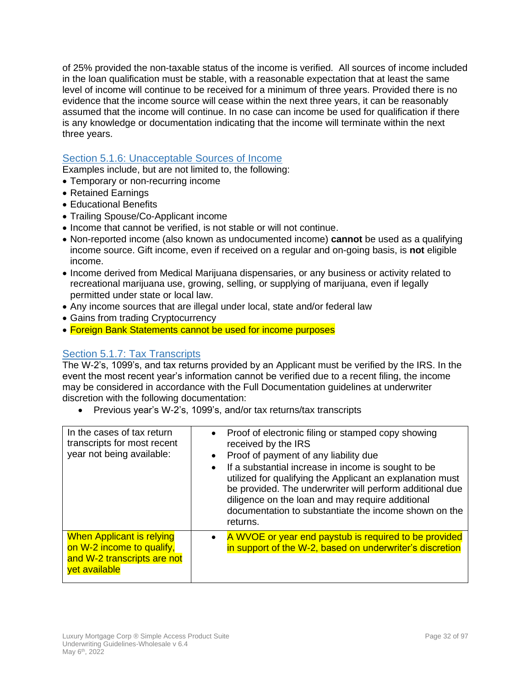of 25% provided the non-taxable status of the income is verified. All sources of income included in the loan qualification must be stable, with a reasonable expectation that at least the same level of income will continue to be received for a minimum of three years. Provided there is no evidence that the income source will cease within the next three years, it can be reasonably assumed that the income will continue. In no case can income be used for qualification if there is any knowledge or documentation indicating that the income will terminate within the next three years.

# <span id="page-31-0"></span>Section 5.1.6: Unacceptable Sources of Income

Examples include, but are not limited to, the following:

- Temporary or non-recurring income
- Retained Earnings
- Educational Benefits
- Trailing Spouse/Co-Applicant income
- Income that cannot be verified, is not stable or will not continue.
- Non-reported income (also known as undocumented income) **cannot** be used as a qualifying income source. Gift income, even if received on a regular and on-going basis, is **not** eligible income.
- Income derived from Medical Marijuana dispensaries, or any business or activity related to recreational marijuana use, growing, selling, or supplying of marijuana, even if legally permitted under state or local law.
- Any income sources that are illegal under local, state and/or federal law
- Gains from trading Cryptocurrency
- Foreign Bank Statements cannot be used for income purposes

# <span id="page-31-1"></span>Section 5.1.7: Tax Transcripts

The W-2's, 1099's, and tax returns provided by an Applicant must be verified by the IRS. In the event the most recent year's information cannot be verified due to a recent filing, the income may be considered in accordance with the Full Documentation guidelines at underwriter discretion with the following documentation:

• Previous year's W-2's, 1099's, and/or tax returns/tax transcripts

| In the cases of tax return<br>transcripts for most recent<br>year not being available:                        | Proof of electronic filing or stamped copy showing<br>$\bullet$<br>received by the IRS<br>Proof of payment of any liability due<br>$\bullet$<br>If a substantial increase in income is sought to be<br>$\bullet$<br>utilized for qualifying the Applicant an explanation must<br>be provided. The underwriter will perform additional due<br>diligence on the loan and may require additional<br>documentation to substantiate the income shown on the<br>returns. |
|---------------------------------------------------------------------------------------------------------------|--------------------------------------------------------------------------------------------------------------------------------------------------------------------------------------------------------------------------------------------------------------------------------------------------------------------------------------------------------------------------------------------------------------------------------------------------------------------|
| <b>When Applicant is relying</b><br>on W-2 income to qualify,<br>and W-2 transcripts are not<br>yet available | A WVOE or year end paystub is required to be provided<br>$\bullet$<br>in support of the W-2, based on underwriter's discretion                                                                                                                                                                                                                                                                                                                                     |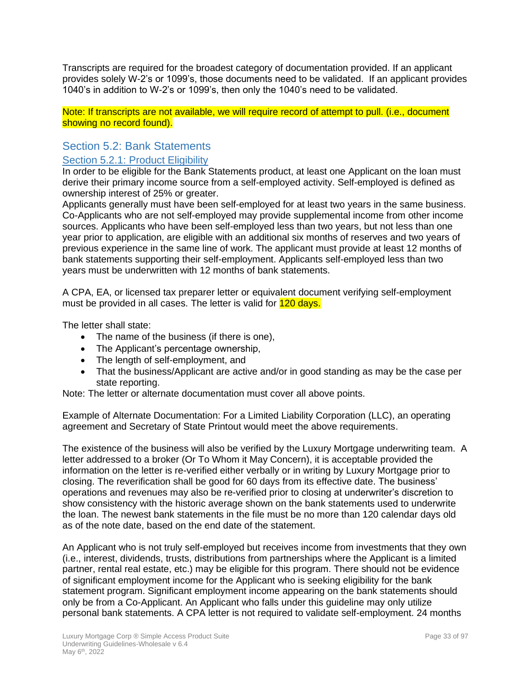Transcripts are required for the broadest category of documentation provided. If an applicant provides solely W-2's or 1099's, those documents need to be validated. If an applicant provides 1040's in addition to W-2's or 1099's, then only the 1040's need to be validated.

Note: If transcripts are not available, we will require record of attempt to pull. (i.e., document showing no record found).

# <span id="page-32-0"></span>Section 5.2: Bank Statements

## <span id="page-32-1"></span>Section 5.2.1: Product Eligibility

In order to be eligible for the Bank Statements product, at least one Applicant on the loan must derive their primary income source from a self-employed activity. Self-employed is defined as ownership interest of 25% or greater.

Applicants generally must have been self-employed for at least two years in the same business. Co-Applicants who are not self-employed may provide supplemental income from other income sources. Applicants who have been self-employed less than two years, but not less than one year prior to application, are eligible with an additional six months of reserves and two years of previous experience in the same line of work. The applicant must provide at least 12 months of bank statements supporting their self-employment. Applicants self-employed less than two years must be underwritten with 12 months of bank statements.

A CPA, EA, or licensed tax preparer letter or equivalent document verifying self-employment must be provided in all cases. The letter is valid for **120 days.** 

The letter shall state:

- The name of the business (if there is one),
- The Applicant's percentage ownership,
- The length of self-employment, and
- That the business/Applicant are active and/or in good standing as may be the case per state reporting.

Note: The letter or alternate documentation must cover all above points.

Example of Alternate Documentation: For a Limited Liability Corporation (LLC), an operating agreement and Secretary of State Printout would meet the above requirements.

The existence of the business will also be verified by the Luxury Mortgage underwriting team. A letter addressed to a broker (Or To Whom it May Concern), it is acceptable provided the information on the letter is re-verified either verbally or in writing by Luxury Mortgage prior to closing. The reverification shall be good for 60 days from its effective date. The business' operations and revenues may also be re-verified prior to closing at underwriter's discretion to show consistency with the historic average shown on the bank statements used to underwrite the loan. The newest bank statements in the file must be no more than 120 calendar days old as of the note date, based on the end date of the statement.

An Applicant who is not truly self-employed but receives income from investments that they own (i.e., interest, dividends, trusts, distributions from partnerships where the Applicant is a limited partner, rental real estate, etc.) may be eligible for this program. There should not be evidence of significant employment income for the Applicant who is seeking eligibility for the bank statement program. Significant employment income appearing on the bank statements should only be from a Co-Applicant. An Applicant who falls under this guideline may only utilize personal bank statements. A CPA letter is not required to validate self-employment. 24 months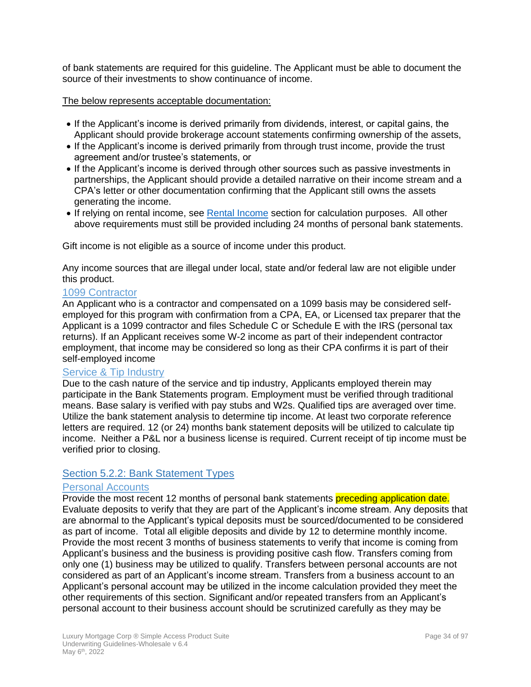of bank statements are required for this guideline. The Applicant must be able to document the source of their investments to show continuance of income.

#### The below represents acceptable documentation:

- If the Applicant's income is derived primarily from dividends, interest, or capital gains, the Applicant should provide brokerage account statements confirming ownership of the assets,
- If the Applicant's income is derived primarily from through trust income, provide the trust agreement and/or trustee's statements, or
- If the Applicant's income is derived through other sources such as passive investments in partnerships, the Applicant should provide a detailed narrative on their income stream and a CPA's letter or other documentation confirming that the Applicant still owns the assets generating the income.
- If relying on rental income, see Rental Income section for calculation purposes. All other above requirements must still be provided including 24 months of personal bank statements.

Gift income is not eligible as a source of income under this product.

Any income sources that are illegal under local, state and/or federal law are not eligible under this product.

#### 1099 Contractor

An Applicant who is a contractor and compensated on a 1099 basis may be considered selfemployed for this program with confirmation from a CPA, EA, or Licensed tax preparer that the Applicant is a 1099 contractor and files Schedule C or Schedule E with the IRS (personal tax returns). If an Applicant receives some W-2 income as part of their independent contractor employment, that income may be considered so long as their CPA confirms it is part of their self-employed income

# Service & Tip Industry

Due to the cash nature of the service and tip industry, Applicants employed therein may participate in the Bank Statements program. Employment must be verified through traditional means. Base salary is verified with pay stubs and W2s. Qualified tips are averaged over time. Utilize the bank statement analysis to determine tip income. At least two corporate reference letters are required. 12 (or 24) months bank statement deposits will be utilized to calculate tip income. Neither a P&L nor a business license is required. Current receipt of tip income must be verified prior to closing.

#### <span id="page-33-0"></span>Section 5.2.2: Bank Statement Types

#### Personal Accounts

Provide the most recent 12 months of personal bank statements preceding application date. Evaluate deposits to verify that they are part of the Applicant's income stream. Any deposits that are abnormal to the Applicant's typical deposits must be sourced/documented to be considered as part of income. Total all eligible deposits and divide by 12 to determine monthly income. Provide the most recent 3 months of business statements to verify that income is coming from Applicant's business and the business is providing positive cash flow. Transfers coming from only one (1) business may be utilized to qualify. Transfers between personal accounts are not considered as part of an Applicant's income stream. Transfers from a business account to an Applicant's personal account may be utilized in the income calculation provided they meet the other requirements of this section. Significant and/or repeated transfers from an Applicant's personal account to their business account should be scrutinized carefully as they may be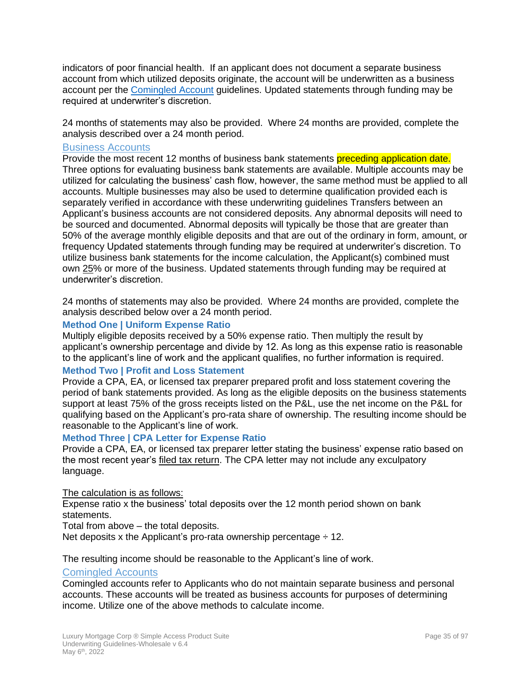indicators of poor financial health. If an applicant does not document a separate business account from which utilized deposits originate, the account will be underwritten as a business account per the [Comingled Account](#page-34-0) guidelines. Updated statements through funding may be required at underwriter's discretion.

24 months of statements may also be provided. Where 24 months are provided, complete the analysis described over a 24 month period.

#### Business Accounts

Provide the most recent 12 months of business bank statements preceding application date. Three options for evaluating business bank statements are available. Multiple accounts may be utilized for calculating the business' cash flow, however, the same method must be applied to all accounts. Multiple businesses may also be used to determine qualification provided each is separately verified in accordance with these underwriting guidelines Transfers between an Applicant's business accounts are not considered deposits. Any abnormal deposits will need to be sourced and documented. Abnormal deposits will typically be those that are greater than 50% of the average monthly eligible deposits and that are out of the ordinary in form, amount, or frequency Updated statements through funding may be required at underwriter's discretion. To utilize business bank statements for the income calculation, the Applicant(s) combined must own 25% or more of the business. Updated statements through funding may be required at underwriter's discretion.

24 months of statements may also be provided. Where 24 months are provided, complete the analysis described below over a 24 month period.

#### **Method One | Uniform Expense Ratio**

Multiply eligible deposits received by a 50% expense ratio. Then multiply the result by applicant's ownership percentage and divide by 12. As long as this expense ratio is reasonable to the applicant's line of work and the applicant qualifies, no further information is required.

#### **Method Two | Profit and Loss Statement**

Provide a CPA, EA, or licensed tax preparer prepared profit and loss statement covering the period of bank statements provided. As long as the eligible deposits on the business statements support at least 75% of the gross receipts listed on the P&L, use the net income on the P&L for qualifying based on the Applicant's pro-rata share of ownership. The resulting income should be reasonable to the Applicant's line of work.

#### **Method Three | CPA Letter for Expense Ratio**

Provide a CPA, EA, or licensed tax preparer letter stating the business' expense ratio based on the most recent year's filed tax return. The CPA letter may not include any exculpatory language.

#### The calculation is as follows:

Expense ratio x the business' total deposits over the 12 month period shown on bank statements.

Total from above – the total deposits.

Net deposits x the Applicant's pro-rata ownership percentage  $\div$  12.

The resulting income should be reasonable to the Applicant's line of work.

#### <span id="page-34-0"></span>Comingled Accounts

Comingled accounts refer to Applicants who do not maintain separate business and personal accounts. These accounts will be treated as business accounts for purposes of determining income. Utilize one of the above methods to calculate income.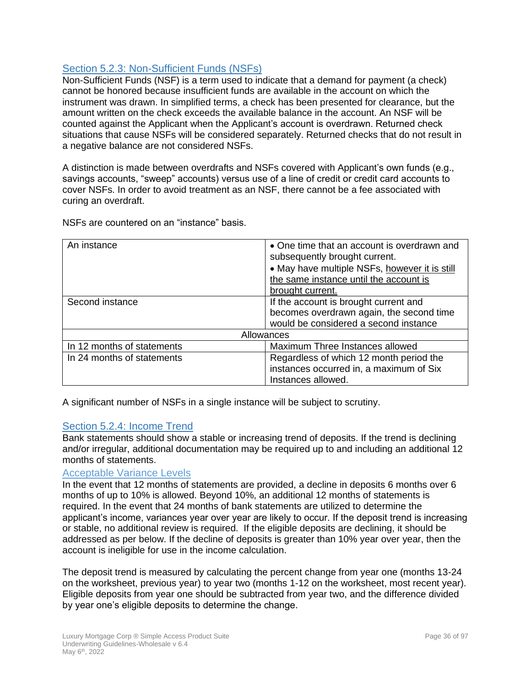# <span id="page-35-0"></span>Section 5.2.3: Non-Sufficient Funds (NSFs)

Non-Sufficient Funds (NSF) is a term used to indicate that a demand for payment (a check) cannot be honored because insufficient funds are available in the account on which the instrument was drawn. In simplified terms, a check has been presented for clearance, but the amount written on the check exceeds the available balance in the account. An NSF will be counted against the Applicant when the Applicant's account is overdrawn. Returned check situations that cause NSFs will be considered separately. Returned checks that do not result in a negative balance are not considered NSFs.

A distinction is made between overdrafts and NSFs covered with Applicant's own funds (e.g., savings accounts, "sweep" accounts) versus use of a line of credit or credit card accounts to cover NSFs. In order to avoid treatment as an NSF, there cannot be a fee associated with curing an overdraft.

| An instance                | • One time that an account is overdrawn and   |
|----------------------------|-----------------------------------------------|
|                            | subsequently brought current.                 |
|                            | • May have multiple NSFs, however it is still |
|                            | the same instance until the account is        |
|                            | brought current.                              |
| Second instance            | If the account is brought current and         |
|                            | becomes overdrawn again, the second time      |
|                            | would be considered a second instance         |
| Allowances                 |                                               |
| In 12 months of statements | Maximum Three Instances allowed               |
| In 24 months of statements | Regardless of which 12 month period the       |
|                            | instances occurred in, a maximum of Six       |
|                            | Instances allowed.                            |

NSFs are countered on an "instance" basis.

A significant number of NSFs in a single instance will be subject to scrutiny.

#### <span id="page-35-1"></span>Section 5.2.4: Income Trend

Bank statements should show a stable or increasing trend of deposits. If the trend is declining and/or irregular, additional documentation may be required up to and including an additional 12 months of statements.

#### Acceptable Variance Levels

In the event that 12 months of statements are provided, a decline in deposits 6 months over 6 months of up to 10% is allowed. Beyond 10%, an additional 12 months of statements is required. In the event that 24 months of bank statements are utilized to determine the applicant's income, variances year over year are likely to occur. If the deposit trend is increasing or stable, no additional review is required. If the eligible deposits are declining, it should be addressed as per below. If the decline of deposits is greater than 10% year over year, then the account is ineligible for use in the income calculation.

The deposit trend is measured by calculating the percent change from year one (months 13-24 on the worksheet, previous year) to year two (months 1-12 on the worksheet, most recent year). Eligible deposits from year one should be subtracted from year two, and the difference divided by year one's eligible deposits to determine the change.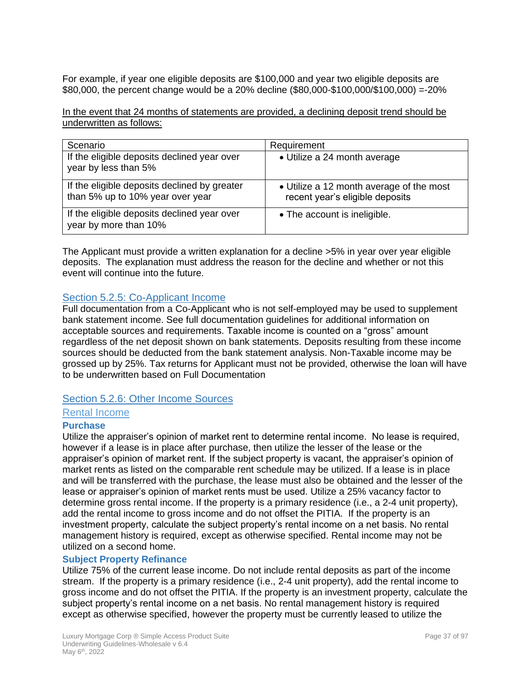For example, if year one eligible deposits are \$100,000 and year two eligible deposits are \$80,000, the percent change would be a 20% decline (\$80,000-\$100,000/\$100,000) =-20%

In the event that 24 months of statements are provided, a declining deposit trend should be underwritten as follows:

| Scenario                                                                         | Requirement                                                                 |
|----------------------------------------------------------------------------------|-----------------------------------------------------------------------------|
| If the eligible deposits declined year over<br>year by less than 5%              | • Utilize a 24 month average                                                |
| If the eligible deposits declined by greater<br>than 5% up to 10% year over year | • Utilize a 12 month average of the most<br>recent year's eligible deposits |
| If the eligible deposits declined year over<br>year by more than 10%             | • The account is ineligible.                                                |

The Applicant must provide a written explanation for a decline >5% in year over year eligible deposits. The explanation must address the reason for the decline and whether or not this event will continue into the future.

## Section 5.2.5: Co-Applicant Income

Full documentation from a Co-Applicant who is not self-employed may be used to supplement bank statement income. See full documentation guidelines for additional information on acceptable sources and requirements. Taxable income is counted on a "gross" amount regardless of the net deposit shown on bank statements. Deposits resulting from these income sources should be deducted from the bank statement analysis. Non-Taxable income may be grossed up by 25%. Tax returns for Applicant must not be provided, otherwise the loan will have to be underwritten based on Full Documentation

### Section 5.2.6: Other Income Sources

### Rental Income

#### **Purchase**

Utilize the appraiser's opinion of market rent to determine rental income. No lease is required, however if a lease is in place after purchase, then utilize the lesser of the lease or the appraiser's opinion of market rent. If the subject property is vacant, the appraiser's opinion of market rents as listed on the comparable rent schedule may be utilized. If a lease is in place and will be transferred with the purchase, the lease must also be obtained and the lesser of the lease or appraiser's opinion of market rents must be used. Utilize a 25% vacancy factor to determine gross rental income. If the property is a primary residence (i.e., a 2-4 unit property), add the rental income to gross income and do not offset the PITIA. If the property is an investment property, calculate the subject property's rental income on a net basis. No rental management history is required, except as otherwise specified. Rental income may not be utilized on a second home.

#### **Subject Property Refinance**

Utilize 75% of the current lease income. Do not include rental deposits as part of the income stream. If the property is a primary residence (i.e., 2-4 unit property), add the rental income to gross income and do not offset the PITIA. If the property is an investment property, calculate the subject property's rental income on a net basis. No rental management history is required except as otherwise specified, however the property must be currently leased to utilize the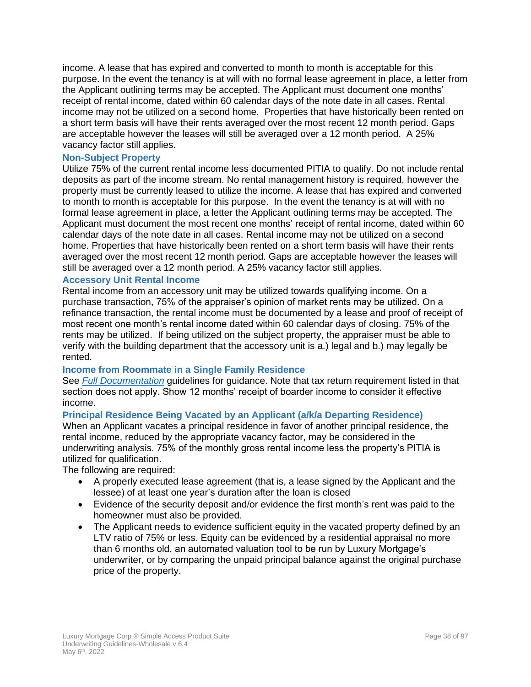income. A lease that has expired and converted to month to month is acceptable for this purpose. In the event the tenancy is at will with no formal lease agreement in place, a letter from the Applicant outlining terms may be accepted. The Applicant must document one months' receipt of rental income, dated within 60 calendar days of the note date in all cases. Rental income may not be utilized on a second home. Properties that have historically been rented on a short term basis will have their rents averaged over the most recent 12 month period. Gaps are acceptable however the leases will still be averaged over a 12 month period. A 25% vacancy factor still applies.

### **Non-Subject Property**

Utilize 75% of the current rental income less documented PITIA to qualify. Do not include rental deposits as part of the income stream. No rental management history is required, however the property must be currently leased to utilize the income. A lease that has expired and converted to month to month is acceptable for this purpose. In the event the tenancy is at will with no formal lease agreement in place, a letter the Applicant outlining terms may be accepted. The Applicant must document the most recent one months' receipt of rental income, dated within 60 calendar days of the note date in all cases. Rental income may not be utilized on a second home. Properties that have historically been rented on a short term basis will have their rents averaged over the most recent 12 month period. Gaps are acceptable however the leases will still be averaged over a 12 month period. A 25% vacancy factor still applies.

#### **Accessory Unit Rental Income**

Rental income from an accessory unit may be utilized towards qualifying income. On a purchase transaction, 75% of the appraiser's opinion of market rents may be utilized. On a refinance transaction, the rental income must be documented by a lease and proof of receipt of most recent one month's rental income dated within 60 calendar days of closing. 75% of the rents may be utilized. If being utilized on the subject property, the appraiser must be able to verify with the building department that the accessory unit is a.) legal and b.) may legally be rented.

#### **Income from Roommate in a Single Family Residence**

See *[Full Documentation](#page-25-0)* guidelines for guidance. Note that tax return requirement listed in that section does not apply. Show 12 months' receipt of boarder income to consider it effective income.

#### **Principal Residence Being Vacated by an Applicant (a/k/a Departing Residence)**

When an Applicant vacates a principal residence in favor of another principal residence, the rental income, reduced by the appropriate vacancy factor, may be considered in the underwriting analysis. 75% of the monthly gross rental income less the property's PITIA is utilized for qualification.

The following are required:

- A properly executed lease agreement (that is, a lease signed by the Applicant and the lessee) of at least one year's duration after the loan is closed
- Evidence of the security deposit and/or evidence the first month's rent was paid to the homeowner must also be provided.
- The Applicant needs to evidence sufficient equity in the vacated property defined by an LTV ratio of 75% or less. Equity can be evidenced by a residential appraisal no more than 6 months old, an automated valuation tool to be run by Luxury Mortgage's underwriter, or by comparing the unpaid principal balance against the original purchase price of the property.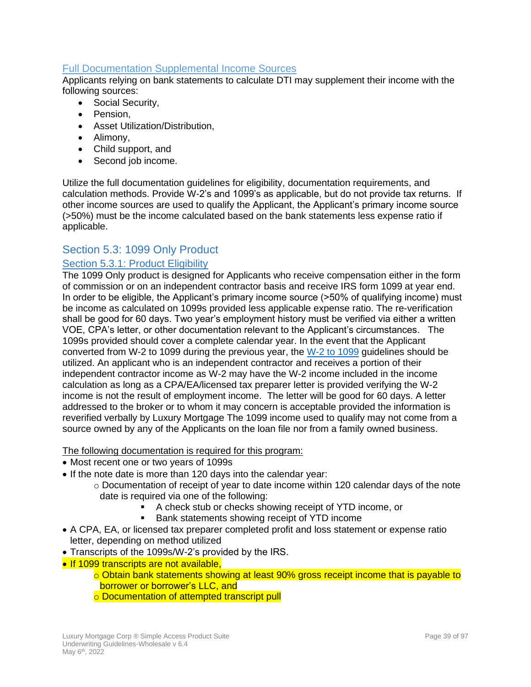### Full Documentation Supplemental Income Sources

Applicants relying on bank statements to calculate DTI may supplement their income with the following sources:

- Social Security,
- Pension,
- Asset Utilization/Distribution,
- Alimony,
- Child support, and
- Second job income.

Utilize the full documentation guidelines for eligibility, documentation requirements, and calculation methods. Provide W-2's and 1099's as applicable, but do not provide tax returns. If other income sources are used to qualify the Applicant, the Applicant's primary income source (>50%) must be the income calculated based on the bank statements less expense ratio if applicable.

# Section 5.3: 1099 Only Product

### Section 5.3.1: Product Eligibility

The 1099 Only product is designed for Applicants who receive compensation either in the form of commission or on an independent contractor basis and receive IRS form 1099 at year end. In order to be eligible, the Applicant's primary income source (>50% of qualifying income) must be income as calculated on 1099s provided less applicable expense ratio. The re-verification shall be good for 60 days. Two year's employment history must be verified via either a written VOE, CPA's letter, or other documentation relevant to the Applicant's circumstances. The 1099s provided should cover a complete calendar year. In the event that the Applicant converted from W-2 to 1099 during the previous year, the W-2 to 1099 guidelines should be utilized. An applicant who is an independent contractor and receives a portion of their independent contractor income as W-2 may have the W-2 income included in the income calculation as long as a CPA/EA/licensed tax preparer letter is provided verifying the W-2 income is not the result of employment income. The letter will be good for 60 days. A letter addressed to the broker or to whom it may concern is acceptable provided the information is reverified verbally by Luxury Mortgage The 1099 income used to qualify may not come from a source owned by any of the Applicants on the loan file nor from a family owned business.

The following documentation is required for this program:

- Most recent one or two years of 1099s
- If the note date is more than 120 days into the calendar year:
	- $\circ$  Documentation of receipt of year to date income within 120 calendar days of the note date is required via one of the following:
		- A check stub or checks showing receipt of YTD income, or
		- Bank statements showing receipt of YTD income
- A CPA, EA, or licensed tax preparer completed profit and loss statement or expense ratio letter, depending on method utilized
- Transcripts of the 1099s/W-2's provided by the IRS.
- If 1099 transcripts are not available,
	- o Obtain bank statements showing at least 90% gross receipt income that is payable to borrower or borrower's LLC, and
	- o Documentation of attempted transcript pull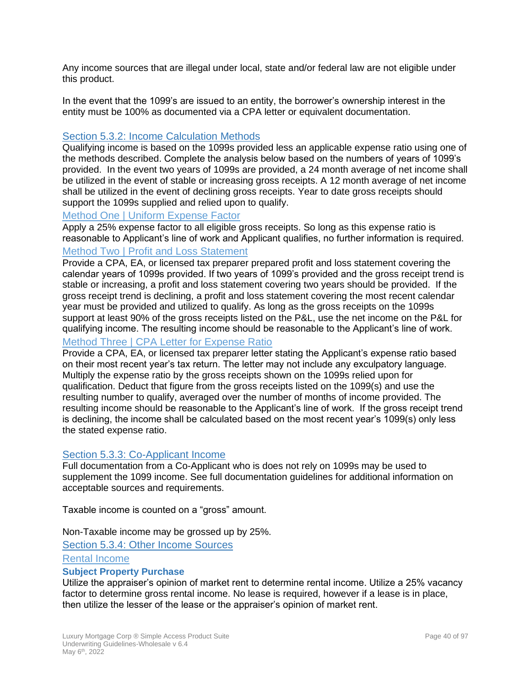Any income sources that are illegal under local, state and/or federal law are not eligible under this product.

In the event that the 1099's are issued to an entity, the borrower's ownership interest in the entity must be 100% as documented via a CPA letter or equivalent documentation.

### Section 5.3.2: Income Calculation Methods

Qualifying income is based on the 1099s provided less an applicable expense ratio using one of the methods described. Complete the analysis below based on the numbers of years of 1099's provided. In the event two years of 1099s are provided, a 24 month average of net income shall be utilized in the event of stable or increasing gross receipts. A 12 month average of net income shall be utilized in the event of declining gross receipts. Year to date gross receipts should support the 1099s supplied and relied upon to qualify.

#### Method One | Uniform Expense Factor

Apply a 25% expense factor to all eligible gross receipts. So long as this expense ratio is reasonable to Applicant's line of work and Applicant qualifies, no further information is required.

### Method Two | Profit and Loss Statement

Provide a CPA, EA, or licensed tax preparer prepared profit and loss statement covering the calendar years of 1099s provided. If two years of 1099's provided and the gross receipt trend is stable or increasing, a profit and loss statement covering two years should be provided. If the gross receipt trend is declining, a profit and loss statement covering the most recent calendar year must be provided and utilized to qualify. As long as the gross receipts on the 1099s support at least 90% of the gross receipts listed on the P&L, use the net income on the P&L for qualifying income. The resulting income should be reasonable to the Applicant's line of work.

### Method Three | CPA Letter for Expense Ratio

Provide a CPA, EA, or licensed tax preparer letter stating the Applicant's expense ratio based on their most recent year's tax return. The letter may not include any exculpatory language. Multiply the expense ratio by the gross receipts shown on the 1099s relied upon for qualification. Deduct that figure from the gross receipts listed on the 1099(s) and use the resulting number to qualify, averaged over the number of months of income provided. The resulting income should be reasonable to the Applicant's line of work. If the gross receipt trend is declining, the income shall be calculated based on the most recent year's 1099(s) only less the stated expense ratio.

### Section 5.3.3: Co-Applicant Income

Full documentation from a Co-Applicant who is does not rely on 1099s may be used to supplement the 1099 income. See full documentation guidelines for additional information on acceptable sources and requirements.

Taxable income is counted on a "gross" amount.

Non-Taxable income may be grossed up by 25%.

Section 5.3.4: Other Income Sources

Rental Income

#### **Subject Property Purchase**

Utilize the appraiser's opinion of market rent to determine rental income. Utilize a 25% vacancy factor to determine gross rental income. No lease is required, however if a lease is in place, then utilize the lesser of the lease or the appraiser's opinion of market rent.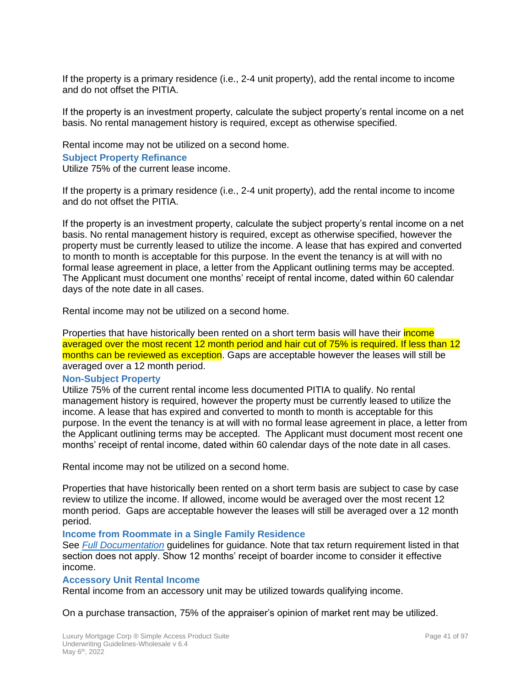If the property is a primary residence (i.e., 2-4 unit property), add the rental income to income and do not offset the PITIA.

If the property is an investment property, calculate the subject property's rental income on a net basis. No rental management history is required, except as otherwise specified.

Rental income may not be utilized on a second home. **Subject Property Refinance** Utilize 75% of the current lease income.

If the property is a primary residence (i.e., 2-4 unit property), add the rental income to income and do not offset the PITIA.

If the property is an investment property, calculate the subject property's rental income on a net basis. No rental management history is required, except as otherwise specified, however the property must be currently leased to utilize the income. A lease that has expired and converted to month to month is acceptable for this purpose. In the event the tenancy is at will with no formal lease agreement in place, a letter from the Applicant outlining terms may be accepted. The Applicant must document one months' receipt of rental income, dated within 60 calendar days of the note date in all cases.

Rental income may not be utilized on a second home.

Properties that have historically been rented on a short term basis will have their *income* averaged over the most recent 12 month period and hair cut of 75% is required. If less than 12 months can be reviewed as exception. Gaps are acceptable however the leases will still be averaged over a 12 month period.

#### **Non-Subject Property**

Utilize 75% of the current rental income less documented PITIA to qualify. No rental management history is required, however the property must be currently leased to utilize the income. A lease that has expired and converted to month to month is acceptable for this purpose. In the event the tenancy is at will with no formal lease agreement in place, a letter from the Applicant outlining terms may be accepted. The Applicant must document most recent one months' receipt of rental income, dated within 60 calendar days of the note date in all cases.

Rental income may not be utilized on a second home.

Properties that have historically been rented on a short term basis are subject to case by case review to utilize the income. If allowed, income would be averaged over the most recent 12 month period. Gaps are acceptable however the leases will still be averaged over a 12 month period.

#### **Income from Roommate in a Single Family Residence**

See *[Full Docu](#page-25-0)mentation* guidelines for guidance. Note that tax return requirement listed in that section does not apply. Show 12 months' receipt of boarder income to consider it effective income.

#### **Accessory Unit Rental Income**

Rental income from an accessory unit may be utilized towards qualifying income.

On a purchase transaction, 75% of the appraiser's opinion of market rent may be utilized.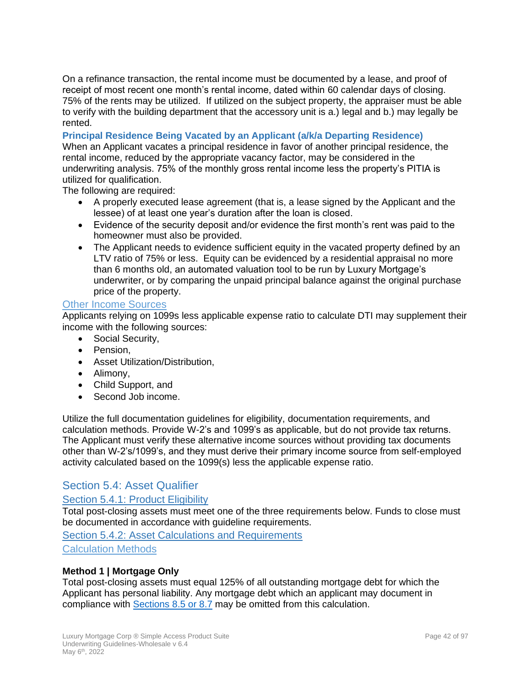On a refinance transaction, the rental income must be documented by a lease, and proof of receipt of most recent one month's rental income, dated within 60 calendar days of closing. 75% of the rents may be utilized. If utilized on the subject property, the appraiser must be able to verify with the building department that the accessory unit is a.) legal and b.) may legally be rented.

**Principal Residence Being Vacated by an Applicant (a/k/a Departing Residence)**

When an Applicant vacates a principal residence in favor of another principal residence, the rental income, reduced by the appropriate vacancy factor, may be considered in the underwriting analysis. 75% of the monthly gross rental income less the property's PITIA is utilized for qualification.

The following are required:

- A properly executed lease agreement (that is, a lease signed by the Applicant and the lessee) of at least one year's duration after the loan is closed.
- Evidence of the security deposit and/or evidence the first month's rent was paid to the homeowner must also be provided.
- The Applicant needs to evidence sufficient equity in the vacated property defined by an LTV ratio of 75% or less. Equity can be evidenced by a residential appraisal no more than 6 months old, an automated valuation tool to be run by Luxury Mortgage's underwriter, or by comparing the unpaid principal balance against the original purchase price of the property.

### Other Income Sources

Applicants relying on 1099s less applicable expense ratio to calculate DTI may supplement their income with the following sources:

- Social Security,
- Pension,
- Asset Utilization/Distribution,
- Alimony,
- Child Support, and
- <span id="page-41-1"></span>• Second Job income.

Utilize the full documentation guidelines for eligibility, documentation requirements, and calculation methods. Provide W-2's and 1099's as applicable, but do not provide tax returns. The Applicant must verify these alternative income sources without providing tax documents other than W-2's/1099's, and they must derive their primary income source from self-employed activity calculated based on the 1099(s) less the applicable expense ratio.

## Section 5.4: Asset Qualifier

# Section 5.4.1: Product Eligibility

Total post-closing assets must meet one of the three requirements below. Funds to close must be documented in accordance with guideline requirements.

<span id="page-41-0"></span>Section 5.4.2: Asset Calculations and Requirements Calculation Methods

#### **Method 1 | Mortgage Only**

Total post-closing assets must equal 125% of all outstanding mortgage debt for which the Applicant has personal liability. Any mortgage debt which an applicant may document in compliance with Sections 8.5 or 8.7 may be omitted from this calculation.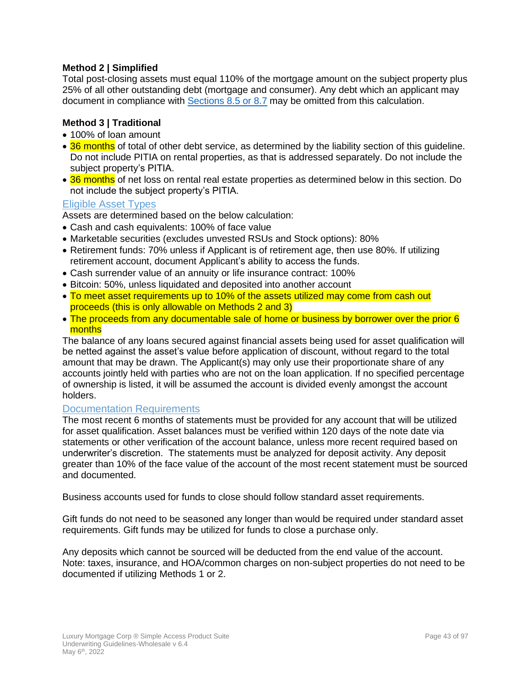### **Method 2 | Simplified**

Total post-closing assets must equal 110% of the mortgage amount on the subject property plus 25% of all other outstanding debt (mortgage and consumer). Any debt which an applicant may document in compliance with Sections 8.5 or 8.7 may be omitted from this calculation.

### **Method 3 | Traditional**

- 100% of loan amount
- 36 months of total of other debt service, as determined by the liability section of this quideline. Do not include PITIA on rental properties, as that is addressed separately. Do not include the subject property's PITIA.
- 36 months of net loss on rental real estate properties as determined below in this section. Do not include the subject property's PITIA.

### Eligible Asset Types

Assets are determined based on the below calculation:

- Cash and cash equivalents: 100% of face value
- Marketable securities (excludes unvested RSUs and Stock options): 80%
- Retirement funds: 70% unless if Applicant is of retirement age, then use 80%. If utilizing retirement account, document Applicant's ability to access the funds.
- Cash surrender value of an annuity or life insurance contract: 100%
- Bitcoin: 50%, unless liquidated and deposited into another account
- To meet asset requirements up to 10% of the assets utilized may come from cash out proceeds (this is only allowable on Methods 2 and 3)
- The proceeds from any documentable sale of home or business by borrower over the prior 6 months

The balance of any loans secured against financial assets being used for asset qualification will be netted against the asset's value before application of discount, without regard to the total amount that may be drawn. The Applicant(s) may only use their proportionate share of any accounts jointly held with parties who are not on the loan application. If no specified percentage of ownership is listed, it will be assumed the account is divided evenly amongst the account holders.

#### Documentation Requirements

The most recent 6 months of statements must be provided for any account that will be utilized for asset qualification. Asset balances must be verified within 120 days of the note date via statements or other verification of the account balance, unless more recent required based on underwriter's discretion. The statements must be analyzed for deposit activity. Any deposit greater than 10% of the face value of the account of the most recent statement must be sourced and documented.

Business accounts used for funds to close should follow standard asset requirements.

Gift funds do not need to be seasoned any longer than would be required under standard asset requirements. Gift funds may be utilized for funds to close a purchase only.

Any deposits which cannot be sourced will be deducted from the end value of the account. Note: taxes, insurance, and HOA/common charges on non-subject properties do not need to be documented if utilizing Methods 1 or 2.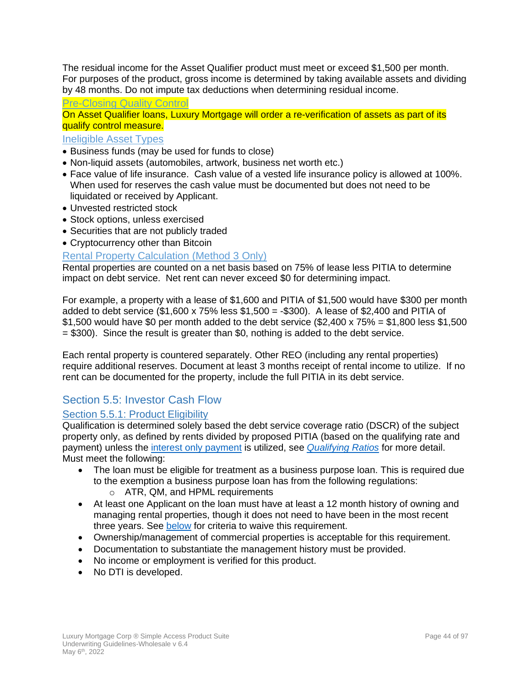The residual income for the Asset Qualifier product must meet or exceed \$1,500 per month. For purposes of the product, gross income is determined by taking available assets and dividing by 48 months. Do not impute tax deductions when determining residual income.

Pre-Closing Quality Control

On Asset Qualifier loans, Luxury Mortgage will order a re-verification of assets as part of its qualify control measure.

### Ineligible Asset Types

- Business funds (may be used for funds to close)
- Non-liquid assets (automobiles, artwork, business net worth etc.)
- Face value of life insurance. Cash value of a vested life insurance policy is allowed at 100%. When used for reserves the cash value must be documented but does not need to be liquidated or received by Applicant.
- Unvested restricted stock
- Stock options, unless exercised
- Securities that are not publicly traded
- Cryptocurrency other than Bitcoin

### Rental Property Calculation (Method 3 Only)

Rental properties are counted on a net basis based on 75% of lease less PITIA to determine impact on debt service. Net rent can never exceed \$0 for determining impact.

For example, a property with a lease of \$1,600 and PITIA of \$1,500 would have \$300 per month added to debt service (\$1,600 x 75% less \$1,500 = -\$300). A lease of \$2,400 and PITIA of \$1,500 would have \$0 per month added to the debt service  $(\$2,400 \times 75\% = \$1,800$  less  $\$1,500$ = \$300). Since the result is greater than \$0, nothing is added to the debt service.

Each rental property is countered separately. Other REO (including any rental properties) require additional reserves. Document at least 3 months receipt of rental income to utilize. If no rent can be documented for the property, include the full PITIA in its debt service.

# Section 5.5: Investor Cash Flow

### Section 5.5.1: Product Eligibility

Qualification is determined solely based the debt service coverage ratio (DSCR) of the subject property only, as defined by rents divided by proposed PITIA (based on the qualifying rate and payment) unless the [interest only payment](#page-44-0) is utilized, see *[Qualifying Ratios](#page-73-0)* for more detail. Must meet the following:

- The loan must be eligible for treatment as a business purpose loan. This is required due to the exemption a business purpose loan has from the following regulations:
	- o ATR, QM, and HPML requirements
- At least one Applicant on the loan must have at least a 12 month history of owning and managing rental properties, though it does not need to have been in the most recent three years. See [below](#page-44-1) for criteria to waive this requirement.
- Ownership/management of commercial properties is acceptable for this requirement.
- Documentation to substantiate the management history must be provided.
- No income or employment is verified for this product.
- No DTI is developed.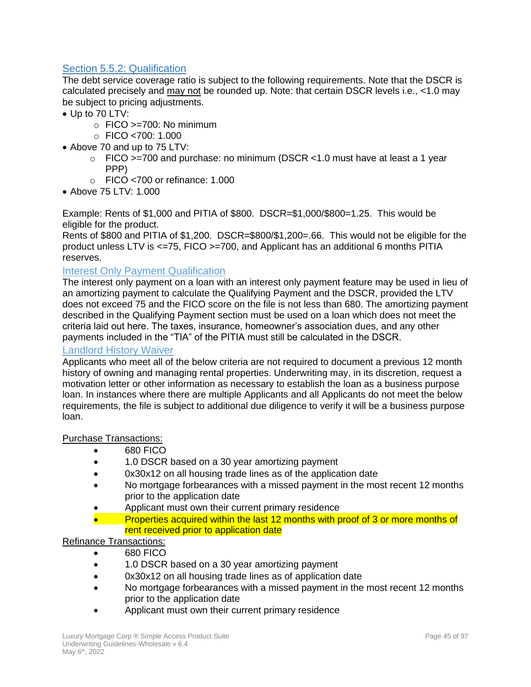# Section 5.5.2: Qualification

The debt service coverage ratio is subject to the following requirements. Note that the DSCR is calculated precisely and may not be rounded up. Note: that certain DSCR levels i.e., <1.0 may be subject to pricing adjustments.

- Up to 70 LTV:
	- $\circ$  FICO >=700: No minimum
	- $\circ$  FICO <700: 1.000
- Above 70 and up to 75 LTV:
	- $\circ$  FICO >=700 and purchase: no minimum (DSCR <1.0 must have at least a 1 year PPP)
	- o FICO <700 or refinance: 1.000
- Above 75 LTV: 1.000

Example: Rents of \$1,000 and PITIA of \$800. DSCR=\$1,000/\$800=1.25. This would be eligible for the product.

Rents of \$800 and PITIA of \$1,200. DSCR=\$800/\$1,200=.66. This would not be eligible for the product unless LTV is <=75, FICO >=700, and Applicant has an additional 6 months PITIA reserves.

### <span id="page-44-0"></span>Interest Only Payment Qualification

The interest only payment on a loan with an interest only payment feature may be used in lieu of an amortizing payment to calculate the Qualifying Payment and the DSCR, provided the LTV does not exceed 75 and the FICO score on the file is not less than 680. The amortizing payment described in the Qualifying Payment section must be used on a loan which does not meet the criteria laid out here. The taxes, insurance, homeowner's association dues, and any other payments included in the "TIA" of the PITIA must still be calculated in the DSCR.

### <span id="page-44-1"></span>Landlord History Waiver

Applicants who meet all of the below criteria are not required to document a previous 12 month history of owning and managing rental properties. Underwriting may, in its discretion, request a motivation letter or other information as necessary to establish the loan as a business purpose loan. In instances where there are multiple Applicants and all Applicants do not meet the below requirements, the file is subject to additional due diligence to verify it will be a business purpose loan.

#### Purchase Transactions:

- 680 FICO
- 1.0 DSCR based on a 30 year amortizing payment
- 0x30x12 on all housing trade lines as of the application date
- No mortgage forbearances with a missed payment in the most recent 12 months prior to the application date
- Applicant must own their current primary residence
- Properties acquired within the last 12 months with proof of 3 or more months of rent received prior to application date

### Refinance Transactions:

- 680 FICO
- 1.0 DSCR based on a 30 year amortizing payment
- 0x30x12 on all housing trade lines as of application date
- No mortgage forbearances with a missed payment in the most recent 12 months prior to the application date
- Applicant must own their current primary residence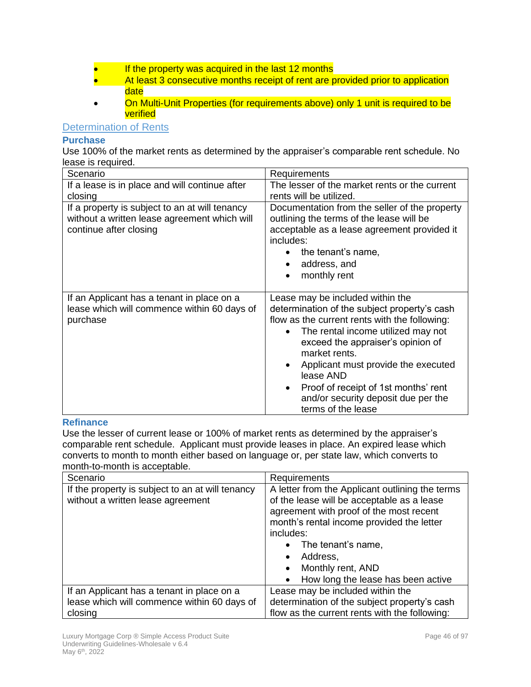- If the property was acquired in the last 12 months
- At least 3 consecutive months receipt of rent are provided prior to application date
- Cn Multi-Unit Properties (for requirements above) only 1 unit is required to be verified

### Determination of Rents

### **Purchase**

Use 100% of the market rents as determined by the appraiser's comparable rent schedule. No lease is required.

| Scenario                                                                                                                 | Requirements                                                                                                                                                                                                                                                                                                                                                                                                                  |
|--------------------------------------------------------------------------------------------------------------------------|-------------------------------------------------------------------------------------------------------------------------------------------------------------------------------------------------------------------------------------------------------------------------------------------------------------------------------------------------------------------------------------------------------------------------------|
| If a lease is in place and will continue after                                                                           | The lesser of the market rents or the current                                                                                                                                                                                                                                                                                                                                                                                 |
| closing                                                                                                                  | rents will be utilized.                                                                                                                                                                                                                                                                                                                                                                                                       |
| If a property is subject to an at will tenancy<br>without a written lease agreement which will<br>continue after closing | Documentation from the seller of the property<br>outlining the terms of the lease will be<br>acceptable as a lease agreement provided it<br>includes:<br>the tenant's name,<br>address, and<br>$\bullet$<br>monthly rent<br>$\bullet$                                                                                                                                                                                         |
| If an Applicant has a tenant in place on a<br>lease which will commence within 60 days of<br>purchase                    | Lease may be included within the<br>determination of the subject property's cash<br>flow as the current rents with the following:<br>The rental income utilized may not<br>$\bullet$<br>exceed the appraiser's opinion of<br>market rents.<br>Applicant must provide the executed<br>$\bullet$<br>lease AND<br>Proof of receipt of 1st months' rent<br>$\bullet$<br>and/or security deposit due per the<br>terms of the lease |

#### **Refinance**

Use the lesser of current lease or 100% of market rents as determined by the appraiser's comparable rent schedule. Applicant must provide leases in place. An expired lease which converts to month to month either based on language or, per state law, which converts to month-to-month is acceptable.

| Scenario                                         | <b>Requirements</b>                             |
|--------------------------------------------------|-------------------------------------------------|
| If the property is subject to an at will tenancy | A letter from the Applicant outlining the terms |
| without a written lease agreement                | of the lease will be acceptable as a lease      |
|                                                  | agreement with proof of the most recent         |
|                                                  | month's rental income provided the letter       |
|                                                  | includes:                                       |
|                                                  | $\bullet$ The tenant's name,                    |
|                                                  | Address,<br>$\bullet$                           |
|                                                  | Monthly rent, AND<br>$\bullet$                  |
|                                                  | How long the lease has been active              |
| If an Applicant has a tenant in place on a       | Lease may be included within the                |
| lease which will commence within 60 days of      | determination of the subject property's cash    |
| closing                                          | flow as the current rents with the following:   |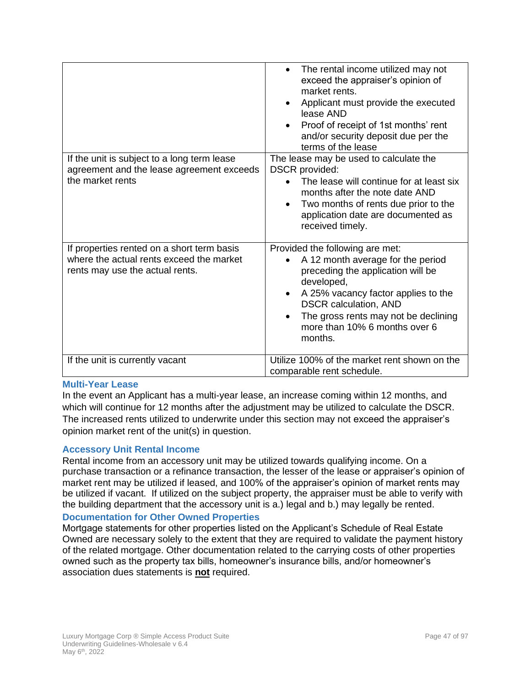| If the unit is subject to a long term lease<br>agreement and the lease agreement exceeds<br>the market rents              | The rental income utilized may not<br>$\bullet$<br>exceed the appraiser's opinion of<br>market rents.<br>Applicant must provide the executed<br>lease AND<br>Proof of receipt of 1st months' rent<br>$\bullet$<br>and/or security deposit due per the<br>terms of the lease<br>The lease may be used to calculate the<br><b>DSCR</b> provided:<br>The lease will continue for at least six<br>months after the note date AND<br>Two months of rents due prior to the<br>application date are documented as<br>received timely. |
|---------------------------------------------------------------------------------------------------------------------------|--------------------------------------------------------------------------------------------------------------------------------------------------------------------------------------------------------------------------------------------------------------------------------------------------------------------------------------------------------------------------------------------------------------------------------------------------------------------------------------------------------------------------------|
| If properties rented on a short term basis<br>where the actual rents exceed the market<br>rents may use the actual rents. | Provided the following are met:<br>A 12 month average for the period<br>preceding the application will be<br>developed,<br>A 25% vacancy factor applies to the<br>$\bullet$<br><b>DSCR</b> calculation, AND<br>The gross rents may not be declining<br>$\bullet$<br>more than 10% 6 months over 6<br>months.                                                                                                                                                                                                                   |
| If the unit is currently vacant                                                                                           | Utilize 100% of the market rent shown on the<br>comparable rent schedule.                                                                                                                                                                                                                                                                                                                                                                                                                                                      |

### **Multi-Year Lease**

In the event an Applicant has a multi-year lease, an increase coming within 12 months, and which will continue for 12 months after the adjustment may be utilized to calculate the DSCR. The increased rents utilized to underwrite under this section may not exceed the appraiser's opinion market rent of the unit(s) in question.

### **Accessory Unit Rental Income**

Rental income from an accessory unit may be utilized towards qualifying income. On a purchase transaction or a refinance transaction, the lesser of the lease or appraiser's opinion of market rent may be utilized if leased, and 100% of the appraiser's opinion of market rents may be utilized if vacant. If utilized on the subject property, the appraiser must be able to verify with the building department that the accessory unit is a.) legal and b.) may legally be rented.

### **Documentation for Other Owned Properties**

Mortgage statements for other properties listed on the Applicant's Schedule of Real Estate Owned are necessary solely to the extent that they are required to validate the payment history of the related mortgage. Other documentation related to the carrying costs of other properties owned such as the property tax bills, homeowner's insurance bills, and/or homeowner's association dues statements is **not** required.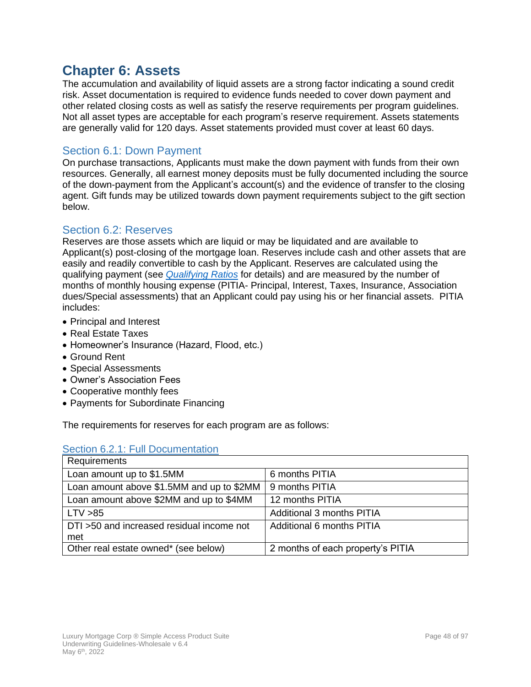# **Chapter 6: Assets**

The accumulation and availability of liquid assets are a strong factor indicating a sound credit risk. Asset documentation is required to evidence funds needed to cover down payment and other related closing costs as well as satisfy the reserve requirements per program guidelines. Not all asset types are acceptable for each program's reserve requirement. Assets statements are generally valid for 120 days. Asset statements provided must cover at least 60 days.

# Section 6.1: Down Payment

On purchase transactions, Applicants must make the down payment with funds from their own resources. Generally, all earnest money deposits must be fully documented including the source of the down-payment from the Applicant's account(s) and the evidence of transfer to the closing agent. Gift funds may be utilized towards down payment requirements subject to the gift section below.

### Section 6.2: Reserves

Reserves are those assets which are liquid or may be liquidated and are available to Applicant(s) post-closing of the mortgage loan. Reserves include cash and other assets that are easily and readily convertible to cash by the Applicant. Reserves are calculated using the qualifying payment (see *[Qualifying Ratios](#page-73-0)* for details) and are measured by the number of months of monthly housing expense (PITIA- Principal, Interest, Taxes, Insurance, Association dues/Special assessments) that an Applicant could pay using his or her financial assets. PITIA includes:

- Principal and Interest
- Real Estate Taxes
- Homeowner's Insurance (Hazard, Flood, etc.)
- Ground Rent
- Special Assessments
- Owner's Association Fees
- Cooperative monthly fees
- Payments for Subordinate Financing

The requirements for reserves for each program are as follows:

| Section 6.2.1: Full Documentation |  |
|-----------------------------------|--|
|-----------------------------------|--|

| Requirements                              |                                   |
|-------------------------------------------|-----------------------------------|
| Loan amount up to \$1.5MM                 | 6 months PITIA                    |
| Loan amount above \$1.5MM and up to \$2MM | 9 months PITIA                    |
| Loan amount above \$2MM and up to \$4MM   | 12 months PITIA                   |
| LTV > 85                                  | Additional 3 months PITIA         |
| DTI >50 and increased residual income not | Additional 6 months PITIA         |
| met                                       |                                   |
| Other real estate owned* (see below)      | 2 months of each property's PITIA |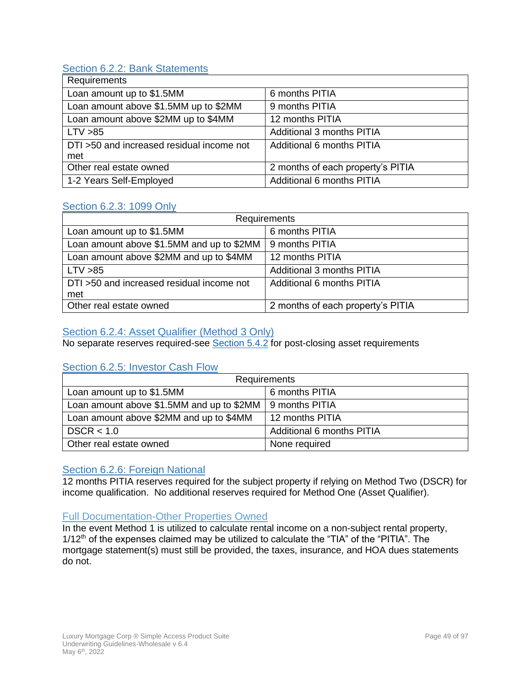# Section 6.2.2: Bank Statements

| Requirements                                     |                                   |
|--------------------------------------------------|-----------------------------------|
| Loan amount up to \$1.5MM                        | 6 months PITIA                    |
| Loan amount above \$1.5MM up to \$2MM            | 9 months PITIA                    |
| Loan amount above \$2MM up to \$4MM              | 12 months PITIA                   |
| LTV > 85                                         | Additional 3 months PITIA         |
| DTI >50 and increased residual income not<br>met | Additional 6 months PITIA         |
| Other real estate owned                          | 2 months of each property's PITIA |
| 1-2 Years Self-Employed                          | Additional 6 months PITIA         |

### Section 6.2.3: 1099 Only

| Requirements                                     |                                   |
|--------------------------------------------------|-----------------------------------|
| Loan amount up to \$1.5MM                        | 6 months PITIA                    |
| Loan amount above \$1.5MM and up to \$2MM        | 9 months PITIA                    |
| Loan amount above \$2MM and up to \$4MM          | 12 months PITIA                   |
| LTV > 85                                         | Additional 3 months PITIA         |
| DTI >50 and increased residual income not<br>met | Additional 6 months PITIA         |
| Other real estate owned                          | 2 months of each property's PITIA |

## Section 6.2.4: Asset Qualifier (Method 3 Only)

No separate reserves required-see **Section 5.4.2** for post-closing asset requirements

## Section 6.2.5: Investor Cash Flow

| Requirements                              |                           |
|-------------------------------------------|---------------------------|
| Loan amount up to \$1.5MM                 | 6 months PITIA            |
| Loan amount above \$1.5MM and up to \$2MM | 9 months PITIA            |
| Loan amount above \$2MM and up to \$4MM   | 12 months PITIA           |
| DSCR < 1.0                                | Additional 6 months PITIA |
| Other real estate owned                   | None required             |

## Section 6.2.6: Foreign National

12 months PITIA reserves required for the subject property if relying on Method Two (DSCR) for income qualification. No additional reserves required for Method One (Asset Qualifier).

### Full Documentation-Other Properties Owned

In the event Method 1 is utilized to calculate rental income on a non-subject rental property,  $1/12<sup>th</sup>$  of the expenses claimed may be utilized to calculate the "TIA" of the "PITIA". The mortgage statement(s) must still be provided, the taxes, insurance, and HOA dues statements do not.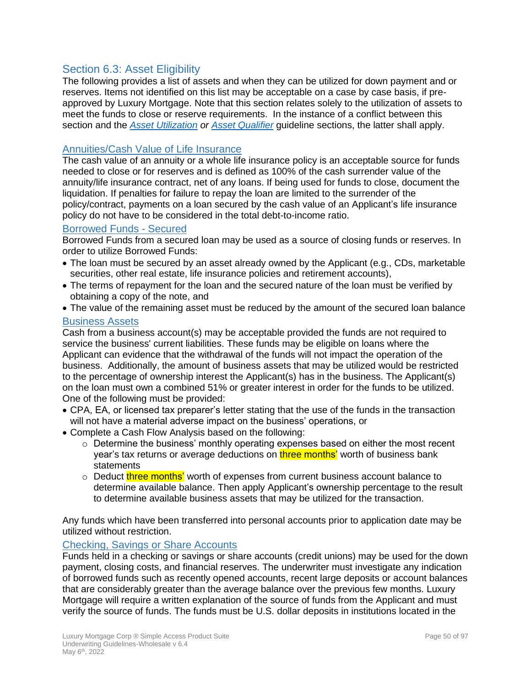# Section 6.3: Asset Eligibility

The following provides a list of assets and when they can be utilized for down payment and or reserves. Items not identified on this list may be acceptable on a case by case basis, if preapproved by Luxury Mortgage. Note that this section relates solely to the utilization of assets to meet the funds to close or reserve requirements. In the instance of a conflict between this section and the *[Asset Utilization](#page-22-0) or [Asset Qualifier](#page-41-1)* guideline sections, the latter shall apply.

### Annuities/Cash Value of Life Insurance

The cash value of an annuity or a whole life insurance policy is an acceptable source for funds needed to close or for reserves and is defined as 100% of the cash surrender value of the annuity/life insurance contract, net of any loans. If being used for funds to close, document the liquidation. If penalties for failure to repay the loan are limited to the surrender of the policy/contract, payments on a loan secured by the cash value of an Applicant's life insurance policy do not have to be considered in the total debt-to-income ratio.

### Borrowed Funds - Secured

Borrowed Funds from a secured loan may be used as a source of closing funds or reserves. In order to utilize Borrowed Funds:

- The loan must be secured by an asset already owned by the Applicant (e.g., CDs, marketable securities, other real estate, life insurance policies and retirement accounts),
- The terms of repayment for the loan and the secured nature of the loan must be verified by obtaining a copy of the note, and
- The value of the remaining asset must be reduced by the amount of the secured loan balance

### Business Assets

Cash from a business account(s) may be acceptable provided the funds are not required to service the business' current liabilities. These funds may be eligible on loans where the Applicant can evidence that the withdrawal of the funds will not impact the operation of the business. Additionally, the amount of business assets that may be utilized would be restricted to the percentage of ownership interest the Applicant(s) has in the business. The Applicant(s) on the loan must own a combined 51% or greater interest in order for the funds to be utilized. One of the following must be provided:

- CPA, EA, or licensed tax preparer's letter stating that the use of the funds in the transaction will not have a material adverse impact on the business' operations, or
- Complete a Cash Flow Analysis based on the following:
	- o Determine the business' monthly operating expenses based on either the most recent year's tax returns or average deductions on **three months'** worth of business bank statements
	- $\circ$  Deduct three months' worth of expenses from current business account balance to determine available balance. Then apply Applicant's ownership percentage to the result to determine available business assets that may be utilized for the transaction.

Any funds which have been transferred into personal accounts prior to application date may be utilized without restriction.

### Checking, Savings or Share Accounts

Funds held in a checking or savings or share accounts (credit unions) may be used for the down payment, closing costs, and financial reserves. The underwriter must investigate any indication of borrowed funds such as recently opened accounts, recent large deposits or account balances that are considerably greater than the average balance over the previous few months. Luxury Mortgage will require a written explanation of the source of funds from the Applicant and must verify the source of funds. The funds must be U.S. dollar deposits in institutions located in the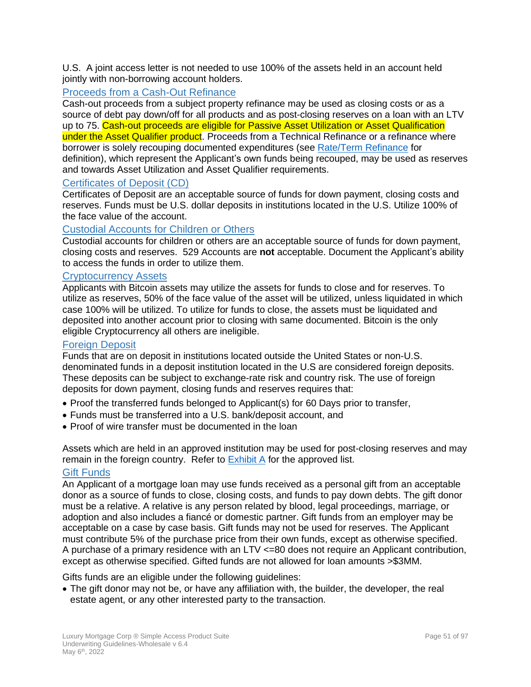U.S. A joint access letter is not needed to use 100% of the assets held in an account held jointly with non-borrowing account holders.

## Proceeds from a Cash-Out Refinance

Cash-out proceeds from a subject property refinance may be used as closing costs or as a source of debt pay down/off for all products and as post-closing reserves on a loan with an LTV up to 75. Cash-out proceeds are eligible for Passive Asset Utilization or Asset Qualification under the Asset Qualifier product. Proceeds from a Technical Refinance or a refinance where borrower is solely recouping documented expenditures (see [Rate/Term Refinance](#page-11-0) for definition), which represent the Applicant's own funds being recouped, may be used as reserves and towards Asset Utilization and Asset Qualifier requirements.

### Certificates of Deposit (CD)

Certificates of Deposit are an acceptable source of funds for down payment, closing costs and reserves. Funds must be U.S. dollar deposits in institutions located in the U.S. Utilize 100% of the face value of the account.

### Custodial Accounts for Children or Others

Custodial accounts for children or others are an acceptable source of funds for down payment, closing costs and reserves. 529 Accounts are **not** acceptable. Document the Applicant's ability to access the funds in order to utilize them.

#### Cryptocurrency Assets

Applicants with Bitcoin assets may utilize the assets for funds to close and for reserves. To utilize as reserves, 50% of the face value of the asset will be utilized, unless liquidated in which case 100% will be utilized. To utilize for funds to close, the assets must be liquidated and deposited into another account prior to closing with same documented. Bitcoin is the only eligible Cryptocurrency all others are ineligible.

#### **Foreign Deposit**

Funds that are on deposit in institutions located outside the United States or non-U.S. denominated funds in a deposit institution located in the U.S are considered foreign deposits. These deposits can be subject to exchange-rate risk and country risk. The use of foreign deposits for down payment, closing funds and reserves requires that:

- Proof the transferred funds belonged to Applicant(s) for 60 Days prior to transfer,
- Funds must be transferred into a U.S. bank/deposit account, and
- Proof of wire transfer must be documented in the loan

Assets which are held in an approved institution may be used for post-closing reserves and may remain in the foreign country. Refer to [Exhibit A](#page-91-0) for the approved list.

### Gift Funds

An Applicant of a mortgage loan may use funds received as a personal gift from an acceptable donor as a source of funds to close, closing costs, and funds to pay down debts. The gift donor must be a relative. A relative is any person related by blood, legal proceedings, marriage, or adoption and also includes a fiancé or domestic partner. Gift funds from an employer may be acceptable on a case by case basis. Gift funds may not be used for reserves. The Applicant must contribute 5% of the purchase price from their own funds, except as otherwise specified. A purchase of a primary residence with an LTV <=80 does not require an Applicant contribution, except as otherwise specified. Gifted funds are not allowed for loan amounts >\$3MM.

Gifts funds are an eligible under the following guidelines:

• The gift donor may not be, or have any affiliation with, the builder, the developer, the real estate agent, or any other interested party to the transaction.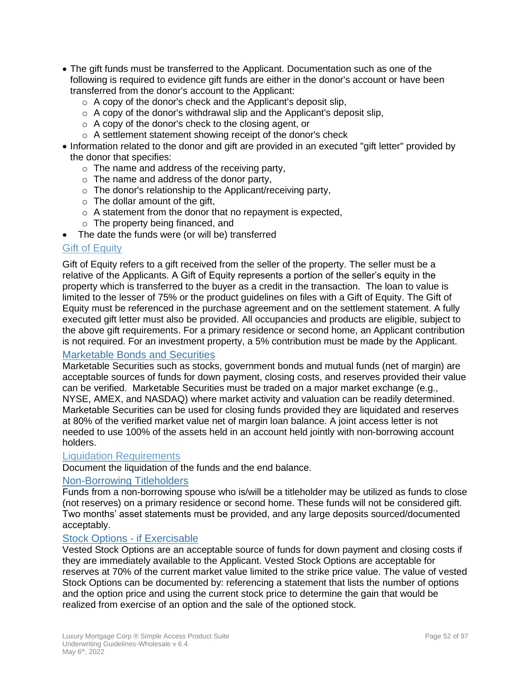- The gift funds must be transferred to the Applicant. Documentation such as one of the following is required to evidence gift funds are either in the donor's account or have been transferred from the donor's account to the Applicant:
	- $\circ$  A copy of the donor's check and the Applicant's deposit slip,
	- $\circ$  A copy of the donor's withdrawal slip and the Applicant's deposit slip,
	- o A copy of the donor's check to the closing agent, or
	- o A settlement statement showing receipt of the donor's check
- Information related to the donor and gift are provided in an executed "gift letter" provided by the donor that specifies:
	- $\circ$  The name and address of the receiving party,
	- $\circ$  The name and address of the donor party,
	- o The donor's relationship to the Applicant/receiving party,
	- $\circ$  The dollar amount of the gift,
	- $\circ$  A statement from the donor that no repayment is expected,
	- $\circ$  The property being financed, and
- The date the funds were (or will be) transferred

### Gift of Equity

Gift of Equity refers to a gift received from the seller of the property. The seller must be a relative of the Applicants. A Gift of Equity represents a portion of the seller's equity in the property which is transferred to the buyer as a credit in the transaction. The loan to value is limited to the lesser of 75% or the product guidelines on files with a Gift of Equity. The Gift of Equity must be referenced in the purchase agreement and on the settlement statement. A fully executed gift letter must also be provided. All occupancies and products are eligible, subject to the above gift requirements. For a primary residence or second home, an Applicant contribution is not required. For an investment property, a 5% contribution must be made by the Applicant.

## Marketable Bonds and Securities

Marketable Securities such as stocks, government bonds and mutual funds (net of margin) are acceptable sources of funds for down payment, closing costs, and reserves provided their value can be verified. Marketable Securities must be traded on a major market exchange (e.g., NYSE, AMEX, and NASDAQ) where market activity and valuation can be readily determined. Marketable Securities can be used for closing funds provided they are liquidated and reserves at 80% of the verified market value net of margin loan balance. A joint access letter is not needed to use 100% of the assets held in an account held jointly with non-borrowing account holders.

### Liquidation Requirements

Document the liquidation of the funds and the end balance.

### Non-Borrowing Titleholders

Funds from a non-borrowing spouse who is/will be a titleholder may be utilized as funds to close (not reserves) on a primary residence or second home. These funds will not be considered gift. Two months' asset statements must be provided, and any large deposits sourced/documented acceptably.

### Stock Options - if Exercisable

Vested Stock Options are an acceptable source of funds for down payment and closing costs if they are immediately available to the Applicant. Vested Stock Options are acceptable for reserves at 70% of the current market value limited to the strike price value. The value of vested Stock Options can be documented by: referencing a statement that lists the number of options and the option price and using the current stock price to determine the gain that would be realized from exercise of an option and the sale of the optioned stock.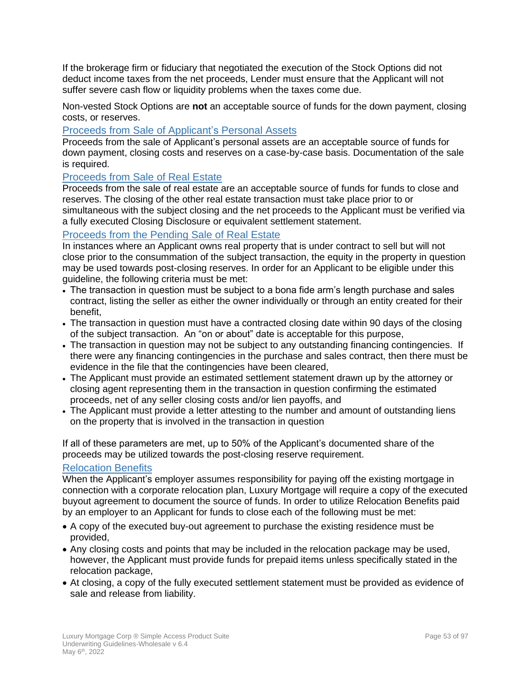If the brokerage firm or fiduciary that negotiated the execution of the Stock Options did not deduct income taxes from the net proceeds, Lender must ensure that the Applicant will not suffer severe cash flow or liquidity problems when the taxes come due.

Non-vested Stock Options are **not** an acceptable source of funds for the down payment, closing costs, or reserves.

### Proceeds from Sale of Applicant's Personal Assets

Proceeds from the sale of Applicant's personal assets are an acceptable source of funds for down payment, closing costs and reserves on a case-by-case basis. Documentation of the sale is required.

### Proceeds from Sale of Real Estate

Proceeds from the sale of real estate are an acceptable source of funds for funds to close and reserves. The closing of the other real estate transaction must take place prior to or simultaneous with the subject closing and the net proceeds to the Applicant must be verified via a fully executed Closing Disclosure or equivalent settlement statement.

### Proceeds from the Pending Sale of Real Estate

In instances where an Applicant owns real property that is under contract to sell but will not close prior to the consummation of the subject transaction, the equity in the property in question may be used towards post-closing reserves. In order for an Applicant to be eligible under this guideline, the following criteria must be met:

- The transaction in question must be subject to a bona fide arm's length purchase and sales contract, listing the seller as either the owner individually or through an entity created for their benefit,
- The transaction in question must have a contracted closing date within 90 days of the closing of the subject transaction. An "on or about" date is acceptable for this purpose,
- The transaction in question may not be subject to any outstanding financing contingencies. If there were any financing contingencies in the purchase and sales contract, then there must be evidence in the file that the contingencies have been cleared,
- The Applicant must provide an estimated settlement statement drawn up by the attorney or closing agent representing them in the transaction in question confirming the estimated proceeds, net of any seller closing costs and/or lien payoffs, and
- The Applicant must provide a letter attesting to the number and amount of outstanding liens on the property that is involved in the transaction in question

If all of these parameters are met, up to 50% of the Applicant's documented share of the proceeds may be utilized towards the post-closing reserve requirement.

### Relocation Benefits

When the Applicant's employer assumes responsibility for paying off the existing mortgage in connection with a corporate relocation plan, Luxury Mortgage will require a copy of the executed buyout agreement to document the source of funds. In order to utilize Relocation Benefits paid by an employer to an Applicant for funds to close each of the following must be met:

- A copy of the executed buy-out agreement to purchase the existing residence must be provided,
- Any closing costs and points that may be included in the relocation package may be used, however, the Applicant must provide funds for prepaid items unless specifically stated in the relocation package,
- At closing, a copy of the fully executed settlement statement must be provided as evidence of sale and release from liability.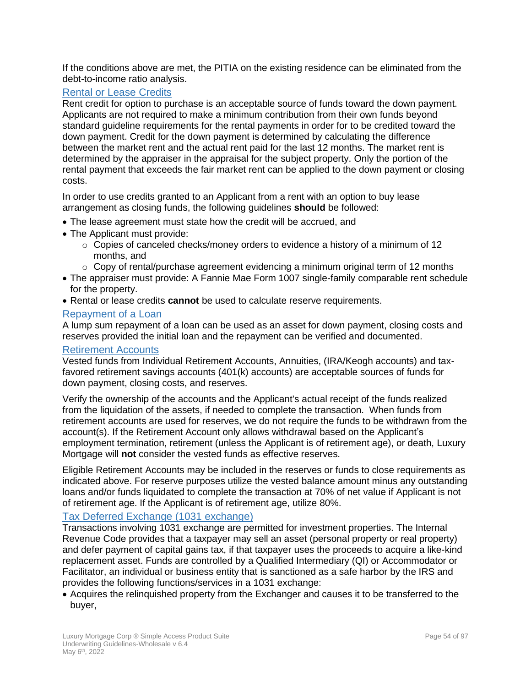If the conditions above are met, the PITIA on the existing residence can be eliminated from the debt-to-income ratio analysis.

### Rental or Lease Credits

Rent credit for option to purchase is an acceptable source of funds toward the down payment. Applicants are not required to make a minimum contribution from their own funds beyond standard guideline requirements for the rental payments in order for to be credited toward the down payment. Credit for the down payment is determined by calculating the difference between the market rent and the actual rent paid for the last 12 months. The market rent is determined by the appraiser in the appraisal for the subject property. Only the portion of the rental payment that exceeds the fair market rent can be applied to the down payment or closing costs.

In order to use credits granted to an Applicant from a rent with an option to buy lease arrangement as closing funds, the following guidelines **should** be followed:

- The lease agreement must state how the credit will be accrued, and
- The Applicant must provide:
	- $\circ$  Copies of canceled checks/money orders to evidence a history of a minimum of 12 months, and
	- $\circ$  Copy of rental/purchase agreement evidencing a minimum original term of 12 months
- The appraiser must provide: A Fannie Mae Form 1007 single-family comparable rent schedule for the property.
- Rental or lease credits **cannot** be used to calculate reserve requirements.

### Repayment of a Loan

A lump sum repayment of a loan can be used as an asset for down payment, closing costs and reserves provided the initial loan and the repayment can be verified and documented.

#### Retirement Accounts

Vested funds from Individual Retirement Accounts, Annuities, (IRA/Keogh accounts) and taxfavored retirement savings accounts (401(k) accounts) are acceptable sources of funds for down payment, closing costs, and reserves.

Verify the ownership of the accounts and the Applicant's actual receipt of the funds realized from the liquidation of the assets, if needed to complete the transaction. When funds from retirement accounts are used for reserves, we do not require the funds to be withdrawn from the account(s). If the Retirement Account only allows withdrawal based on the Applicant's employment termination, retirement (unless the Applicant is of retirement age), or death, Luxury Mortgage will **not** consider the vested funds as effective reserves.

Eligible Retirement Accounts may be included in the reserves or funds to close requirements as indicated above. For reserve purposes utilize the vested balance amount minus any outstanding loans and/or funds liquidated to complete the transaction at 70% of net value if Applicant is not of retirement age. If the Applicant is of retirement age, utilize 80%.

### Tax Deferred Exchange (1031 exchange)

Transactions involving 1031 exchange are permitted for investment properties. The Internal Revenue Code provides that a taxpayer may sell an asset (personal property or real property) and defer payment of capital gains tax, if that taxpayer uses the proceeds to acquire a like-kind replacement asset. Funds are controlled by a Qualified Intermediary (QI) or Accommodator or Facilitator, an individual or business entity that is sanctioned as a safe harbor by the IRS and provides the following functions/services in a 1031 exchange:

• Acquires the relinquished property from the Exchanger and causes it to be transferred to the buyer,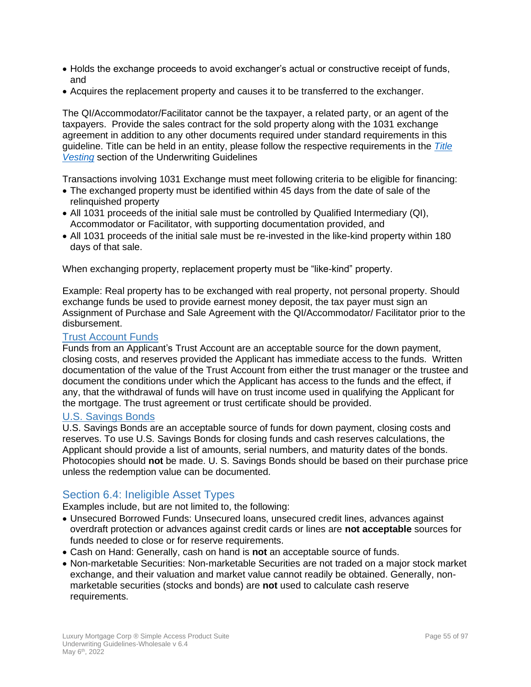- Holds the exchange proceeds to avoid exchanger's actual or constructive receipt of funds, and
- Acquires the replacement property and causes it to be transferred to the exchanger.

The QI/Accommodator/Facilitator cannot be the taxpayer, a related party, or an agent of the taxpayers. Provide the sales contract for the sold property along with the 1031 exchange agreement in addition to any other documents required under standard requirements in this guideline. Title can be held in an entity, please follow the respective requirements in the *[Title](#page-78-0)  [Vesting](#page-78-0)* section of the Underwriting Guidelines

Transactions involving 1031 Exchange must meet following criteria to be eligible for financing:

- The exchanged property must be identified within 45 days from the date of sale of the relinquished property
- All 1031 proceeds of the initial sale must be controlled by Qualified Intermediary (QI), Accommodator or Facilitator, with supporting documentation provided, and
- All 1031 proceeds of the initial sale must be re-invested in the like-kind property within 180 days of that sale.

When exchanging property, replacement property must be "like-kind" property.

Example: Real property has to be exchanged with real property, not personal property. Should exchange funds be used to provide earnest money deposit, the tax payer must sign an Assignment of Purchase and Sale Agreement with the QI/Accommodator/ Facilitator prior to the disbursement.

### Trust Account Funds

Funds from an Applicant's Trust Account are an acceptable source for the down payment, closing costs, and reserves provided the Applicant has immediate access to the funds. Written documentation of the value of the Trust Account from either the trust manager or the trustee and document the conditions under which the Applicant has access to the funds and the effect, if any, that the withdrawal of funds will have on trust income used in qualifying the Applicant for the mortgage. The trust agreement or trust certificate should be provided.

#### U.S. Savings Bonds

U.S. Savings Bonds are an acceptable source of funds for down payment, closing costs and reserves. To use U.S. Savings Bonds for closing funds and cash reserves calculations, the Applicant should provide a list of amounts, serial numbers, and maturity dates of the bonds. Photocopies should **not** be made. U. S. Savings Bonds should be based on their purchase price unless the redemption value can be documented.

## Section 6.4: Ineligible Asset Types

Examples include, but are not limited to, the following:

- Unsecured Borrowed Funds: Unsecured loans, unsecured credit lines, advances against overdraft protection or advances against credit cards or lines are **not acceptable** sources for funds needed to close or for reserve requirements.
- Cash on Hand: Generally, cash on hand is **not** an acceptable source of funds.
- Non-marketable Securities: Non-marketable Securities are not traded on a major stock market exchange, and their valuation and market value cannot readily be obtained. Generally, nonmarketable securities (stocks and bonds) are **not** used to calculate cash reserve requirements.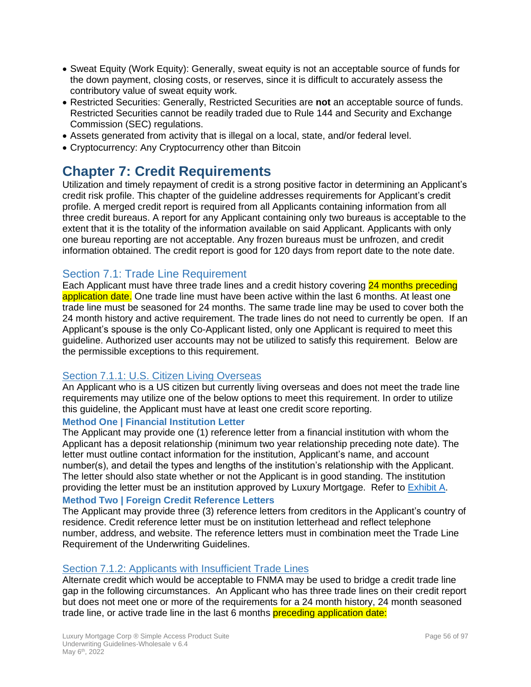- Sweat Equity (Work Equity): Generally, sweat equity is not an acceptable source of funds for the down payment, closing costs, or reserves, since it is difficult to accurately assess the contributory value of sweat equity work.
- Restricted Securities: Generally, Restricted Securities are **not** an acceptable source of funds. Restricted Securities cannot be readily traded due to Rule 144 and Security and Exchange Commission (SEC) regulations.
- Assets generated from activity that is illegal on a local, state, and/or federal level.
- Cryptocurrency: Any Cryptocurrency other than Bitcoin

# **Chapter 7: Credit Requirements**

Utilization and timely repayment of credit is a strong positive factor in determining an Applicant's credit risk profile. This chapter of the guideline addresses requirements for Applicant's credit profile. A merged credit report is required from all Applicants containing information from all three credit bureaus. A report for any Applicant containing only two bureaus is acceptable to the extent that it is the totality of the information available on said Applicant. Applicants with only one bureau reporting are not acceptable. Any frozen bureaus must be unfrozen, and credit information obtained. The credit report is good for 120 days from report date to the note date.

# Section 7.1: Trade Line Requirement

Each Applicant must have three trade lines and a credit history covering 24 months preceding application date. One trade line must have been active within the last 6 months. At least one trade line must be seasoned for 24 months. The same trade line may be used to cover both the 24 month history and active requirement. The trade lines do not need to currently be open. If an Applicant's spouse is the only Co-Applicant listed, only one Applicant is required to meet this guideline. Authorized user accounts may not be utilized to satisfy this requirement. Below are the permissible exceptions to this requirement.

## Section 7.1.1: U.S. Citizen Living Overseas

An Applicant who is a US citizen but currently living overseas and does not meet the trade line requirements may utilize one of the below options to meet this requirement. In order to utilize this guideline, the Applicant must have at least one credit score reporting.

### **Method One | Financial Institution Letter**

The Applicant may provide one (1) reference letter from a financial institution with whom the Applicant has a deposit relationship (minimum two year relationship preceding note date). The letter must outline contact information for the institution, Applicant's name, and account number(s), and detail the types and lengths of the institution's relationship with the Applicant. The letter should also state whether or not the Applicant is in good standing. The institution providing the letter must be an institution approved by Luxury Mortgage. Refer to [Exhibit A.](#page-91-0)

### **Method Two | Foreign Credit Reference Letters**

The Applicant may provide three (3) reference letters from creditors in the Applicant's country of residence. Credit reference letter must be on institution letterhead and reflect telephone number, address, and website. The reference letters must in combination meet the Trade Line Requirement of the Underwriting Guidelines.

## Section 7.1.2: Applicants with Insufficient Trade Lines

Alternate credit which would be acceptable to FNMA may be used to bridge a credit trade line gap in the following circumstances. An Applicant who has three trade lines on their credit report but does not meet one or more of the requirements for a 24 month history, 24 month seasoned trade line, or active trade line in the last 6 months preceding application date: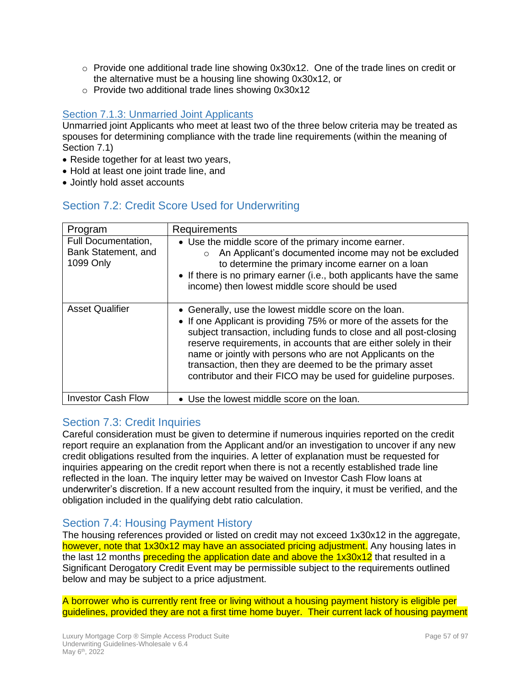- $\circ$  Provide one additional trade line showing 0x30x12. One of the trade lines on credit or the alternative must be a housing line showing 0x30x12, or
- o Provide two additional trade lines showing 0x30x12

### **Section 7.1.3: Unmarried Joint Applicants**

Unmarried joint Applicants who meet at least two of the three below criteria may be treated as spouses for determining compliance with the trade line requirements (within the meaning of Section 7.1)

- Reside together for at least two years,
- Hold at least one joint trade line, and
- Jointly hold asset accounts

# Section 7.2: Credit Score Used for Underwriting

| Program                                                 | Requirements                                                                                                                                                                                                                                                                                                                                                                                                                                                       |
|---------------------------------------------------------|--------------------------------------------------------------------------------------------------------------------------------------------------------------------------------------------------------------------------------------------------------------------------------------------------------------------------------------------------------------------------------------------------------------------------------------------------------------------|
| Full Documentation,<br>Bank Statement, and<br>1099 Only | • Use the middle score of the primary income earner.<br>An Applicant's documented income may not be excluded<br>$\circ$<br>to determine the primary income earner on a loan<br>• If there is no primary earner (i.e., both applicants have the same<br>income) then lowest middle score should be used                                                                                                                                                             |
| <b>Asset Qualifier</b>                                  | • Generally, use the lowest middle score on the loan.<br>• If one Applicant is providing 75% or more of the assets for the<br>subject transaction, including funds to close and all post-closing<br>reserve requirements, in accounts that are either solely in their<br>name or jointly with persons who are not Applicants on the<br>transaction, then they are deemed to be the primary asset<br>contributor and their FICO may be used for guideline purposes. |
| <b>Investor Cash Flow</b>                               | • Use the lowest middle score on the loan.                                                                                                                                                                                                                                                                                                                                                                                                                         |

# Section 7.3: Credit Inquiries

Careful consideration must be given to determine if numerous inquiries reported on the credit report require an explanation from the Applicant and/or an investigation to uncover if any new credit obligations resulted from the inquiries. A letter of explanation must be requested for inquiries appearing on the credit report when there is not a recently established trade line reflected in the loan. The inquiry letter may be waived on Investor Cash Flow loans at underwriter's discretion. If a new account resulted from the inquiry, it must be verified, and the obligation included in the qualifying debt ratio calculation.

## Section 7.4: Housing Payment History

The housing references provided or listed on credit may not exceed 1x30x12 in the aggregate, however, note that 1x30x12 may have an associated pricing adjustment. Any housing lates in the last 12 months preceding the application date and above the 1x30x12 that resulted in a Significant Derogatory Credit Event may be permissible subject to the requirements outlined below and may be subject to a price adjustment.

A borrower who is currently rent free or living without a housing payment history is eligible per guidelines, provided they are not a first time home buyer. Their current lack of housing payment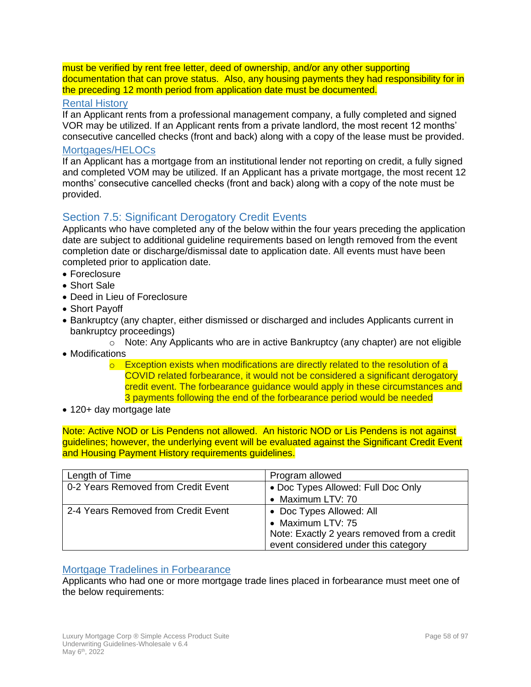must be verified by rent free letter, deed of ownership, and/or any other supporting documentation that can prove status. Also, any housing payments they had responsibility for in the preceding 12 month period from application date must be documented.

### Rental History

If an Applicant rents from a professional management company, a fully completed and signed VOR may be utilized. If an Applicant rents from a private landlord, the most recent 12 months' consecutive cancelled checks (front and back) along with a copy of the lease must be provided.

### Mortgages/HELOC<sub>s</sub>

If an Applicant has a mortgage from an institutional lender not reporting on credit, a fully signed and completed VOM may be utilized. If an Applicant has a private mortgage, the most recent 12 months' consecutive cancelled checks (front and back) along with a copy of the note must be provided.

# Section 7.5: Significant Derogatory Credit Events

Applicants who have completed any of the below within the four years preceding the application date are subject to additional guideline requirements based on length removed from the event completion date or discharge/dismissal date to application date. All events must have been completed prior to application date.

- Foreclosure
- Short Sale
- Deed in Lieu of Foreclosure
- Short Payoff
- Bankruptcy (any chapter, either dismissed or discharged and includes Applicants current in bankruptcy proceedings)
	- $\circ$  Note: Any Applicants who are in active Bankruptcy (any chapter) are not eligible
- Modifications
	- $\circ$  Exception exists when modifications are directly related to the resolution of a COVID related forbearance, it would not be considered a significant derogatory credit event. The forbearance guidance would apply in these circumstances and 3 payments following the end of the forbearance period would be needed
- 120+ day mortgage late

Note: Active NOD or Lis Pendens not allowed. An historic NOD or Lis Pendens is not against guidelines; however, the underlying event will be evaluated against the Significant Credit Event and Housing Payment History requirements guidelines.

| Length of Time                      | Program allowed                             |
|-------------------------------------|---------------------------------------------|
| 0-2 Years Removed from Credit Event | • Doc Types Allowed: Full Doc Only          |
|                                     | • Maximum LTV: 70                           |
| 2-4 Years Removed from Credit Event | • Doc Types Allowed: All                    |
|                                     | • Maximum LTV: 75                           |
|                                     | Note: Exactly 2 years removed from a credit |
|                                     | event considered under this category        |

### Mortgage Tradelines in Forbearance

Applicants who had one or more mortgage trade lines placed in forbearance must meet one of the below requirements: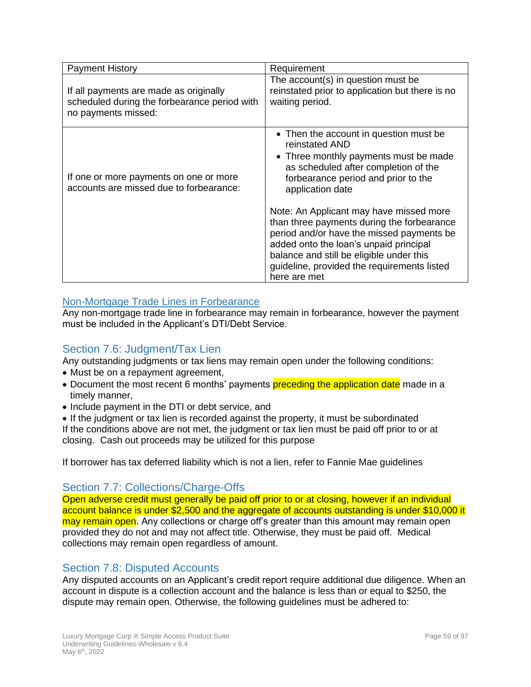| <b>Payment History</b>                                                                                        | Requirement                                                                                                                                                                                                                                     |
|---------------------------------------------------------------------------------------------------------------|-------------------------------------------------------------------------------------------------------------------------------------------------------------------------------------------------------------------------------------------------|
| If all payments are made as originally<br>scheduled during the forbearance period with<br>no payments missed: | The account(s) in question must be<br>reinstated prior to application but there is no<br>waiting period.                                                                                                                                        |
| If one or more payments on one or more<br>accounts are missed due to forbearance:                             | • Then the account in question must be<br>reinstated AND<br>• Three monthly payments must be made<br>as scheduled after completion of the<br>forbearance period and prior to the<br>application date<br>Note: An Applicant may have missed more |
|                                                                                                               | than three payments during the forbearance<br>period and/or have the missed payments be<br>added onto the loan's unpaid principal<br>balance and still be eligible under this<br>guideline, provided the requirements listed<br>here are met    |

## Non-Mortgage Trade Lines in Forbearance

Any non-mortgage trade line in forbearance may remain in forbearance, however the payment must be included in the Applicant's DTI/Debt Service.

# Section 7.6: Judgment/Tax Lien

Any outstanding judgments or tax liens may remain open under the following conditions:

- Must be on a repayment agreement,
- Document the most recent 6 months' payments preceding the application date made in a timely manner,
- Include payment in the DTI or debt service, and

• If the judgment or tax lien is recorded against the property, it must be subordinated If the conditions above are not met, the judgment or tax lien must be paid off prior to or at closing. Cash out proceeds may be utilized for this purpose

If borrower has tax deferred liability which is not a lien, refer to Fannie Mae guidelines

## Section 7.7: Collections/Charge-Offs

Open adverse credit must generally be paid off prior to or at closing, however if an individual account balance is under \$2,500 and the aggregate of accounts outstanding is under \$10,000 it may remain open. Any collections or charge off's greater than this amount may remain open provided they do not and may not affect title. Otherwise, they must be paid off. Medical collections may remain open regardless of amount.

# Section 7.8: Disputed Accounts

Any disputed accounts on an Applicant's credit report require additional due diligence. When an account in dispute is a collection account and the balance is less than or equal to \$250, the dispute may remain open. Otherwise, the following guidelines must be adhered to: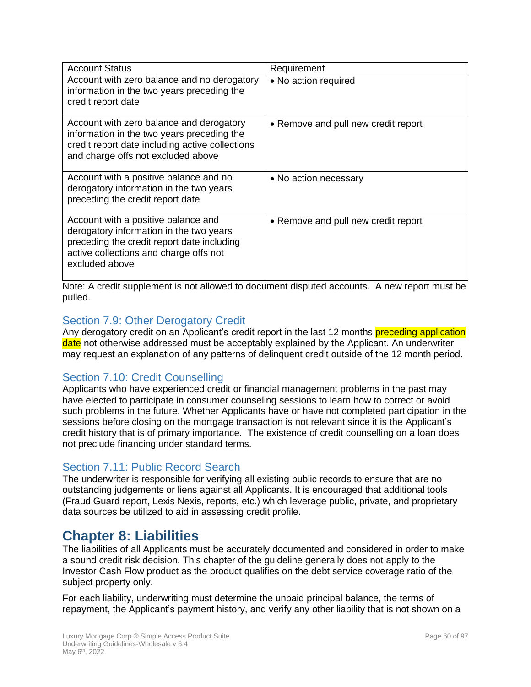| <b>Account Status</b>                                                                                                                                                                    | Requirement                         |
|------------------------------------------------------------------------------------------------------------------------------------------------------------------------------------------|-------------------------------------|
| Account with zero balance and no derogatory<br>information in the two years preceding the<br>credit report date                                                                          | • No action required                |
| Account with zero balance and derogatory<br>information in the two years preceding the<br>credit report date including active collections<br>and charge offs not excluded above          | • Remove and pull new credit report |
| Account with a positive balance and no<br>derogatory information in the two years<br>preceding the credit report date                                                                    | • No action necessary               |
| Account with a positive balance and<br>derogatory information in the two years<br>preceding the credit report date including<br>active collections and charge offs not<br>excluded above | • Remove and pull new credit report |

Note: A credit supplement is not allowed to document disputed accounts. A new report must be pulled.

# Section 7.9: Other Derogatory Credit

Any derogatory credit on an Applicant's credit report in the last 12 months preceding application date not otherwise addressed must be acceptably explained by the Applicant. An underwriter may request an explanation of any patterns of delinquent credit outside of the 12 month period.

# Section 7.10: Credit Counselling

Applicants who have experienced credit or financial management problems in the past may have elected to participate in consumer counseling sessions to learn how to correct or avoid such problems in the future. Whether Applicants have or have not completed participation in the sessions before closing on the mortgage transaction is not relevant since it is the Applicant's credit history that is of primary importance. The existence of credit counselling on a loan does not preclude financing under standard terms.

## Section 7.11: Public Record Search

The underwriter is responsible for verifying all existing public records to ensure that are no outstanding judgements or liens against all Applicants. It is encouraged that additional tools (Fraud Guard report, Lexis Nexis, reports, etc.) which leverage public, private, and proprietary data sources be utilized to aid in assessing credit profile.

# **Chapter 8: Liabilities**

The liabilities of all Applicants must be accurately documented and considered in order to make a sound credit risk decision. This chapter of the guideline generally does not apply to the Investor Cash Flow product as the product qualifies on the debt service coverage ratio of the subject property only.

For each liability, underwriting must determine the unpaid principal balance, the terms of repayment, the Applicant's payment history, and verify any other liability that is not shown on a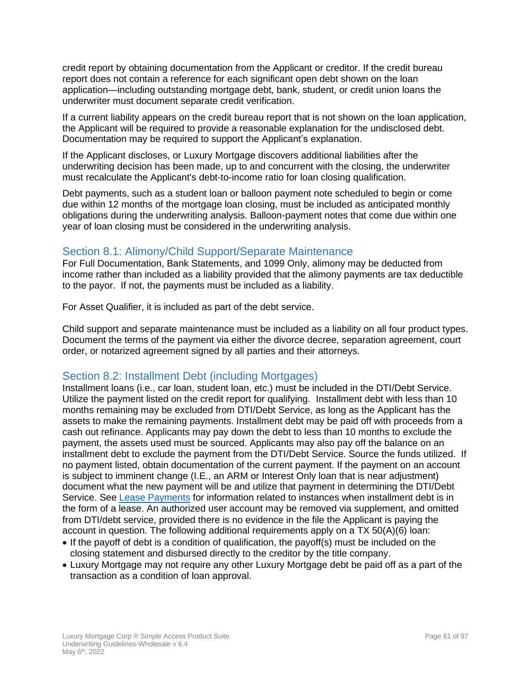credit report by obtaining documentation from the Applicant or creditor. If the credit bureau report does not contain a reference for each significant open debt shown on the loan application—including outstanding mortgage debt, bank, student, or credit union loans the underwriter must document separate credit verification.

If a current liability appears on the credit bureau report that is not shown on the loan application, the Applicant will be required to provide a reasonable explanation for the undisclosed debt. Documentation may be required to support the Applicant's explanation.

If the Applicant discloses, or Luxury Mortgage discovers additional liabilities after the underwriting decision has been made, up to and concurrent with the closing, the underwriter must recalculate the Applicant's debt-to-income ratio for loan closing qualification.

Debt payments, such as a student loan or balloon payment note scheduled to begin or come due within 12 months of the mortgage loan closing, must be included as anticipated monthly obligations during the underwriting analysis. Balloon-payment notes that come due within one year of loan closing must be considered in the underwriting analysis.

## Section 8.1: Alimony/Child Support/Separate Maintenance

For Full Documentation, Bank Statements, and 1099 Only, alimony may be deducted from income rather than included as a liability provided that the alimony payments are tax deductible to the payor. If not, the payments must be included as a liability.

For Asset Qualifier, it is included as part of the debt service.

Child support and separate maintenance must be included as a liability on all four product types. Document the terms of the payment via either the divorce decree, separation agreement, court order, or notarized agreement signed by all parties and their attorneys.

## Section 8.2: Installment Debt (including Mortgages)

Installment loans (i.e., car loan, student loan, etc.) must be included in the DTI/Debt Service. Utilize the payment listed on the credit report for qualifying. Installment debt with less than 10 months remaining may be excluded from DTI/Debt Service, as long as the Applicant has the assets to make the remaining payments. Installment debt may be paid off with proceeds from a cash out refinance. Applicants may pay down the debt to less than 10 months to exclude the payment, the assets used must be sourced. Applicants may also pay off the balance on an installment debt to exclude the payment from the DTI/Debt Service. Source the funds utilized. If no payment listed, obtain documentation of the current payment. If the payment on an account is subject to imminent change (I.E., an ARM or Interest Only loan that is near adjustment) document what the new payment will be and utilize that payment in determining the DTI/Debt Service. See [Lease Payments](#page-62-0) for information related to instances when installment debt is in the form of a lease. An authorized user account may be removed via supplement, and omitted from DTI/debt service, provided there is no evidence in the file the Applicant is paying the account in question. The following additional requirements apply on a TX 50(A)(6) loan:

- If the payoff of debt is a condition of qualification, the payoff(s) must be included on the closing statement and disbursed directly to the creditor by the title company.
- Luxury Mortgage may not require any other Luxury Mortgage debt be paid off as a part of the transaction as a condition of loan approval.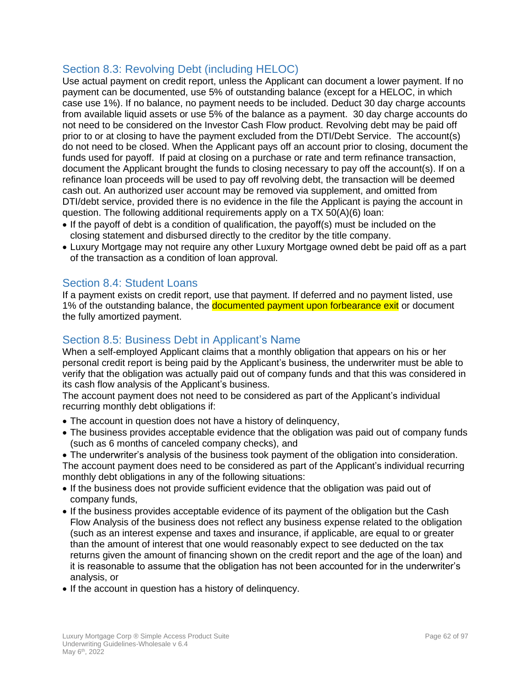# Section 8.3: Revolving Debt (including HELOC)

Use actual payment on credit report, unless the Applicant can document a lower payment. If no payment can be documented, use 5% of outstanding balance (except for a HELOC, in which case use 1%). If no balance, no payment needs to be included. Deduct 30 day charge accounts from available liquid assets or use 5% of the balance as a payment. 30 day charge accounts do not need to be considered on the Investor Cash Flow product. Revolving debt may be paid off prior to or at closing to have the payment excluded from the DTI/Debt Service. The account(s) do not need to be closed. When the Applicant pays off an account prior to closing, document the funds used for payoff. If paid at closing on a purchase or rate and term refinance transaction, document the Applicant brought the funds to closing necessary to pay off the account(s). If on a refinance loan proceeds will be used to pay off revolving debt, the transaction will be deemed cash out. An authorized user account may be removed via supplement, and omitted from DTI/debt service, provided there is no evidence in the file the Applicant is paying the account in question. The following additional requirements apply on a TX 50(A)(6) loan:

- If the payoff of debt is a condition of qualification, the payoff(s) must be included on the closing statement and disbursed directly to the creditor by the title company.
- Luxury Mortgage may not require any other Luxury Mortgage owned debt be paid off as a part of the transaction as a condition of loan approval.

# Section 8.4: Student Loans

If a payment exists on credit report, use that payment. If deferred and no payment listed, use 1% of the outstanding balance, the **documented payment upon forbearance exit** or document the fully amortized payment.

# Section 8.5: Business Debt in Applicant's Name

When a self-employed Applicant claims that a monthly obligation that appears on his or her personal credit report is being paid by the Applicant's business, the underwriter must be able to verify that the obligation was actually paid out of company funds and that this was considered in its cash flow analysis of the Applicant's business.

The account payment does not need to be considered as part of the Applicant's individual recurring monthly debt obligations if:

- The account in question does not have a history of delinquency,
- The business provides acceptable evidence that the obligation was paid out of company funds (such as 6 months of canceled company checks), and

• The underwriter's analysis of the business took payment of the obligation into consideration. The account payment does need to be considered as part of the Applicant's individual recurring monthly debt obligations in any of the following situations:

- If the business does not provide sufficient evidence that the obligation was paid out of company funds,
- If the business provides acceptable evidence of its payment of the obligation but the Cash Flow Analysis of the business does not reflect any business expense related to the obligation (such as an interest expense and taxes and insurance, if applicable, are equal to or greater than the amount of interest that one would reasonably expect to see deducted on the tax returns given the amount of financing shown on the credit report and the age of the loan) and it is reasonable to assume that the obligation has not been accounted for in the underwriter's analysis, or
- If the account in question has a history of delinquency.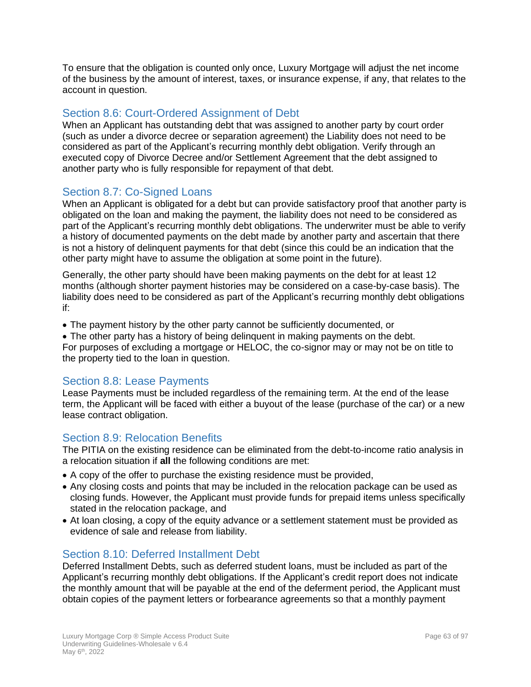To ensure that the obligation is counted only once, Luxury Mortgage will adjust the net income of the business by the amount of interest, taxes, or insurance expense, if any, that relates to the account in question.

### Section 8.6: Court-Ordered Assignment of Debt

When an Applicant has outstanding debt that was assigned to another party by court order (such as under a divorce decree or separation agreement) the Liability does not need to be considered as part of the Applicant's recurring monthly debt obligation. Verify through an executed copy of Divorce Decree and/or Settlement Agreement that the debt assigned to another party who is fully responsible for repayment of that debt.

# Section 8.7: Co-Signed Loans

When an Applicant is obligated for a debt but can provide satisfactory proof that another party is obligated on the loan and making the payment, the liability does not need to be considered as part of the Applicant's recurring monthly debt obligations. The underwriter must be able to verify a history of documented payments on the debt made by another party and ascertain that there is not a history of delinquent payments for that debt (since this could be an indication that the other party might have to assume the obligation at some point in the future).

Generally, the other party should have been making payments on the debt for at least 12 months (although shorter payment histories may be considered on a case-by-case basis). The liability does need to be considered as part of the Applicant's recurring monthly debt obligations if:

• The payment history by the other party cannot be sufficiently documented, or

• The other party has a history of being delinquent in making payments on the debt. For purposes of excluding a mortgage or HELOC, the co-signor may or may not be on title to the property tied to the loan in question.

## <span id="page-62-0"></span>Section 8.8: Lease Payments

Lease Payments must be included regardless of the remaining term. At the end of the lease term, the Applicant will be faced with either a buyout of the lease (purchase of the car) or a new lease contract obligation.

### Section 8.9: Relocation Benefits

The PITIA on the existing residence can be eliminated from the debt-to-income ratio analysis in a relocation situation if **all** the following conditions are met:

- A copy of the offer to purchase the existing residence must be provided,
- Any closing costs and points that may be included in the relocation package can be used as closing funds. However, the Applicant must provide funds for prepaid items unless specifically stated in the relocation package, and
- At loan closing, a copy of the equity advance or a settlement statement must be provided as evidence of sale and release from liability.

## Section 8.10: Deferred Installment Debt

Deferred Installment Debts, such as deferred student loans, must be included as part of the Applicant's recurring monthly debt obligations. If the Applicant's credit report does not indicate the monthly amount that will be payable at the end of the deferment period, the Applicant must obtain copies of the payment letters or forbearance agreements so that a monthly payment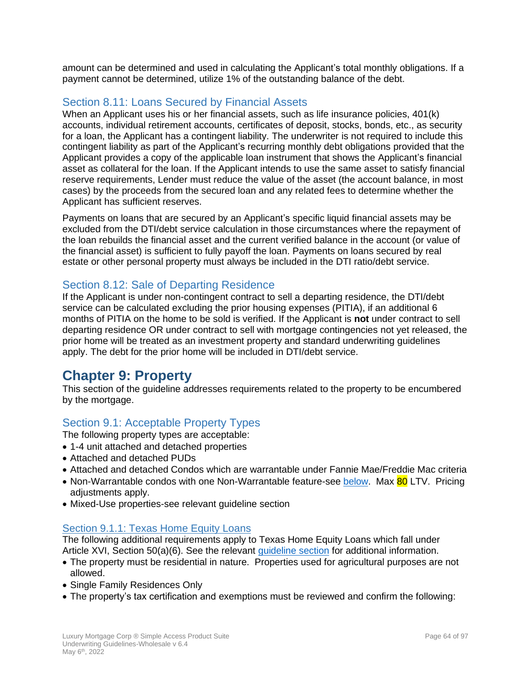amount can be determined and used in calculating the Applicant's total monthly obligations. If a payment cannot be determined, utilize 1% of the outstanding balance of the debt.

# Section 8.11: Loans Secured by Financial Assets

When an Applicant uses his or her financial assets, such as life insurance policies, 401(k) accounts, individual retirement accounts, certificates of deposit, stocks, bonds, etc., as security for a loan, the Applicant has a contingent liability. The underwriter is not required to include this contingent liability as part of the Applicant's recurring monthly debt obligations provided that the Applicant provides a copy of the applicable loan instrument that shows the Applicant's financial asset as collateral for the loan. If the Applicant intends to use the same asset to satisfy financial reserve requirements, Lender must reduce the value of the asset (the account balance, in most cases) by the proceeds from the secured loan and any related fees to determine whether the Applicant has sufficient reserves.

Payments on loans that are secured by an Applicant's specific liquid financial assets may be excluded from the DTI/debt service calculation in those circumstances where the repayment of the loan rebuilds the financial asset and the current verified balance in the account (or value of the financial asset) is sufficient to fully payoff the loan. Payments on loans secured by real estate or other personal property must always be included in the DTI ratio/debt service.

# Section 8.12: Sale of Departing Residence

If the Applicant is under non-contingent contract to sell a departing residence, the DTI/debt service can be calculated excluding the prior housing expenses (PITIA), if an additional 6 months of PITIA on the home to be sold is verified. If the Applicant is **not** under contract to sell departing residence OR under contract to sell with mortgage contingencies not yet released, the prior home will be treated as an investment property and standard underwriting guidelines apply. The debt for the prior home will be included in DTI/debt service.

# **Chapter 9: Property**

This section of the guideline addresses requirements related to the property to be encumbered by the mortgage.

# Section 9.1: Acceptable Property Types

The following property types are acceptable:

- 1-4 unit attached and detached properties
- Attached and detached PUDs
- Attached and detached Condos which are warrantable under Fannie Mae/Freddie Mac criteria
- Non-Warrantable condos with one Non-Warrantable feature-see [below.](#page-66-0) Max 80 LTV. Pricing adjustments apply.
- Mixed-Use properties-see relevant guideline section

## Section 9.1.1: Texas Home Equity Loans

The following additional requirements apply to Texas Home Equity Loans which fall under Article XVI, Section 50(a)(6). See the relevant *quideline section* for additional information.

- The property must be residential in nature. Properties used for agricultural purposes are not allowed.
- Single Family Residences Only
- The property's tax certification and exemptions must be reviewed and confirm the following: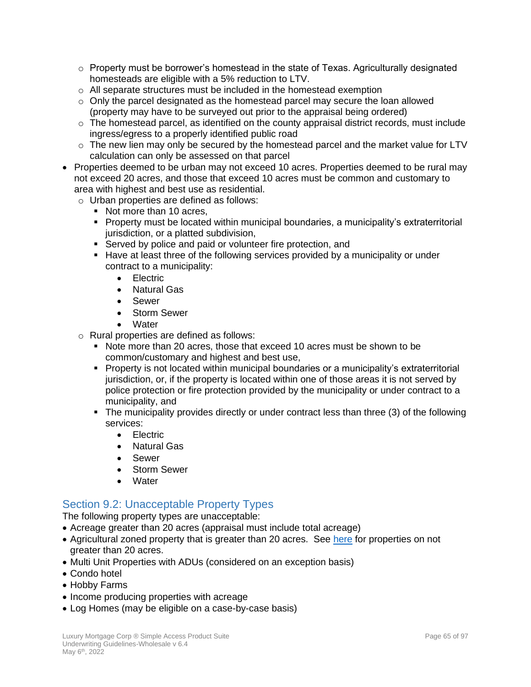- $\circ$  Property must be borrower's homestead in the state of Texas. Agriculturally designated homesteads are eligible with a 5% reduction to LTV.
- o All separate structures must be included in the homestead exemption
- $\circ$  Only the parcel designated as the homestead parcel may secure the loan allowed (property may have to be surveyed out prior to the appraisal being ordered)
- $\circ$  The homestead parcel, as identified on the county appraisal district records, must include ingress/egress to a properly identified public road
- $\circ$  The new lien may only be secured by the homestead parcel and the market value for LTV calculation can only be assessed on that parcel
- Properties deemed to be urban may not exceed 10 acres. Properties deemed to be rural may not exceed 20 acres, and those that exceed 10 acres must be common and customary to area with highest and best use as residential.

o Urban properties are defined as follows:

- Not more than 10 acres,
- Property must be located within municipal boundaries, a municipality's extraterritorial jurisdiction, or a platted subdivision,
- Served by police and paid or volunteer fire protection, and
- Have at least three of the following services provided by a municipality or under contract to a municipality:
	- Electric
	- Natural Gas
	- Sewer
	- Storm Sewer
	- **Water**
- o Rural properties are defined as follows:
	- Note more than 20 acres, those that exceed 10 acres must be shown to be common/customary and highest and best use,
	- Property is not located within municipal boundaries or a municipality's extraterritorial jurisdiction, or, if the property is located within one of those areas it is not served by police protection or fire protection provided by the municipality or under contract to a municipality, and
	- The municipality provides directly or under contract less than three (3) of the following services:
		- Electric
		- Natural Gas
		- Sewer
		- Storm Sewer
		- **Water**

## Section 9.2: Unacceptable Property Types

The following property types are unacceptable:

- Acreage greater than 20 acres (appraisal must include total acreage)
- Agricultural zoned property that is greater than 20 acres. See [here](#page-68-0) for properties on not greater than 20 acres.
- Multi Unit Properties with ADUs (considered on an exception basis)
- Condo hotel
- Hobby Farms
- Income producing properties with acreage
- Log Homes (may be eligible on a case-by-case basis)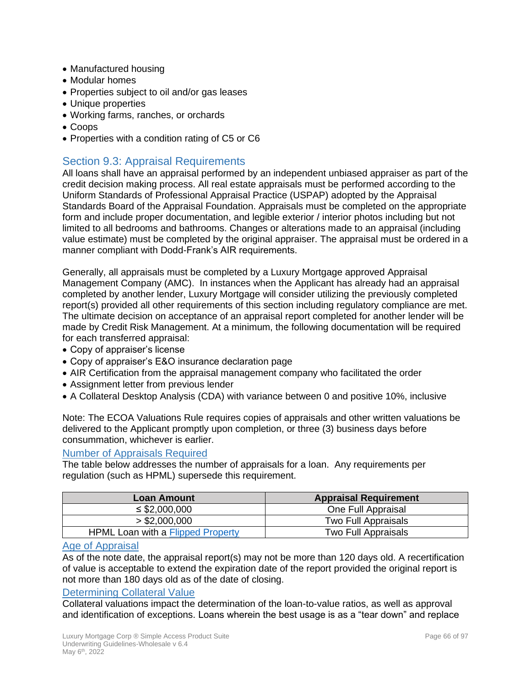- Manufactured housing
- Modular homes
- Properties subject to oil and/or gas leases
- Unique properties
- Working farms, ranches, or orchards
- Coops
- Properties with a condition rating of C5 or C6

# Section 9.3: Appraisal Requirements

All loans shall have an appraisal performed by an independent unbiased appraiser as part of the credit decision making process. All real estate appraisals must be performed according to the Uniform Standards of Professional Appraisal Practice (USPAP) adopted by the Appraisal Standards Board of the Appraisal Foundation. Appraisals must be completed on the appropriate form and include proper documentation, and legible exterior / interior photos including but not limited to all bedrooms and bathrooms. Changes or alterations made to an appraisal (including value estimate) must be completed by the original appraiser. The appraisal must be ordered in a manner compliant with Dodd-Frank's AIR requirements.

Generally, all appraisals must be completed by a Luxury Mortgage approved Appraisal Management Company (AMC). In instances when the Applicant has already had an appraisal completed by another lender, Luxury Mortgage will consider utilizing the previously completed report(s) provided all other requirements of this section including regulatory compliance are met. The ultimate decision on acceptance of an appraisal report completed for another lender will be made by Credit Risk Management. At a minimum, the following documentation will be required for each transferred appraisal:

- Copy of appraiser's license
- Copy of appraiser's E&O insurance declaration page
- AIR Certification from the appraisal management company who facilitated the order
- Assignment letter from previous lender
- A Collateral Desktop Analysis (CDA) with variance between 0 and positive 10%, inclusive

Note: The ECOA Valuations Rule requires copies of appraisals and other written valuations be delivered to the Applicant promptly upon completion, or three (3) business days before consummation, whichever is earlier.

### Number of Appraisals Required

The table below addresses the number of appraisals for a loan. Any requirements per regulation (such as HPML) supersede this requirement.

| Loan Amount                              | <b>Appraisal Requirement</b> |
|------------------------------------------|------------------------------|
| $\leq$ \$2,000,000                       | One Full Appraisal           |
| > \$2,000,000                            | Two Full Appraisals          |
| <b>HPML Loan with a Flipped Property</b> | Two Full Appraisals          |

### Age of Appraisal

As of the note date, the appraisal report(s) may not be more than 120 days old. A recertification of value is acceptable to extend the expiration date of the report provided the original report is not more than 180 days old as of the date of closing.

#### Determining Collateral Value

Collateral valuations impact the determination of the loan-to-value ratios, as well as approval and identification of exceptions. Loans wherein the best usage is as a "tear down" and replace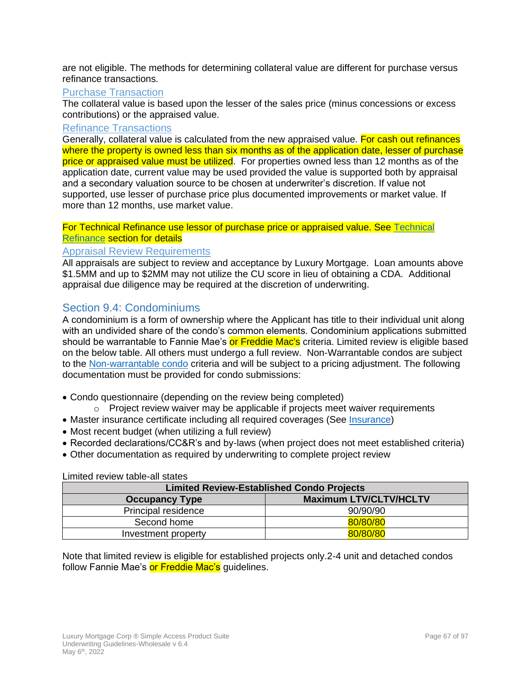are not eligible. The methods for determining collateral value are different for purchase versus refinance transactions.

### Purchase Transaction

The collateral value is based upon the lesser of the sales price (minus concessions or excess contributions) or the appraised value.

### Refinance Transactions

Generally, collateral value is calculated from the new appraised value. For cash out refinances where the property is owned less than six months as of the application date, lesser of purchase price or appraised value must be utilized. For properties owned less than 12 months as of the application date, current value may be used provided the value is supported both by appraisal and a secondary valuation source to be chosen at underwriter's discretion. If value not supported, use lesser of purchase price plus documented improvements or market value. If more than 12 months, use market value.

#### For Technical Refinance use lessor of purchase price or appraised value. See [Technical](#page-12-0)  [Refinance](#page-12-0) section for details

### Appraisal Review Requirements

All appraisals are subject to review and acceptance by Luxury Mortgage. Loan amounts above \$1.5MM and up to \$2MM may not utilize the CU score in lieu of obtaining a CDA. Additional appraisal due diligence may be required at the discretion of underwriting.

## Section 9.4: Condominiums

A condominium is a form of ownership where the Applicant has title to their individual unit along with an undivided share of the condo's common elements. Condominium applications submitted should be warrantable to Fannie Mae's or Freddie Mac's criteria. Limited review is eligible based on the below table. All others must undergo a full review. Non-Warrantable condos are subject to the [Non-warrantable condo](#page-66-0) criteria and will be subject to a pricing adjustment. The following documentation must be provided for condo submissions:

- Condo questionnaire (depending on the review being completed)
	- o Project review waiver may be applicable if projects meet waiver requirements
- Master insurance certificate including all required coverages (See [Insurance\)](#page-86-0)
- Most recent budget (when utilizing a full review)
- Recorded declarations/CC&R's and by-laws (when project does not meet established criteria)
- Other documentation as required by underwriting to complete project review

| <b>Limited Review-Established Condo Projects</b> |                               |  |
|--------------------------------------------------|-------------------------------|--|
| <b>Occupancy Type</b>                            | <b>Maximum LTV/CLTV/HCLTV</b> |  |
| Principal residence                              | 90/90/90                      |  |
| Second home                                      | 80/80/80                      |  |
| Investment property                              | 80/80/80                      |  |

Limited review table-all states

<span id="page-66-0"></span>Note that limited review is eligible for established projects only.2-4 unit and detached condos follow Fannie Mae's or Freddie Mac's guidelines.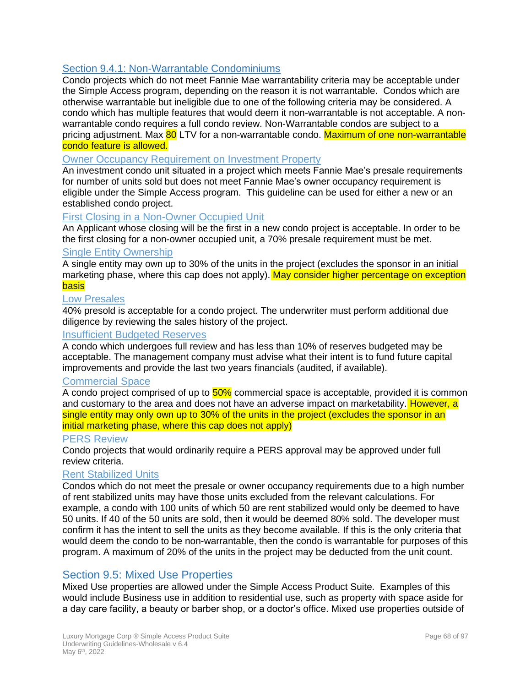# Section 9.4.1: Non-Warrantable Condominiums

Condo projects which do not meet Fannie Mae warrantability criteria may be acceptable under the Simple Access program, depending on the reason it is not warrantable. Condos which are otherwise warrantable but ineligible due to one of the following criteria may be considered. A condo which has multiple features that would deem it non-warrantable is not acceptable. A nonwarrantable condo requires a full condo review. Non-Warrantable condos are subject to a pricing adjustment. Max 80 LTV for a non-warrantable condo. Maximum of one non-warrantable condo feature is allowed.

### Owner Occupancy Requirement on Investment Property

An investment condo unit situated in a project which meets Fannie Mae's presale requirements for number of units sold but does not meet Fannie Mae's owner occupancy requirement is eligible under the Simple Access program. This guideline can be used for either a new or an established condo project.

### First Closing in a Non-Owner Occupied Unit

An Applicant whose closing will be the first in a new condo project is acceptable. In order to be the first closing for a non-owner occupied unit, a 70% presale requirement must be met.

### **Single Entity Ownership**

A single entity may own up to 30% of the units in the project (excludes the sponsor in an initial marketing phase, where this cap does not apply). May consider higher percentage on exception basis

#### Low Presales

40% presold is acceptable for a condo project. The underwriter must perform additional due diligence by reviewing the sales history of the project.

### Insufficient Budgeted Reserves

A condo which undergoes full review and has less than 10% of reserves budgeted may be acceptable. The management company must advise what their intent is to fund future capital improvements and provide the last two years financials (audited, if available).

#### Commercial Space

A condo project comprised of up to  $50\%$  commercial space is acceptable, provided it is common and customary to the area and does not have an adverse impact on marketability. However, a single entity may only own up to 30% of the units in the project (excludes the sponsor in an initial marketing phase, where this cap does not apply)

#### PERS Review

Condo projects that would ordinarily require a PERS approval may be approved under full review criteria.

#### Rent Stabilized Units

Condos which do not meet the presale or owner occupancy requirements due to a high number of rent stabilized units may have those units excluded from the relevant calculations. For example, a condo with 100 units of which 50 are rent stabilized would only be deemed to have 50 units. If 40 of the 50 units are sold, then it would be deemed 80% sold. The developer must confirm it has the intent to sell the units as they become available. If this is the only criteria that would deem the condo to be non-warrantable, then the condo is warrantable for purposes of this program. A maximum of 20% of the units in the project may be deducted from the unit count.

### Section 9.5: Mixed Use Properties

Mixed Use properties are allowed under the Simple Access Product Suite. Examples of this would include Business use in addition to residential use, such as property with space aside for a day care facility, a beauty or barber shop, or a doctor's office. Mixed use properties outside of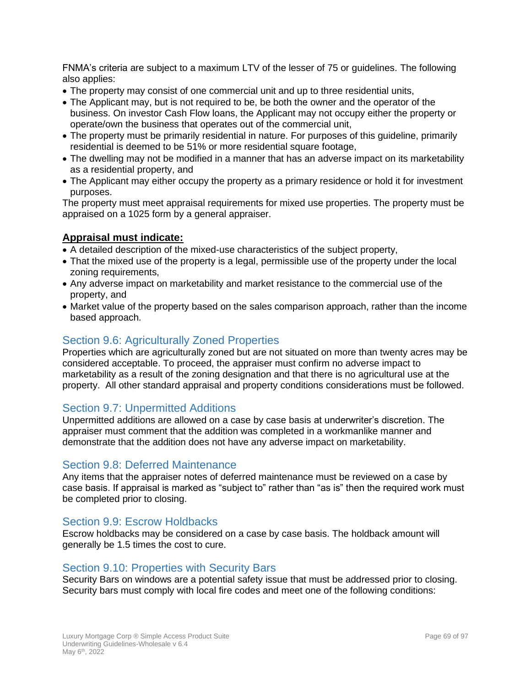FNMA's criteria are subject to a maximum LTV of the lesser of 75 or guidelines. The following also applies:

- The property may consist of one commercial unit and up to three residential units,
- The Applicant may, but is not required to be, be both the owner and the operator of the business. On investor Cash Flow loans, the Applicant may not occupy either the property or operate/own the business that operates out of the commercial unit,
- The property must be primarily residential in nature. For purposes of this guideline, primarily residential is deemed to be 51% or more residential square footage,
- The dwelling may not be modified in a manner that has an adverse impact on its marketability as a residential property, and
- The Applicant may either occupy the property as a primary residence or hold it for investment purposes.

The property must meet appraisal requirements for mixed use properties. The property must be appraised on a 1025 form by a general appraiser.

## **Appraisal must indicate:**

- A detailed description of the mixed-use characteristics of the subject property,
- That the mixed use of the property is a legal, permissible use of the property under the local zoning requirements,
- Any adverse impact on marketability and market resistance to the commercial use of the property, and
- Market value of the property based on the sales comparison approach, rather than the income based approach.

# <span id="page-68-0"></span>Section 9.6: Agriculturally Zoned Properties

Properties which are agriculturally zoned but are not situated on more than twenty acres may be considered acceptable. To proceed, the appraiser must confirm no adverse impact to marketability as a result of the zoning designation and that there is no agricultural use at the property. All other standard appraisal and property conditions considerations must be followed.

## Section 9.7: Unpermitted Additions

Unpermitted additions are allowed on a case by case basis at underwriter's discretion. The appraiser must comment that the addition was completed in a workmanlike manner and demonstrate that the addition does not have any adverse impact on marketability.

## Section 9.8: Deferred Maintenance

Any items that the appraiser notes of deferred maintenance must be reviewed on a case by case basis. If appraisal is marked as "subject to" rather than "as is" then the required work must be completed prior to closing.

## Section 9.9: Escrow Holdbacks

Escrow holdbacks may be considered on a case by case basis. The holdback amount will generally be 1.5 times the cost to cure.

### Section 9.10: Properties with Security Bars

Security Bars on windows are a potential safety issue that must be addressed prior to closing. Security bars must comply with local fire codes and meet one of the following conditions: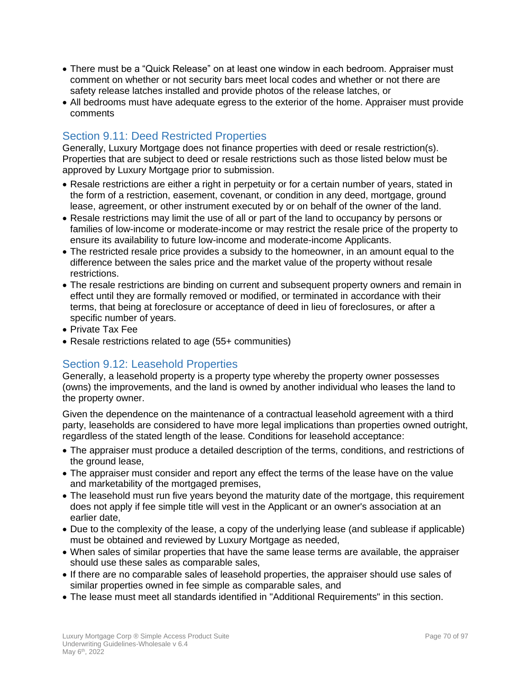- There must be a "Quick Release" on at least one window in each bedroom. Appraiser must comment on whether or not security bars meet local codes and whether or not there are safety release latches installed and provide photos of the release latches, or
- All bedrooms must have adequate egress to the exterior of the home. Appraiser must provide comments

# Section 9.11: Deed Restricted Properties

Generally, Luxury Mortgage does not finance properties with deed or resale restriction(s). Properties that are subject to deed or resale restrictions such as those listed below must be approved by Luxury Mortgage prior to submission.

- Resale restrictions are either a right in perpetuity or for a certain number of years, stated in the form of a restriction, easement, covenant, or condition in any deed, mortgage, ground lease, agreement, or other instrument executed by or on behalf of the owner of the land.
- Resale restrictions may limit the use of all or part of the land to occupancy by persons or families of low-income or moderate-income or may restrict the resale price of the property to ensure its availability to future low-income and moderate-income Applicants.
- The restricted resale price provides a subsidy to the homeowner, in an amount equal to the difference between the sales price and the market value of the property without resale restrictions.
- The resale restrictions are binding on current and subsequent property owners and remain in effect until they are formally removed or modified, or terminated in accordance with their terms, that being at foreclosure or acceptance of deed in lieu of foreclosures, or after a specific number of years.
- Private Tax Fee
- Resale restrictions related to age (55+ communities)

# Section 9.12: Leasehold Properties

Generally, a leasehold property is a property type whereby the property owner possesses (owns) the improvements, and the land is owned by another individual who leases the land to the property owner.

Given the dependence on the maintenance of a contractual leasehold agreement with a third party, leaseholds are considered to have more legal implications than properties owned outright, regardless of the stated length of the lease. Conditions for leasehold acceptance:

- The appraiser must produce a detailed description of the terms, conditions, and restrictions of the ground lease,
- The appraiser must consider and report any effect the terms of the lease have on the value and marketability of the mortgaged premises,
- The leasehold must run five years beyond the maturity date of the mortgage, this requirement does not apply if fee simple title will vest in the Applicant or an owner's association at an earlier date,
- Due to the complexity of the lease, a copy of the underlying lease (and sublease if applicable) must be obtained and reviewed by Luxury Mortgage as needed,
- When sales of similar properties that have the same lease terms are available, the appraiser should use these sales as comparable sales,
- If there are no comparable sales of leasehold properties, the appraiser should use sales of similar properties owned in fee simple as comparable sales, and
- The lease must meet all standards identified in "Additional Requirements" in this section.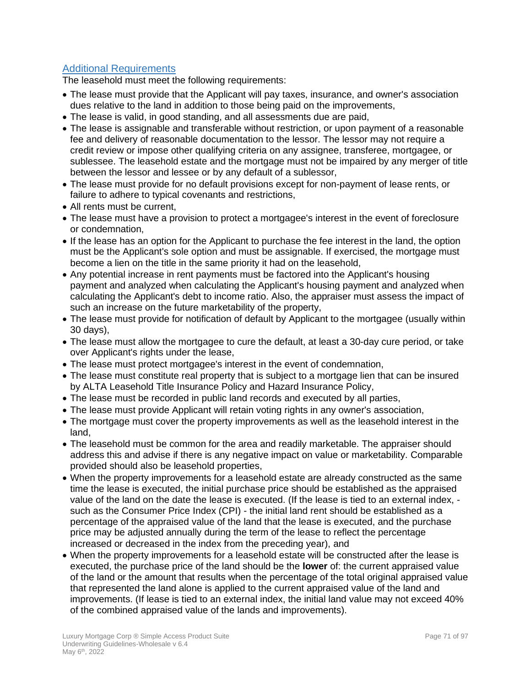# Additional Requirements

The leasehold must meet the following requirements:

- The lease must provide that the Applicant will pay taxes, insurance, and owner's association dues relative to the land in addition to those being paid on the improvements,
- The lease is valid, in good standing, and all assessments due are paid,
- The lease is assignable and transferable without restriction, or upon payment of a reasonable fee and delivery of reasonable documentation to the lessor. The lessor may not require a credit review or impose other qualifying criteria on any assignee, transferee, mortgagee, or sublessee. The leasehold estate and the mortgage must not be impaired by any merger of title between the lessor and lessee or by any default of a sublessor,
- The lease must provide for no default provisions except for non-payment of lease rents, or failure to adhere to typical covenants and restrictions,
- All rents must be current,
- The lease must have a provision to protect a mortgagee's interest in the event of foreclosure or condemnation,
- If the lease has an option for the Applicant to purchase the fee interest in the land, the option must be the Applicant's sole option and must be assignable. If exercised, the mortgage must become a lien on the title in the same priority it had on the leasehold,
- Any potential increase in rent payments must be factored into the Applicant's housing payment and analyzed when calculating the Applicant's housing payment and analyzed when calculating the Applicant's debt to income ratio. Also, the appraiser must assess the impact of such an increase on the future marketability of the property,
- The lease must provide for notification of default by Applicant to the mortgagee (usually within 30 days),
- The lease must allow the mortgagee to cure the default, at least a 30-day cure period, or take over Applicant's rights under the lease,
- The lease must protect mortgagee's interest in the event of condemnation,
- The lease must constitute real property that is subject to a mortgage lien that can be insured by ALTA Leasehold Title Insurance Policy and Hazard Insurance Policy,
- The lease must be recorded in public land records and executed by all parties,
- The lease must provide Applicant will retain voting rights in any owner's association,
- The mortgage must cover the property improvements as well as the leasehold interest in the land,
- The leasehold must be common for the area and readily marketable. The appraiser should address this and advise if there is any negative impact on value or marketability. Comparable provided should also be leasehold properties,
- When the property improvements for a leasehold estate are already constructed as the same time the lease is executed, the initial purchase price should be established as the appraised value of the land on the date the lease is executed. (If the lease is tied to an external index, such as the Consumer Price Index (CPI) - the initial land rent should be established as a percentage of the appraised value of the land that the lease is executed, and the purchase price may be adjusted annually during the term of the lease to reflect the percentage increased or decreased in the index from the preceding year), and
- When the property improvements for a leasehold estate will be constructed after the lease is executed, the purchase price of the land should be the **lower** of: the current appraised value of the land or the amount that results when the percentage of the total original appraised value that represented the land alone is applied to the current appraised value of the land and improvements. (If lease is tied to an external index, the initial land value may not exceed 40% of the combined appraised value of the lands and improvements).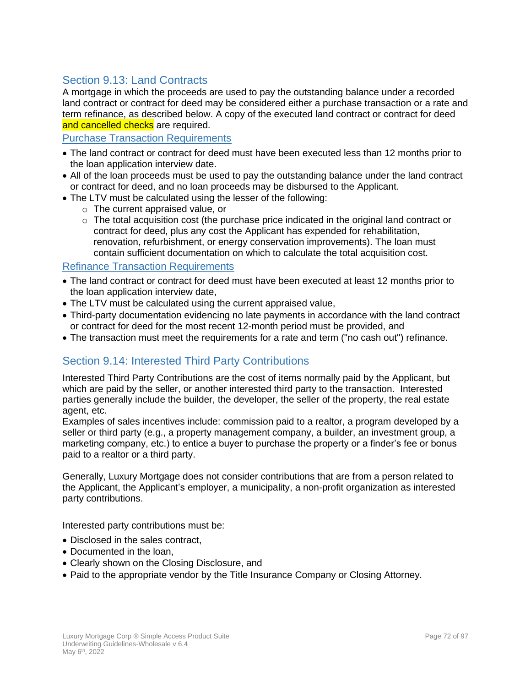# Section 9.13: Land Contracts

A mortgage in which the proceeds are used to pay the outstanding balance under a recorded land contract or contract for deed may be considered either a purchase transaction or a rate and term refinance, as described below. A copy of the executed land contract or contract for deed and cancelled checks are required.

Purchase Transaction Requirements

- The land contract or contract for deed must have been executed less than 12 months prior to the loan application interview date.
- All of the loan proceeds must be used to pay the outstanding balance under the land contract or contract for deed, and no loan proceeds may be disbursed to the Applicant.
- The LTV must be calculated using the lesser of the following:
	- o The current appraised value, or
	- $\circ$  The total acquisition cost (the purchase price indicated in the original land contract or contract for deed, plus any cost the Applicant has expended for rehabilitation, renovation, refurbishment, or energy conservation improvements). The loan must contain sufficient documentation on which to calculate the total acquisition cost.

### Refinance Transaction Requirements

- The land contract or contract for deed must have been executed at least 12 months prior to the loan application interview date,
- The LTV must be calculated using the current appraised value,
- Third-party documentation evidencing no late payments in accordance with the land contract or contract for deed for the most recent 12-month period must be provided, and
- The transaction must meet the requirements for a rate and term ("no cash out") refinance.

# Section 9.14: Interested Third Party Contributions

Interested Third Party Contributions are the cost of items normally paid by the Applicant, but which are paid by the seller, or another interested third party to the transaction. Interested parties generally include the builder, the developer, the seller of the property, the real estate agent, etc.

Examples of sales incentives include: commission paid to a realtor, a program developed by a seller or third party (e.g., a property management company, a builder, an investment group, a marketing company, etc.) to entice a buyer to purchase the property or a finder's fee or bonus paid to a realtor or a third party.

Generally, Luxury Mortgage does not consider contributions that are from a person related to the Applicant, the Applicant's employer, a municipality, a non-profit organization as interested party contributions.

Interested party contributions must be:

- Disclosed in the sales contract,
- Documented in the loan,
- Clearly shown on the Closing Disclosure, and
- Paid to the appropriate vendor by the Title Insurance Company or Closing Attorney.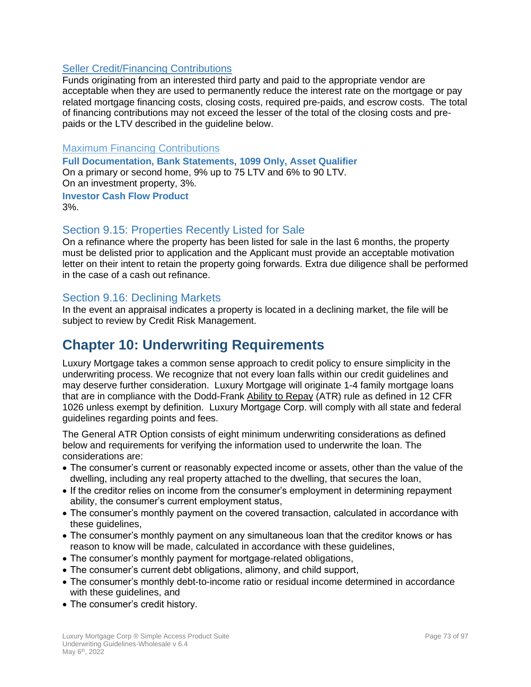#### Seller Credit/Financing Contributions

Funds originating from an interested third party and paid to the appropriate vendor are acceptable when they are used to permanently reduce the interest rate on the mortgage or pay related mortgage financing costs, closing costs, required pre-paids, and escrow costs. The total of financing contributions may not exceed the lesser of the total of the closing costs and prepaids or the LTV described in the guideline below.

#### Maximum Financing Contributions

**Full Documentation, Bank Statements, 1099 Only, Asset Qualifier** On a primary or second home, 9% up to 75 LTV and 6% to 90 LTV. On an investment property, 3%. **Investor Cash Flow Product** 3%.

#### Section 9.15: Properties Recently Listed for Sale

On a refinance where the property has been listed for sale in the last 6 months, the property must be delisted prior to application and the Applicant must provide an acceptable motivation letter on their intent to retain the property going forwards. Extra due diligence shall be performed in the case of a cash out refinance.

#### Section 9.16: Declining Markets

In the event an appraisal indicates a property is located in a declining market, the file will be subject to review by Credit Risk Management.

### **Chapter 10: Underwriting Requirements**

Luxury Mortgage takes a common sense approach to credit policy to ensure simplicity in the underwriting process. We recognize that not every loan falls within our credit guidelines and may deserve further consideration. Luxury Mortgage will originate 1-4 family mortgage loans that are in compliance with the Dodd-Frank Ability to Repay (ATR) rule as defined in 12 CFR 1026 unless exempt by definition. Luxury Mortgage Corp. will comply with all state and federal guidelines regarding points and fees.

The General ATR Option consists of eight minimum underwriting considerations as defined below and requirements for verifying the information used to underwrite the loan. The considerations are:

- The consumer's current or reasonably expected income or assets, other than the value of the dwelling, including any real property attached to the dwelling, that secures the loan,
- If the creditor relies on income from the consumer's employment in determining repayment ability, the consumer's current employment status,
- The consumer's monthly payment on the covered transaction, calculated in accordance with these guidelines,
- The consumer's monthly payment on any simultaneous loan that the creditor knows or has reason to know will be made, calculated in accordance with these guidelines,
- The consumer's monthly payment for mortgage-related obligations,
- The consumer's current debt obligations, alimony, and child support,
- The consumer's monthly debt-to-income ratio or residual income determined in accordance with these guidelines, and
- The consumer's credit history.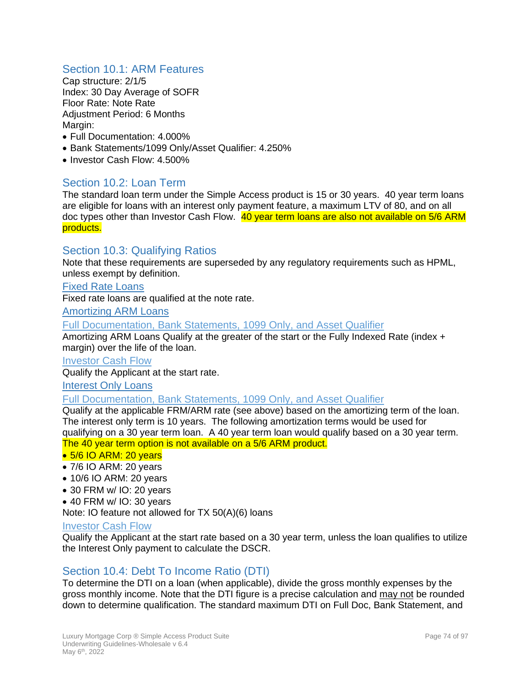#### Section 10.1: ARM Features

Cap structure: 2/1/5 Index: 30 Day Average of SOFR Floor Rate: Note Rate Adjustment Period: 6 Months Margin:

- Full Documentation: 4.000%
- Bank Statements/1099 Only/Asset Qualifier: 4.250%
- Investor Cash Flow: 4.500%

#### Section 10.2: Loan Term

The standard loan term under the Simple Access product is 15 or 30 years. 40 year term loans are eligible for loans with an interest only payment feature, a maximum LTV of 80, and on all doc types other than Investor Cash Flow. 40 year term loans are also not available on 5/6 ARM products.

#### Section 10.3: Qualifying Ratios

Note that these requirements are superseded by any regulatory requirements such as HPML, unless exempt by definition.

#### Fixed Rate Loans

Fixed rate loans are qualified at the note rate.

Amortizing ARM Loans

Full Documentation, Bank Statements, 1099 Only, and Asset Qualifier

Amortizing ARM Loans Qualify at the greater of the start or the Fully Indexed Rate (index + margin) over the life of the loan.

#### Investor Cash Flow

Qualify the Applicant at the start rate.

#### Interest Only Loans

#### Full Documentation, Bank Statements, 1099 Only, and Asset Qualifier

Qualify at the applicable FRM/ARM rate (see above) based on the amortizing term of the loan. The interest only term is 10 years. The following amortization terms would be used for qualifying on a 30 year term loan. A 40 year term loan would qualify based on a 30 year term. The 40 year term option is not available on a 5/6 ARM product.

#### • 5/6 IO ARM: 20 years

- 7/6 IO ARM: 20 years
- 10/6 IO ARM: 20 years
- 30 FRM w/ IO: 20 years
- 40 FRM w/ IO: 30 years

Note: IO feature not allowed for TX 50(A)(6) loans

#### Investor Cash Flow

Qualify the Applicant at the start rate based on a 30 year term, unless the loan qualifies to utilize the Interest Only payment to calculate the DSCR.

#### Section 10.4: Debt To Income Ratio (DTI)

To determine the DTI on a loan (when applicable), divide the gross monthly expenses by the gross monthly income. Note that the DTI figure is a precise calculation and may not be rounded down to determine qualification. The standard maximum DTI on Full Doc, Bank Statement, and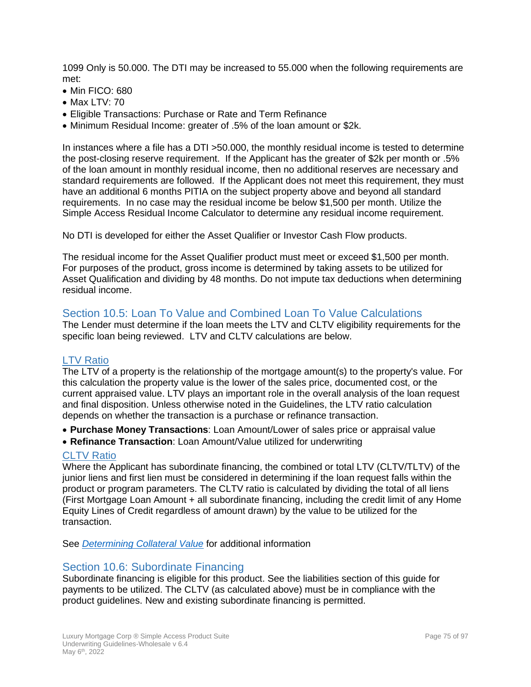1099 Only is 50.000. The DTI may be increased to 55.000 when the following requirements are met:

- Min FICO: 680
- Max LTV: 70
- Eligible Transactions: Purchase or Rate and Term Refinance
- Minimum Residual Income: greater of .5% of the loan amount or \$2k.

In instances where a file has a DTI >50.000, the monthly residual income is tested to determine the post-closing reserve requirement. If the Applicant has the greater of \$2k per month or .5% of the loan amount in monthly residual income, then no additional reserves are necessary and standard requirements are followed. If the Applicant does not meet this requirement, they must have an additional 6 months PITIA on the subject property above and beyond all standard requirements. In no case may the residual income be below \$1,500 per month. Utilize the Simple Access Residual Income Calculator to determine any residual income requirement.

No DTI is developed for either the Asset Qualifier or Investor Cash Flow products.

The residual income for the Asset Qualifier product must meet or exceed \$1,500 per month. For purposes of the product, gross income is determined by taking assets to be utilized for Asset Qualification and dividing by 48 months. Do not impute tax deductions when determining residual income.

#### Section 10.5: Loan To Value and Combined Loan To Value Calculations

The Lender must determine if the loan meets the LTV and CLTV eligibility requirements for the specific loan being reviewed. LTV and CLTV calculations are below.

#### LTV Ratio

The LTV of a property is the relationship of the mortgage amount(s) to the property's value. For this calculation the property value is the lower of the sales price, documented cost, or the current appraised value. LTV plays an important role in the overall analysis of the loan request and final disposition. Unless otherwise noted in the Guidelines, the LTV ratio calculation depends on whether the transaction is a purchase or refinance transaction.

- **Purchase Money Transactions**: Loan Amount/Lower of sales price or appraisal value
- **Refinance Transaction**: Loan Amount/Value utilized for underwriting

#### CLTV Ratio

Where the Applicant has subordinate financing, the combined or total LTV (CLTV/TLTV) of the junior liens and first lien must be considered in determining if the loan request falls within the product or program parameters. The CLTV ratio is calculated by dividing the total of all liens (First Mortgage Loan Amount + all subordinate financing, including the credit limit of any Home Equity Lines of Credit regardless of amount drawn) by the value to be utilized for the transaction.

See *[Determining Collateral Value](#page-65-0)* for additional information

#### Section 10.6: Subordinate Financing

Subordinate financing is eligible for this product. See the liabilities section of this guide for payments to be utilized. The CLTV (as calculated above) must be in compliance with the product guidelines. New and existing subordinate financing is permitted.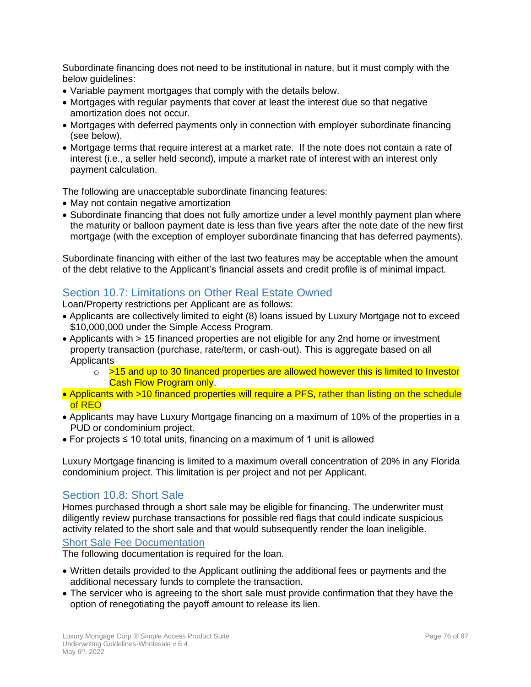Subordinate financing does not need to be institutional in nature, but it must comply with the below guidelines:

- Variable payment mortgages that comply with the details below.
- Mortgages with regular payments that cover at least the interest due so that negative amortization does not occur.
- Mortgages with deferred payments only in connection with employer subordinate financing (see below).
- Mortgage terms that require interest at a market rate. If the note does not contain a rate of interest (i.e., a seller held second), impute a market rate of interest with an interest only payment calculation.

The following are unacceptable subordinate financing features:

- May not contain negative amortization
- Subordinate financing that does not fully amortize under a level monthly payment plan where the maturity or balloon payment date is less than five years after the note date of the new first mortgage (with the exception of employer subordinate financing that has deferred payments).

Subordinate financing with either of the last two features may be acceptable when the amount of the debt relative to the Applicant's financial assets and credit profile is of minimal impact.

#### Section 10.7: Limitations on Other Real Estate Owned

Loan/Property restrictions per Applicant are as follows:

- Applicants are collectively limited to eight (8) loans issued by Luxury Mortgage not to exceed \$10,000,000 under the Simple Access Program.
- Applicants with > 15 financed properties are not eligible for any 2nd home or investment property transaction (purchase, rate/term, or cash-out). This is aggregate based on all **Applicants** 
	- o >15 and up to 30 financed properties are allowed however this is limited to Investor Cash Flow Program only.
- Applicants with >10 financed properties will require a PFS, rather than listing on the schedule of REO
- Applicants may have Luxury Mortgage financing on a maximum of 10% of the properties in a PUD or condominium project.
- For projects ≤ 10 total units, financing on a maximum of 1 unit is allowed

Luxury Mortgage financing is limited to a maximum overall concentration of 20% in any Florida condominium project. This limitation is per project and not per Applicant.

#### Section 10.8: Short Sale

Homes purchased through a short sale may be eligible for financing. The underwriter must diligently review purchase transactions for possible red flags that could indicate suspicious activity related to the short sale and that would subsequently render the loan ineligible.

#### Short Sale Fee Documentation

The following documentation is required for the loan.

- Written details provided to the Applicant outlining the additional fees or payments and the additional necessary funds to complete the transaction.
- The servicer who is agreeing to the short sale must provide confirmation that they have the option of renegotiating the payoff amount to release its lien.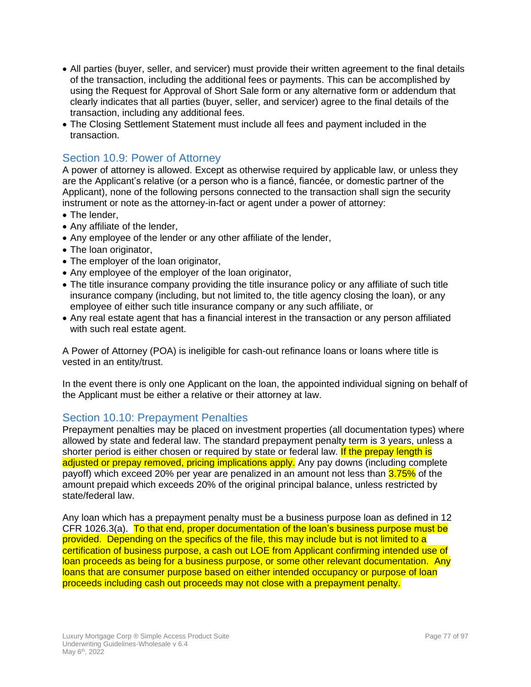- All parties (buyer, seller, and servicer) must provide their written agreement to the final details of the transaction, including the additional fees or payments. This can be accomplished by using the Request for Approval of Short Sale form or any alternative form or addendum that clearly indicates that all parties (buyer, seller, and servicer) agree to the final details of the transaction, including any additional fees.
- The Closing Settlement Statement must include all fees and payment included in the transaction.

#### Section 10.9: Power of Attorney

A power of attorney is allowed. Except as otherwise required by applicable law, or unless they are the Applicant's relative (or a person who is a fiancé, fiancée, or domestic partner of the Applicant), none of the following persons connected to the transaction shall sign the security instrument or note as the attorney-in-fact or agent under a power of attorney:

- The lender,
- Any affiliate of the lender,
- Any employee of the lender or any other affiliate of the lender,
- The loan originator,
- The employer of the loan originator,
- Any employee of the employer of the loan originator,
- The title insurance company providing the title insurance policy or any affiliate of such title insurance company (including, but not limited to, the title agency closing the loan), or any employee of either such title insurance company or any such affiliate, or
- Any real estate agent that has a financial interest in the transaction or any person affiliated with such real estate agent.

A Power of Attorney (POA) is ineligible for cash-out refinance loans or loans where title is vested in an entity/trust.

In the event there is only one Applicant on the loan, the appointed individual signing on behalf of the Applicant must be either a relative or their attorney at law.

#### Section 10.10: Prepayment Penalties

Prepayment penalties may be placed on investment properties (all documentation types) where allowed by state and federal law. The standard prepayment penalty term is 3 years, unless a shorter period is either chosen or required by state or federal law. If the prepay length is adjusted or prepay removed, pricing implications apply. Any pay downs (including complete payoff) which exceed 20% per year are penalized in an amount not less than 3.75% of the amount prepaid which exceeds 20% of the original principal balance, unless restricted by state/federal law.

Any loan which has a prepayment penalty must be a business purpose loan as defined in 12 CFR 1026.3(a). To that end, proper documentation of the loan's business purpose must be provided. Depending on the specifics of the file, this may include but is not limited to a certification of business purpose, a cash out LOE from Applicant confirming intended use of loan proceeds as being for a business purpose, or some other relevant documentation. Any loans that are consumer purpose based on either intended occupancy or purpose of loan proceeds including cash out proceeds may not close with a prepayment penalty.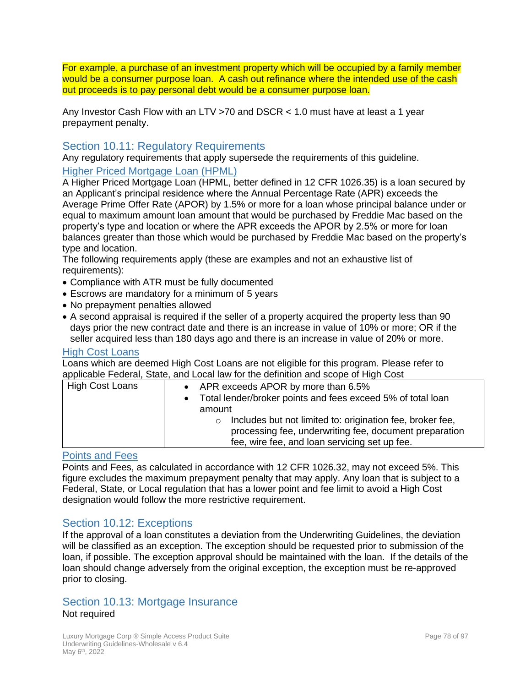For example, a purchase of an investment property which will be occupied by a family member would be a consumer purpose loan. A cash out refinance where the intended use of the cash out proceeds is to pay personal debt would be a consumer purpose loan.

Any Investor Cash Flow with an LTV >70 and DSCR < 1.0 must have at least a 1 year prepayment penalty.

#### Section 10.11: Regulatory Requirements

Any regulatory requirements that apply supersede the requirements of this guideline.

Higher Priced Mortgage Loan (HPML)

A Higher Priced Mortgage Loan (HPML, better defined in 12 CFR 1026.35) is a loan secured by an Applicant's principal residence where the Annual Percentage Rate (APR) exceeds the Average Prime Offer Rate (APOR) by 1.5% or more for a loan whose principal balance under or equal to maximum amount loan amount that would be purchased by Freddie Mac based on the property's type and location or where the APR exceeds the APOR by 2.5% or more for loan balances greater than those which would be purchased by Freddie Mac based on the property's type and location.

The following requirements apply (these are examples and not an exhaustive list of requirements):

- Compliance with ATR must be fully documented
- Escrows are mandatory for a minimum of 5 years
- No prepayment penalties allowed
- A second appraisal is required if the seller of a property acquired the property less than 90 days prior the new contract date and there is an increase in value of 10% or more; OR if the seller acquired less than 180 days ago and there is an increase in value of 20% or more.

#### High Cost Loans

Loans which are deemed High Cost Loans are not eligible for this program. Please refer to applicable Federal, State, and Local law for the definition and scope of High Cost

| High Cost Loans | • APR exceeds APOR by more than 6.5%<br>• Total lender/broker points and fees exceed 5% of total loan<br>amount                                                                 |
|-----------------|---------------------------------------------------------------------------------------------------------------------------------------------------------------------------------|
|                 | Includes but not limited to: origination fee, broker fee,<br>$\circ$<br>processing fee, underwriting fee, document preparation<br>fee, wire fee, and loan servicing set up fee. |

#### Points and Fees

Points and Fees, as calculated in accordance with 12 CFR 1026.32, may not exceed 5%. This figure excludes the maximum prepayment penalty that may apply. Any loan that is subject to a Federal, State, or Local regulation that has a lower point and fee limit to avoid a High Cost designation would follow the more restrictive requirement.

#### Section 10.12: Exceptions

If the approval of a loan constitutes a deviation from the Underwriting Guidelines, the deviation will be classified as an exception. The exception should be requested prior to submission of the loan, if possible. The exception approval should be maintained with the loan. If the details of the loan should change adversely from the original exception, the exception must be re-approved prior to closing.

#### Section 10.13: Mortgage Insurance Not required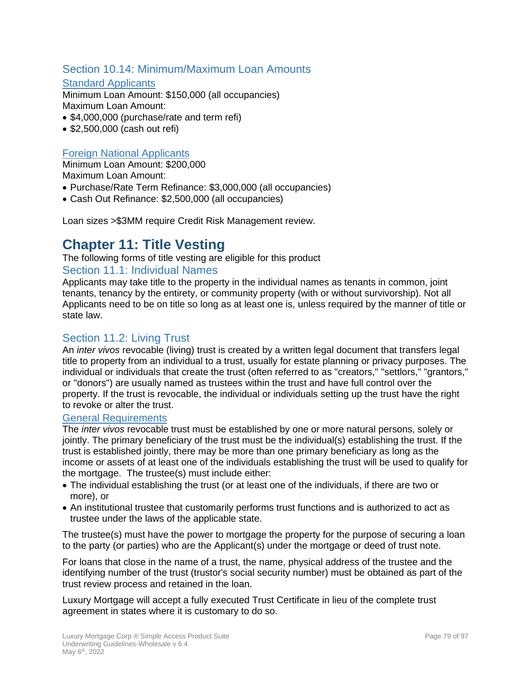#### Section 10.14: Minimum/Maximum Loan Amounts

#### **Standard Applicants**

Minimum Loan Amount: \$150,000 (all occupancies) Maximum Loan Amount:

- \$4,000,000 (purchase/rate and term refi)
- \$2,500,000 (cash out refi)

#### **Foreign National Applicants**

Minimum Loan Amount: \$200,000 Maximum Loan Amount:

- Purchase/Rate Term Refinance: \$3,000,000 (all occupancies)
- Cash Out Refinance: \$2,500,000 (all occupancies)

Loan sizes >\$3MM require Credit Risk Management review.

### **Chapter 11: Title Vesting**

The following forms of title vesting are eligible for this product Section 11.1: Individual Names

Applicants may take title to the property in the individual names as tenants in common, joint tenants, tenancy by the entirety, or community property (with or without survivorship). Not all Applicants need to be on title so long as at least one is, unless required by the manner of title or state law.

#### Section 11.2: Living Trust

An *inter vivos* revocable (living) trust is created by a written legal document that transfers legal title to property from an individual to a trust, usually for estate planning or privacy purposes. The individual or individuals that create the trust (often referred to as "creators," "settlors," "grantors," or "donors") are usually named as trustees within the trust and have full control over the property. If the trust is revocable, the individual or individuals setting up the trust have the right to revoke or alter the trust.

#### General Requirements

The *inter vivos* revocable trust must be established by one or more natural persons, solely or jointly. The primary beneficiary of the trust must be the individual(s) establishing the trust. If the trust is established jointly, there may be more than one primary beneficiary as long as the income or assets of at least one of the individuals establishing the trust will be used to qualify for the mortgage. The trustee(s) must include either:

- The individual establishing the trust (or at least one of the individuals, if there are two or more), or
- An institutional trustee that customarily performs trust functions and is authorized to act as trustee under the laws of the applicable state.

The trustee(s) must have the power to mortgage the property for the purpose of securing a loan to the party (or parties) who are the Applicant(s) under the mortgage or deed of trust note.

For loans that close in the name of a trust, the name, physical address of the trustee and the identifying number of the trust (trustor's social security number) must be obtained as part of the trust review process and retained in the loan.

Luxury Mortgage will accept a fully executed Trust Certificate in lieu of the complete trust agreement in states where it is customary to do so.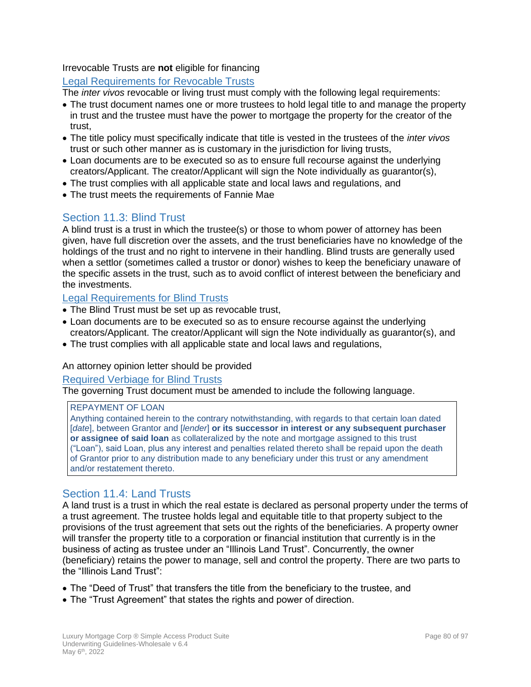#### Irrevocable Trusts are **not** eligible for financing

#### Legal Requirements for Revocable Trusts

The *inter vivos* revocable or living trust must comply with the following legal requirements:

- The trust document names one or more trustees to hold legal title to and manage the property in trust and the trustee must have the power to mortgage the property for the creator of the trust,
- The title policy must specifically indicate that title is vested in the trustees of the *inter vivos* trust or such other manner as is customary in the jurisdiction for living trusts,
- Loan documents are to be executed so as to ensure full recourse against the underlying creators/Applicant. The creator/Applicant will sign the Note individually as guarantor(s),
- The trust complies with all applicable state and local laws and regulations, and
- The trust meets the requirements of Fannie Mae

#### Section 11.3: Blind Trust

A blind trust is a trust in which the trustee(s) or those to whom power of attorney has been given, have full discretion over the assets, and the trust beneficiaries have no knowledge of the holdings of the trust and no right to intervene in their handling. Blind trusts are generally used when a settlor (sometimes called a trustor or donor) wishes to keep the beneficiary unaware of the specific assets in the trust, such as to avoid conflict of interest between the beneficiary and the investments.

#### Legal Requirements for Blind Trusts

- The Blind Trust must be set up as revocable trust,
- Loan documents are to be executed so as to ensure recourse against the underlying creators/Applicant. The creator/Applicant will sign the Note individually as guarantor(s), and
- The trust complies with all applicable state and local laws and regulations,

#### An attorney opinion letter should be provided

#### Required Verbiage for Blind Trusts

The governing Trust document must be amended to include the following language.

#### REPAYMENT OF LOAN

Anything contained herein to the contrary notwithstanding, with regards to that certain loan dated [*date*], between Grantor and [*lender*] **or its successor in interest or any subsequent purchaser or assignee of said loan** as collateralized by the note and mortgage assigned to this trust ("Loan"), said Loan, plus any interest and penalties related thereto shall be repaid upon the death of Grantor prior to any distribution made to any beneficiary under this trust or any amendment and/or restatement thereto.

#### Section 11.4: Land Trusts

A land trust is a trust in which the real estate is declared as personal property under the terms of a trust agreement. The trustee holds legal and equitable title to that property subject to the provisions of the trust agreement that sets out the rights of the beneficiaries. A property owner will transfer the property title to a corporation or financial institution that currently is in the business of acting as trustee under an "Illinois Land Trust". Concurrently, the owner (beneficiary) retains the power to manage, sell and control the property. There are two parts to the "Illinois Land Trust":

- The "Deed of Trust" that transfers the title from the beneficiary to the trustee, and
- The "Trust Agreement" that states the rights and power of direction.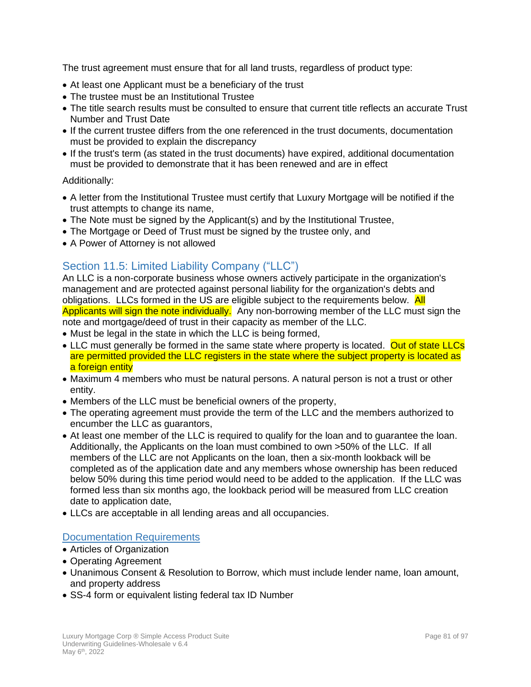The trust agreement must ensure that for all land trusts, regardless of product type:

- At least one Applicant must be a beneficiary of the trust
- The trustee must be an Institutional Trustee
- The title search results must be consulted to ensure that current title reflects an accurate Trust Number and Trust Date
- If the current trustee differs from the one referenced in the trust documents, documentation must be provided to explain the discrepancy
- If the trust's term (as stated in the trust documents) have expired, additional documentation must be provided to demonstrate that it has been renewed and are in effect

#### Additionally:

- A letter from the Institutional Trustee must certify that Luxury Mortgage will be notified if the trust attempts to change its name,
- The Note must be signed by the Applicant(s) and by the Institutional Trustee,
- The Mortgage or Deed of Trust must be signed by the trustee only, and
- A Power of Attorney is not allowed

### Section 11.5: Limited Liability Company ("LLC")

An LLC is a non-corporate business whose owners actively participate in the organization's management and are protected against personal liability for the organization's debts and obligations. LLCs formed in the US are eligible subject to the requirements below. All Applicants will sign the note individually. Any non-borrowing member of the LLC must sign the note and mortgage/deed of trust in their capacity as member of the LLC.

- Must be legal in the state in which the LLC is being formed,
- LLC must generally be formed in the same state where property is located. Out of state LLCs are permitted provided the LLC registers in the state where the subject property is located as a foreign entity
- Maximum 4 members who must be natural persons. A natural person is not a trust or other entity.
- Members of the LLC must be beneficial owners of the property,
- The operating agreement must provide the term of the LLC and the members authorized to encumber the LLC as guarantors,
- At least one member of the LLC is required to qualify for the loan and to guarantee the loan. Additionally, the Applicants on the loan must combined to own >50% of the LLC. If all members of the LLC are not Applicants on the loan, then a six-month lookback will be completed as of the application date and any members whose ownership has been reduced below 50% during this time period would need to be added to the application. If the LLC was formed less than six months ago, the lookback period will be measured from LLC creation date to application date,
- LLCs are acceptable in all lending areas and all occupancies.

#### Documentation Requirements

- Articles of Organization
- Operating Agreement
- Unanimous Consent & Resolution to Borrow, which must include lender name, loan amount, and property address
- SS-4 form or equivalent listing federal tax ID Number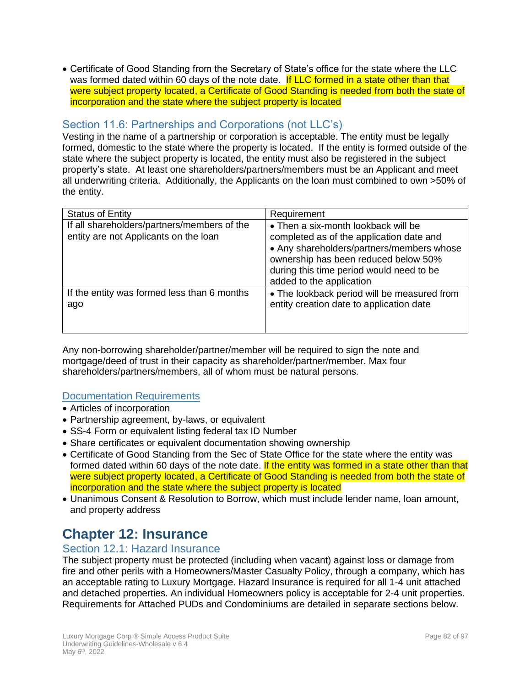• Certificate of Good Standing from the Secretary of State's office for the state where the LLC was formed dated within 60 days of the note date. If LLC formed in a state other than that were subject property located, a Certificate of Good Standing is needed from both the state of incorporation and the state where the subject property is located

#### Section 11.6: Partnerships and Corporations (not LLC's)

Vesting in the name of a partnership or corporation is acceptable. The entity must be legally formed, domestic to the state where the property is located. If the entity is formed outside of the state where the subject property is located, the entity must also be registered in the subject property's state. At least one shareholders/partners/members must be an Applicant and meet all underwriting criteria. Additionally, the Applicants on the loan must combined to own >50% of the entity.

| <b>Status of Entity</b>                                                              | Requirement                                                                                                                                                                                                                                  |
|--------------------------------------------------------------------------------------|----------------------------------------------------------------------------------------------------------------------------------------------------------------------------------------------------------------------------------------------|
| If all shareholders/partners/members of the<br>entity are not Applicants on the loan | • Then a six-month lookback will be<br>completed as of the application date and<br>• Any shareholders/partners/members whose<br>ownership has been reduced below 50%<br>during this time period would need to be<br>added to the application |
| If the entity was formed less than 6 months<br>ago                                   | • The lookback period will be measured from<br>entity creation date to application date                                                                                                                                                      |

Any non-borrowing shareholder/partner/member will be required to sign the note and mortgage/deed of trust in their capacity as shareholder/partner/member. Max four shareholders/partners/members, all of whom must be natural persons.

#### Documentation Requirements

- Articles of incorporation
- Partnership agreement, by-laws, or equivalent
- SS-4 Form or equivalent listing federal tax ID Number
- Share certificates or equivalent documentation showing ownership
- Certificate of Good Standing from the Sec of State Office for the state where the entity was formed dated within 60 days of the note date. If the entity was formed in a state other than that were subject property located, a Certificate of Good Standing is needed from both the state of incorporation and the state where the subject property is located
- Unanimous Consent & Resolution to Borrow, which must include lender name, loan amount, and property address

### **Chapter 12: Insurance**

#### Section 12.1: Hazard Insurance

The subject property must be protected (including when vacant) against loss or damage from fire and other perils with a Homeowners/Master Casualty Policy, through a company, which has an acceptable rating to Luxury Mortgage. Hazard Insurance is required for all 1-4 unit attached and detached properties. An individual Homeowners policy is acceptable for 2-4 unit properties. Requirements for Attached PUDs and Condominiums are detailed in separate sections below.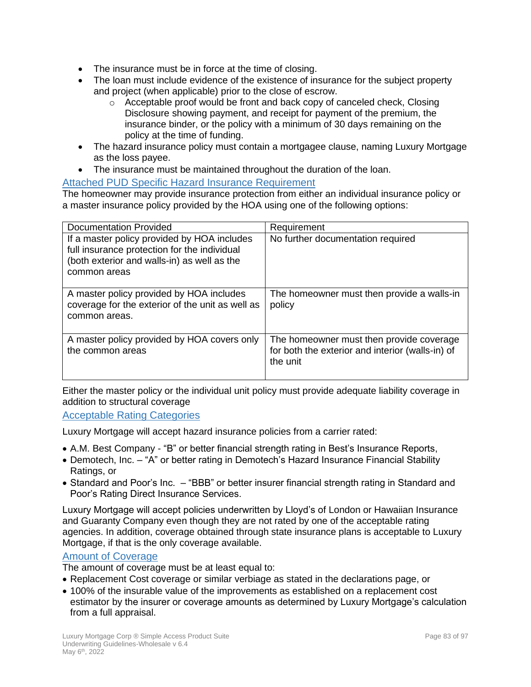- The insurance must be in force at the time of closing.
- The loan must include evidence of the existence of insurance for the subject property and project (when applicable) prior to the close of escrow.
	- $\circ$  Acceptable proof would be front and back copy of canceled check, Closing Disclosure showing payment, and receipt for payment of the premium, the insurance binder, or the policy with a minimum of 30 days remaining on the policy at the time of funding.
- The hazard insurance policy must contain a mortgagee clause, naming Luxury Mortgage as the loss payee.
- The insurance must be maintained throughout the duration of the loan.

#### Attached PUD Specific Hazard Insurance Requirement

The homeowner may provide insurance protection from either an individual insurance policy or a master insurance policy provided by the HOA using one of the following options:

| <b>Documentation Provided</b>                                                                                                                              | Requirement                                                                                              |
|------------------------------------------------------------------------------------------------------------------------------------------------------------|----------------------------------------------------------------------------------------------------------|
| If a master policy provided by HOA includes<br>full insurance protection for the individual<br>(both exterior and walls-in) as well as the<br>common areas | No further documentation required                                                                        |
| A master policy provided by HOA includes<br>coverage for the exterior of the unit as well as<br>common areas.                                              | The homeowner must then provide a walls-in<br>policy                                                     |
| A master policy provided by HOA covers only<br>the common areas                                                                                            | The homeowner must then provide coverage<br>for both the exterior and interior (walls-in) of<br>the unit |

Either the master policy or the individual unit policy must provide adequate liability coverage in addition to structural coverage

Acceptable Rating Categories

Luxury Mortgage will accept hazard insurance policies from a carrier rated:

- A.M. Best Company "B" or better financial strength rating in Best's Insurance Reports,
- Demotech, Inc. "A" or better rating in Demotech's Hazard Insurance Financial Stability Ratings, or
- Standard and Poor's Inc. "BBB" or better insurer financial strength rating in Standard and Poor's Rating Direct Insurance Services.

Luxury Mortgage will accept policies underwritten by Lloyd's of London or Hawaiian Insurance and Guaranty Company even though they are not rated by one of the acceptable rating agencies. In addition, coverage obtained through state insurance plans is acceptable to Luxury Mortgage, if that is the only coverage available.

#### Amount of Coverage

The amount of coverage must be at least equal to:

- Replacement Cost coverage or similar verbiage as stated in the declarations page, or
- 100% of the insurable value of the improvements as established on a replacement cost estimator by the insurer or coverage amounts as determined by Luxury Mortgage's calculation from a full appraisal.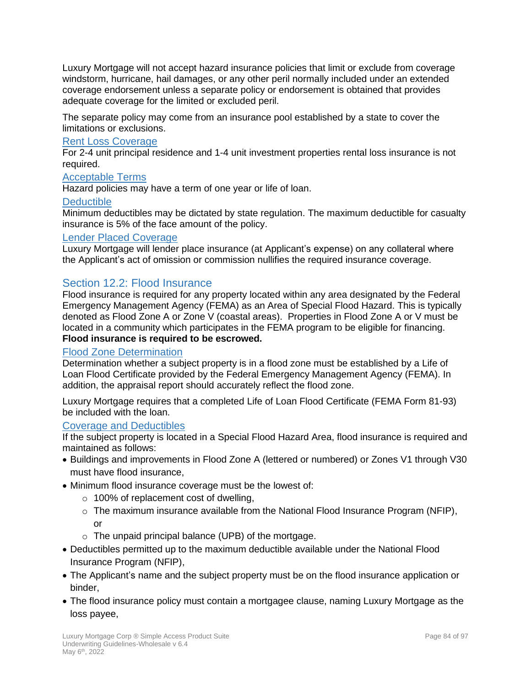Luxury Mortgage will not accept hazard insurance policies that limit or exclude from coverage windstorm, hurricane, hail damages, or any other peril normally included under an extended coverage endorsement unless a separate policy or endorsement is obtained that provides adequate coverage for the limited or excluded peril.

The separate policy may come from an insurance pool established by a state to cover the limitations or exclusions.

#### Rent Loss Coverage

For 2-4 unit principal residence and 1-4 unit investment properties rental loss insurance is not required.

#### Acceptable Terms

Hazard policies may have a term of one year or life of loan.

#### **Deductible**

Minimum deductibles may be dictated by state regulation. The maximum deductible for casualty insurance is 5% of the face amount of the policy.

#### Lender Placed Coverage

Luxury Mortgage will lender place insurance (at Applicant's expense) on any collateral where the Applicant's act of omission or commission nullifies the required insurance coverage.

#### Section 12.2: Flood Insurance

Flood insurance is required for any property located within any area designated by the Federal Emergency Management Agency (FEMA) as an Area of Special Flood Hazard. This is typically denoted as Flood Zone A or Zone V (coastal areas). Properties in Flood Zone A or V must be located in a community which participates in the FEMA program to be eligible for financing. **Flood insurance is required to be escrowed.** 

#### Flood Zone Determination

Determination whether a subject property is in a flood zone must be established by a Life of Loan Flood Certificate provided by the Federal Emergency Management Agency (FEMA). In addition, the appraisal report should accurately reflect the flood zone.

Luxury Mortgage requires that a completed Life of Loan Flood Certificate (FEMA Form 81-93) be included with the loan.

#### Coverage and Deductibles

If the subject property is located in a Special Flood Hazard Area, flood insurance is required and maintained as follows:

- Buildings and improvements in Flood Zone A (lettered or numbered) or Zones V1 through V30 must have flood insurance,
- Minimum flood insurance coverage must be the lowest of:
	- $\circ$  100% of replacement cost of dwelling,
	- o The maximum insurance available from the National Flood Insurance Program (NFIP), or
	- $\circ$  The unpaid principal balance (UPB) of the mortgage.
- Deductibles permitted up to the maximum deductible available under the National Flood Insurance Program (NFIP),
- The Applicant's name and the subject property must be on the flood insurance application or binder,
- The flood insurance policy must contain a mortgagee clause, naming Luxury Mortgage as the loss payee,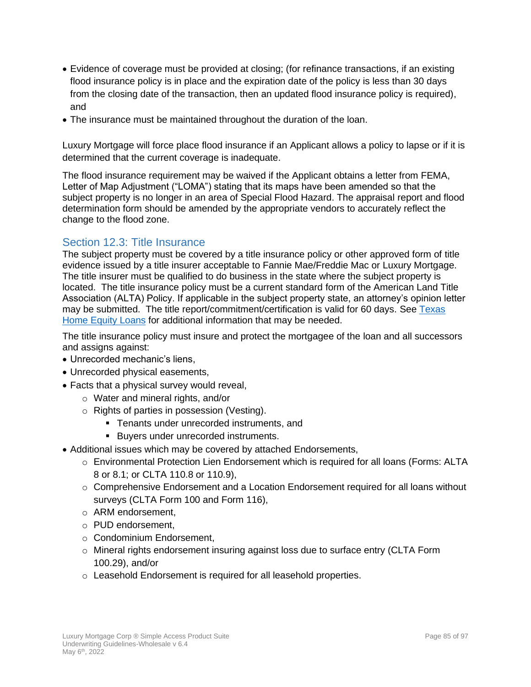- Evidence of coverage must be provided at closing; (for refinance transactions, if an existing flood insurance policy is in place and the expiration date of the policy is less than 30 days from the closing date of the transaction, then an updated flood insurance policy is required), and
- The insurance must be maintained throughout the duration of the loan.

Luxury Mortgage will force place flood insurance if an Applicant allows a policy to lapse or if it is determined that the current coverage is inadequate.

The flood insurance requirement may be waived if the Applicant obtains a letter from FEMA, Letter of Map Adjustment ("LOMA") stating that its maps have been amended so that the subject property is no longer in an area of Special Flood Hazard. The appraisal report and flood determination form should be amended by the appropriate vendors to accurately reflect the change to the flood zone.

#### Section 12.3: Title Insurance

The subject property must be covered by a title insurance policy or other approved form of title evidence issued by a title insurer acceptable to Fannie Mae/Freddie Mac or Luxury Mortgage. The title insurer must be qualified to do business in the state where the subject property is located. The title insurance policy must be a current standard form of the American Land Title Association (ALTA) Policy. If applicable in the subject property state, an attorney's opinion letter may be submitted. The title report/commitment/certification is valid for 60 days. See [Texas](#page-13-0)  [Home Equity Loans](#page-13-0) for additional information that may be needed.

The title insurance policy must insure and protect the mortgagee of the loan and all successors and assigns against:

- Unrecorded mechanic's liens,
- Unrecorded physical easements,
- Facts that a physical survey would reveal,
	- o Water and mineral rights, and/or
	- o Rights of parties in possession (Vesting).
		- **Tenants under unrecorded instruments, and**
		- Buyers under unrecorded instruments.
- Additional issues which may be covered by attached Endorsements,
	- $\circ$  Environmental Protection Lien Endorsement which is required for all loans (Forms: ALTA 8 or 8.1; or CLTA 110.8 or 110.9),
	- $\circ$  Comprehensive Endorsement and a Location Endorsement required for all loans without surveys (CLTA Form 100 and Form 116),
	- o ARM endorsement,
	- o PUD endorsement,
	- o Condominium Endorsement,
	- $\circ$  Mineral rights endorsement insuring against loss due to surface entry (CLTA Form 100.29), and/or
	- o Leasehold Endorsement is required for all leasehold properties.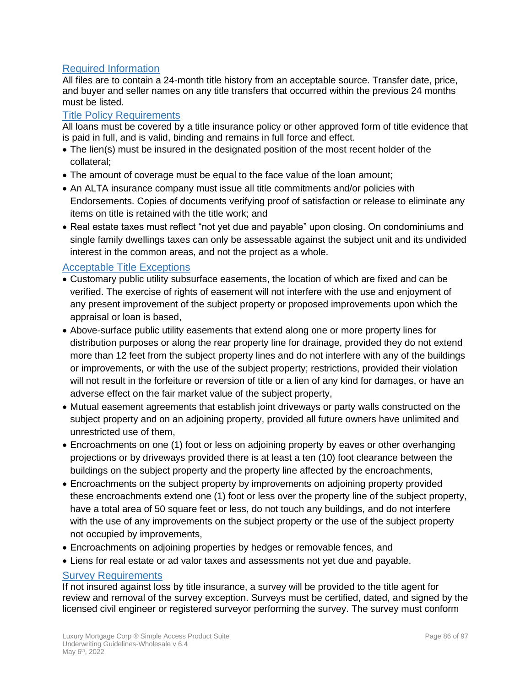#### Required Information

All files are to contain a 24-month title history from an acceptable source. Transfer date, price, and buyer and seller names on any title transfers that occurred within the previous 24 months must be listed.

#### Title Policy Requirements

All loans must be covered by a title insurance policy or other approved form of title evidence that is paid in full, and is valid, binding and remains in full force and effect.

- The lien(s) must be insured in the designated position of the most recent holder of the collateral;
- The amount of coverage must be equal to the face value of the loan amount;
- An ALTA insurance company must issue all title commitments and/or policies with Endorsements. Copies of documents verifying proof of satisfaction or release to eliminate any items on title is retained with the title work; and
- Real estate taxes must reflect "not yet due and payable" upon closing. On condominiums and single family dwellings taxes can only be assessable against the subject unit and its undivided interest in the common areas, and not the project as a whole.

#### Acceptable Title Exceptions

- Customary public utility subsurface easements, the location of which are fixed and can be verified. The exercise of rights of easement will not interfere with the use and enjoyment of any present improvement of the subject property or proposed improvements upon which the appraisal or loan is based,
- Above-surface public utility easements that extend along one or more property lines for distribution purposes or along the rear property line for drainage, provided they do not extend more than 12 feet from the subject property lines and do not interfere with any of the buildings or improvements, or with the use of the subject property; restrictions, provided their violation will not result in the forfeiture or reversion of title or a lien of any kind for damages, or have an adverse effect on the fair market value of the subject property,
- Mutual easement agreements that establish joint driveways or party walls constructed on the subject property and on an adjoining property, provided all future owners have unlimited and unrestricted use of them,
- Encroachments on one (1) foot or less on adjoining property by eaves or other overhanging projections or by driveways provided there is at least a ten (10) foot clearance between the buildings on the subject property and the property line affected by the encroachments,
- Encroachments on the subject property by improvements on adjoining property provided these encroachments extend one (1) foot or less over the property line of the subject property, have a total area of 50 square feet or less, do not touch any buildings, and do not interfere with the use of any improvements on the subject property or the use of the subject property not occupied by improvements,
- Encroachments on adjoining properties by hedges or removable fences, and
- Liens for real estate or ad valor taxes and assessments not yet due and payable.

#### Survey Requirements

If not insured against loss by title insurance, a survey will be provided to the title agent for review and removal of the survey exception. Surveys must be certified, dated, and signed by the licensed civil engineer or registered surveyor performing the survey. The survey must conform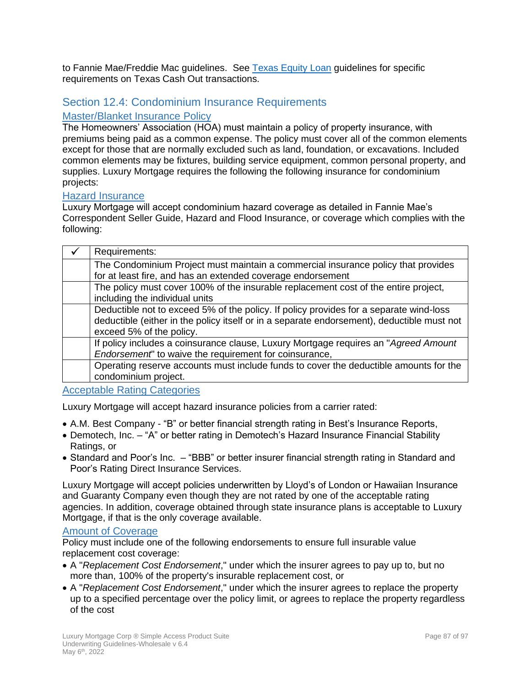to Fannie Mae/Freddie Mac guidelines. See [Texas Equity Loan](#page-13-0) guidelines for specific requirements on Texas Cash Out transactions.

#### Section 12.4: Condominium Insurance Requirements

#### Master/Blanket Insurance Policy

The Homeowners' Association (HOA) must maintain a policy of property insurance, with premiums being paid as a common expense. The policy must cover all of the common elements except for those that are normally excluded such as land, foundation, or excavations. Included common elements may be fixtures, building service equipment, common personal property, and supplies. Luxury Mortgage requires the following the following insurance for condominium projects:

#### Hazard Insurance

Luxury Mortgage will accept condominium hazard coverage as detailed in Fannie Mae's Correspondent Seller Guide, Hazard and Flood Insurance, or coverage which complies with the following:

| Requirements:                                                                                                                                                                                                    |
|------------------------------------------------------------------------------------------------------------------------------------------------------------------------------------------------------------------|
| The Condominium Project must maintain a commercial insurance policy that provides<br>for at least fire, and has an extended coverage endorsement                                                                 |
| The policy must cover 100% of the insurable replacement cost of the entire project,<br>including the individual units                                                                                            |
| Deductible not to exceed 5% of the policy. If policy provides for a separate wind-loss<br>deductible (either in the policy itself or in a separate endorsement), deductible must not<br>exceed 5% of the policy. |
| If policy includes a coinsurance clause, Luxury Mortgage requires an "Agreed Amount"<br>Endorsement" to waive the requirement for coinsurance,                                                                   |
| Operating reserve accounts must include funds to cover the deductible amounts for the<br>condominium project.                                                                                                    |

Acceptable Rating Categories

Luxury Mortgage will accept hazard insurance policies from a carrier rated:

- A.M. Best Company "B" or better financial strength rating in Best's Insurance Reports,
- Demotech, Inc. "A" or better rating in Demotech's Hazard Insurance Financial Stability Ratings, or
- Standard and Poor's Inc. "BBB" or better insurer financial strength rating in Standard and Poor's Rating Direct Insurance Services.

Luxury Mortgage will accept policies underwritten by Lloyd's of London or Hawaiian Insurance and Guaranty Company even though they are not rated by one of the acceptable rating agencies. In addition, coverage obtained through state insurance plans is acceptable to Luxury Mortgage, if that is the only coverage available.

#### Amount of Coverage

Policy must include one of the following endorsements to ensure full insurable value replacement cost coverage:

- A "*Replacement Cost Endorsement*," under which the insurer agrees to pay up to, but no more than, 100% of the property's insurable replacement cost, or
- A "*Replacement Cost Endorsement*," under which the insurer agrees to replace the property up to a specified percentage over the policy limit, or agrees to replace the property regardless of the cost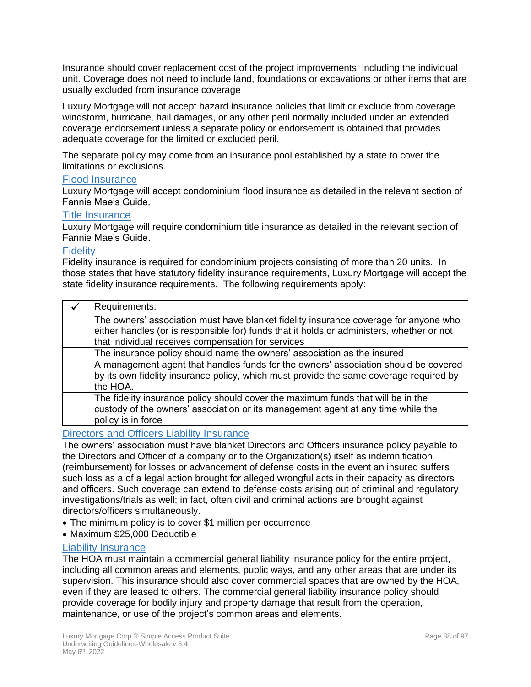Insurance should cover replacement cost of the project improvements, including the individual unit. Coverage does not need to include land, foundations or excavations or other items that are usually excluded from insurance coverage

Luxury Mortgage will not accept hazard insurance policies that limit or exclude from coverage windstorm, hurricane, hail damages, or any other peril normally included under an extended coverage endorsement unless a separate policy or endorsement is obtained that provides adequate coverage for the limited or excluded peril.

The separate policy may come from an insurance pool established by a state to cover the limitations or exclusions.

#### Flood Insurance

Luxury Mortgage will accept condominium flood insurance as detailed in the relevant section of Fannie Mae's Guide.

#### Title Insurance

Luxury Mortgage will require condominium title insurance as detailed in the relevant section of Fannie Mae's Guide.

#### **Fidelity**

Fidelity insurance is required for condominium projects consisting of more than 20 units. In those states that have statutory fidelity insurance requirements, Luxury Mortgage will accept the state fidelity insurance requirements. The following requirements apply:

| Requirements:                                                                                                                                                                              |
|--------------------------------------------------------------------------------------------------------------------------------------------------------------------------------------------|
| The owners' association must have blanket fidelity insurance coverage for anyone who<br>either handles (or is responsible for) funds that it holds or administers, whether or not          |
| that individual receives compensation for services                                                                                                                                         |
| The insurance policy should name the owners' association as the insured                                                                                                                    |
| A management agent that handles funds for the owners' association should be covered<br>by its own fidelity insurance policy, which must provide the same coverage required by<br>the HOA.  |
| The fidelity insurance policy should cover the maximum funds that will be in the<br>custody of the owners' association or its management agent at any time while the<br>policy is in force |

#### Directors and Officers Liability Insurance

The owners' association must have blanket Directors and Officers insurance policy payable to the Directors and Officer of a company or to the Organization(s) itself as indemnification (reimbursement) for losses or advancement of defense costs in the event an insured suffers such loss as a of a legal action brought for alleged wrongful acts in their capacity as directors and officers. Such coverage can extend to defense costs arising out of criminal and regulatory investigations/trials as well; in fact, often civil and criminal actions are brought against directors/officers simultaneously.

- The minimum policy is to cover \$1 million per occurrence
- Maximum \$25,000 Deductible

#### Liability Insurance

The HOA must maintain a commercial general liability insurance policy for the entire project, including all common areas and elements, public ways, and any other areas that are under its supervision. This insurance should also cover commercial spaces that are owned by the HOA, even if they are leased to others. The commercial general liability insurance policy should provide coverage for bodily injury and property damage that result from the operation, maintenance, or use of the project's common areas and elements.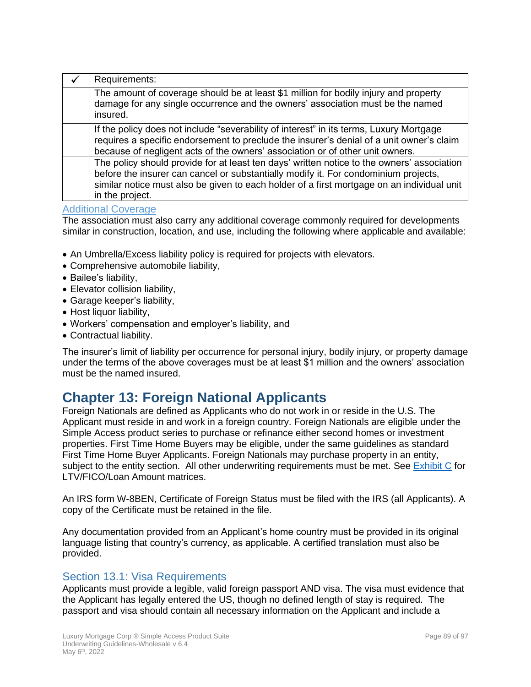| Requirements:                                                                                                                                                                                                                                                                                      |
|----------------------------------------------------------------------------------------------------------------------------------------------------------------------------------------------------------------------------------------------------------------------------------------------------|
| The amount of coverage should be at least \$1 million for bodily injury and property<br>damage for any single occurrence and the owners' association must be the named<br>insured.                                                                                                                 |
| If the policy does not include "severability of interest" in its terms, Luxury Mortgage<br>requires a specific endorsement to preclude the insurer's denial of a unit owner's claim<br>because of negligent acts of the owners' association or of other unit owners.                               |
| The policy should provide for at least ten days' written notice to the owners' association<br>before the insurer can cancel or substantially modify it. For condominium projects,<br>similar notice must also be given to each holder of a first mortgage on an individual unit<br>in the project. |

#### Additional Coverage

The association must also carry any additional coverage commonly required for developments similar in construction, location, and use, including the following where applicable and available:

- An Umbrella/Excess liability policy is required for projects with elevators.
- Comprehensive automobile liability,
- Bailee's liability,
- Elevator collision liability,
- Garage keeper's liability,
- Host liquor liability,
- Workers' compensation and employer's liability, and
- Contractual liability.

The insurer's limit of liability per occurrence for personal injury, bodily injury, or property damage under the terms of the above coverages must be at least \$1 million and the owners' association must be the named insured.

### **Chapter 13: Foreign National Applicants**

Foreign Nationals are defined as Applicants who do not work in or reside in the U.S. The Applicant must reside in and work in a foreign country. Foreign Nationals are eligible under the Simple Access product series to purchase or refinance either second homes or investment properties. First Time Home Buyers may be eligible, under the same guidelines as standard First Time Home Buyer Applicants. Foreign Nationals may purchase property in an entity, subject to the entity section. All other underwriting requirements must be met. See [Exhibit C](file://///STAMSRV5/Home/LWinters/Starwood/Underwriting%20Guidelines/Retail/LMC%20Simple%20Access%20Underwriting%20Guidelines-Retail%20v%206.2.docx%23_Exhibit_C:_LTV/FICO/Loan) for LTV/FICO/Loan Amount matrices.

An IRS form W-8BEN, Certificate of Foreign Status must be filed with the IRS (all Applicants). A copy of the Certificate must be retained in the file.

Any documentation provided from an Applicant's home country must be provided in its original language listing that country's currency, as applicable. A certified translation must also be provided.

#### Section 13.1: Visa Requirements

Applicants must provide a legible, valid foreign passport AND visa. The visa must evidence that the Applicant has legally entered the US, though no defined length of stay is required. The passport and visa should contain all necessary information on the Applicant and include a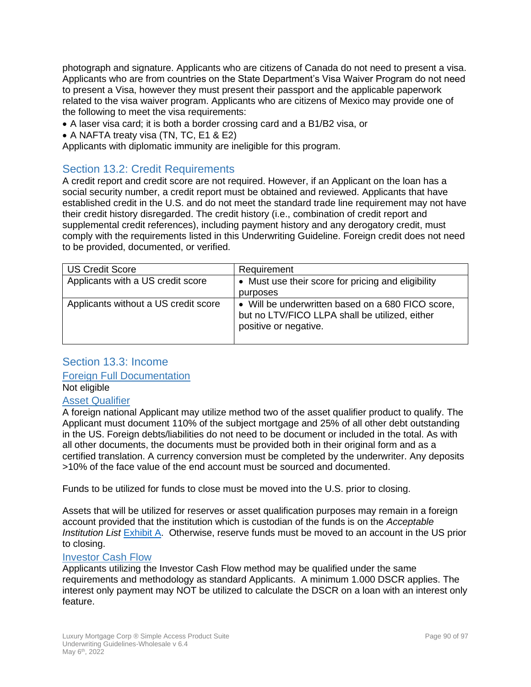photograph and signature. Applicants who are citizens of Canada do not need to present a visa. Applicants who are from countries on the State Department's Visa Waiver Program do not need to present a Visa, however they must present their passport and the applicable paperwork related to the visa waiver program. Applicants who are citizens of Mexico may provide one of the following to meet the visa requirements:

- A laser visa card; it is both a border crossing card and a B1/B2 visa, or
- A NAFTA treaty visa (TN, TC, E1 & E2)

Applicants with diplomatic immunity are ineligible for this program.

#### Section 13.2: Credit Requirements

A credit report and credit score are not required. However, if an Applicant on the loan has a social security number, a credit report must be obtained and reviewed. Applicants that have established credit in the U.S. and do not meet the standard trade line requirement may not have their credit history disregarded. The credit history (i.e., combination of credit report and supplemental credit references), including payment history and any derogatory credit, must comply with the requirements listed in this Underwriting Guideline. Foreign credit does not need to be provided, documented, or verified.

| <b>US Credit Score</b>               | Requirement                                                                                                                  |
|--------------------------------------|------------------------------------------------------------------------------------------------------------------------------|
| Applicants with a US credit score    | • Must use their score for pricing and eligibility                                                                           |
|                                      | purposes                                                                                                                     |
| Applicants without a US credit score | • Will be underwritten based on a 680 FICO score,<br>but no LTV/FICO LLPA shall be utilized, either<br>positive or negative. |

#### Section 13.3: Income

#### Foreign Full Documentation

#### Not eligible

#### Asset Qualifier

A foreign national Applicant may utilize method two of the asset qualifier product to qualify. The Applicant must document 110% of the subject mortgage and 25% of all other debt outstanding in the US. Foreign debts/liabilities do not need to be document or included in the total. As with all other documents, the documents must be provided both in their original form and as a certified translation. A currency conversion must be completed by the underwriter. Any deposits >10% of the face value of the end account must be sourced and documented.

Funds to be utilized for funds to close must be moved into the U.S. prior to closing.

Assets that will be utilized for reserves or asset qualification purposes may remain in a foreign account provided that the institution which is custodian of the funds is on the *Acceptable Institution List* [Exhibit A.](file://///STAMSRV5/Home/LWinters/Starwood/Underwriting%20Guidelines/Retail/LMC%20Simple%20Access%20Underwriting%20Guidelines-Retail%20v%206.2.docx%23_Exhibit_A:_Acceptable) Otherwise, reserve funds must be moved to an account in the US prior to closing.

#### Investor Cash Flow

Applicants utilizing the Investor Cash Flow method may be qualified under the same requirements and methodology as standard Applicants. A minimum 1.000 DSCR applies. The interest only payment may NOT be utilized to calculate the DSCR on a loan with an interest only feature.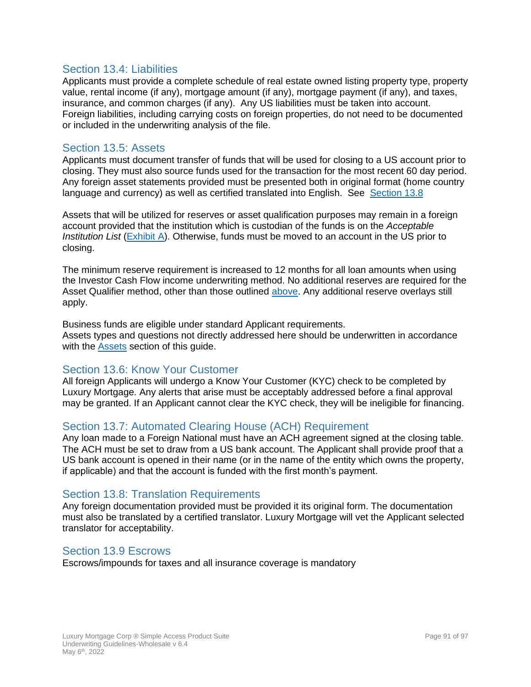#### Section 13.4: Liabilities

Applicants must provide a complete schedule of real estate owned listing property type, property value, rental income (if any), mortgage amount (if any), mortgage payment (if any), and taxes, insurance, and common charges (if any). Any US liabilities must be taken into account. Foreign liabilities, including carrying costs on foreign properties, do not need to be documented or included in the underwriting analysis of the file.

#### Section 13.5: Assets

Applicants must document transfer of funds that will be used for closing to a US account prior to closing. They must also source funds used for the transaction for the most recent 60 day period. Any foreign asset statements provided must be presented both in original format (home country language and currency) as well as certified translated into English. See [Section 13.8](#page-90-0)

Assets that will be utilized for reserves or asset qualification purposes may remain in a foreign account provided that the institution which is custodian of the funds is on the *Acceptable Institution List* [\(Exhibit A\)](file://///STAMSRV5/Home/LWinters/Starwood/Underwriting%20Guidelines/Retail/LMC%20Simple%20Access%20Underwriting%20Guidelines-Retail%20v%206.2.docx%23_Exhibit_A:_Acceptable). Otherwise, funds must be moved to an account in the US prior to closing.

The minimum reserve requirement is increased to 12 months for all loan amounts when using the Investor Cash Flow income underwriting method. No additional reserves are required for the Asset Qualifier method, other than those outlined [above.](file://///STAMSRV5/Home/LWinters/Starwood/Underwriting%20Guidelines/Retail/LMC%20Simple%20Access%20Underwriting%20Guidelines-Retail%20v%206.2.docx%23_Asset_Qualifier_1) Any additional reserve overlays still apply.

Business funds are eligible under standard Applicant requirements. Assets types and questions not directly addressed here should be underwritten in accordance with the [Assets](file://///STAMSRV5/Home/LWinters/Starwood/Underwriting%20Guidelines/Retail/LMC%20Simple%20Access%20Underwriting%20Guidelines-Retail%20v%206.2.docx%23_Chapter_6:_Assets) section of this guide.

#### Section 13.6: Know Your Customer

All foreign Applicants will undergo a Know Your Customer (KYC) check to be completed by Luxury Mortgage. Any alerts that arise must be acceptably addressed before a final approval may be granted. If an Applicant cannot clear the KYC check, they will be ineligible for financing.

#### Section 13.7: Automated Clearing House (ACH) Requirement

Any loan made to a Foreign National must have an ACH agreement signed at the closing table. The ACH must be set to draw from a US bank account. The Applicant shall provide proof that a US bank account is opened in their name (or in the name of the entity which owns the property, if applicable) and that the account is funded with the first month's payment.

#### <span id="page-90-0"></span>Section 13.8: Translation Requirements

Any foreign documentation provided must be provided it its original form. The documentation must also be translated by a certified translator. Luxury Mortgage will vet the Applicant selected translator for acceptability.

#### Section 13.9 Escrows

Escrows/impounds for taxes and all insurance coverage is mandatory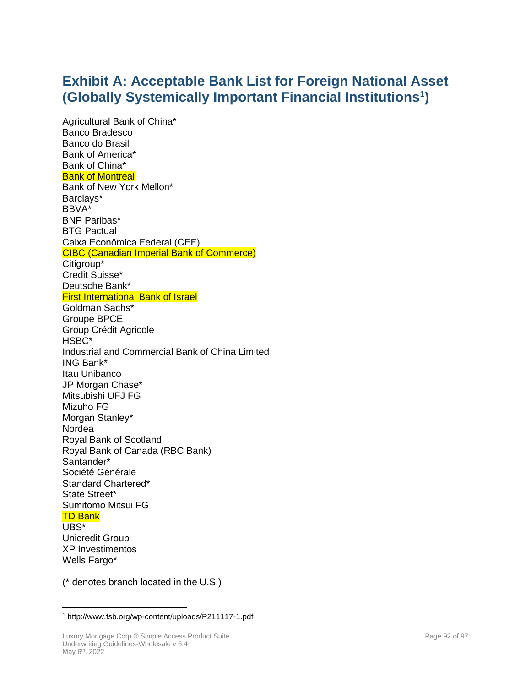### **Exhibit A: Acceptable Bank List for Foreign National Asset (Globally Systemically Important Financial Institutions<sup>1</sup> )**

Agricultural Bank of China\* Banco Bradesco Banco do Brasil Bank of America\* Bank of China\* Bank of Montreal Bank of New York Mellon\* Barclays\* BBVA\* BNP Paribas\* BTG Pactual Caixa Econômica Federal (CEF) CIBC (Canadian Imperial Bank of Commerce) Citigroup\* Credit Suisse\* Deutsche Bank\* First International Bank of Israel Goldman Sachs\* Groupe BPCE Group Crédit Agricole HSBC\* Industrial and Commercial Bank of China Limited ING Bank\* Itau Unibanco JP Morgan Chase\* Mitsubishi UFJ FG Mizuho FG Morgan Stanley\* Nordea Royal Bank of Scotland Royal Bank of Canada (RBC Bank) Santander\* Société Générale Standard Chartered\* State Street\* Sumitomo Mitsui FG TD Bank UBS\* Unicredit Group XP Investimentos Wells Fargo\*

(\* denotes branch located in the U.S.)

<sup>1</sup> http://www.fsb.org/wp-content/uploads/P211117-1.pdf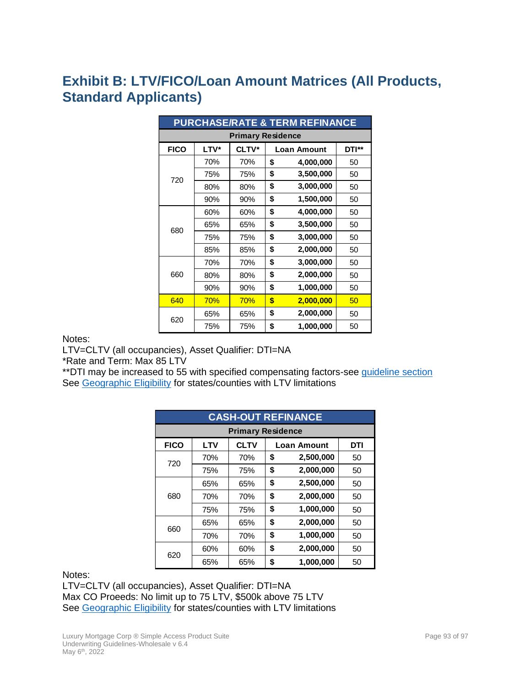## **Exhibit B: LTV/FICO/Loan Amount Matrices (All Products, Standard Applicants)**

| <b>PURCHASE/RATE &amp; TERM REFINANCE</b> |      |       |    |                             |    |  |
|-------------------------------------------|------|-------|----|-----------------------------|----|--|
| <b>Primary Residence</b>                  |      |       |    |                             |    |  |
| <b>FICO</b>                               | LTV* | CLTV* |    | DTI**<br><b>Loan Amount</b> |    |  |
|                                           | 70%  | 70%   | \$ | 4,000,000                   | 50 |  |
| 720                                       | 75%  | 75%   | \$ | 3,500,000                   | 50 |  |
|                                           | 80%  | 80%   | \$ | 3,000,000                   | 50 |  |
|                                           | 90%  | 90%   | \$ | 1,500,000                   | 50 |  |
|                                           | 60%  | 60%   | \$ | 4,000,000                   | 50 |  |
| 680                                       | 65%  | 65%   | \$ | 3,500,000                   | 50 |  |
|                                           | 75%  | 75%   | \$ | 3,000,000                   | 50 |  |
|                                           | 85%  | 85%   | \$ | 2,000,000                   | 50 |  |
|                                           | 70%  | 70%   | \$ | 3,000,000                   | 50 |  |
| 660                                       | 80%  | 80%   | \$ | 2,000,000                   | 50 |  |
|                                           | 90%  | 90%   | \$ | 1,000,000                   | 50 |  |
| 640                                       | 70%  | 70%   | \$ | 2,000,000                   | 50 |  |
| 620                                       | 65%  | 65%   | \$ | 2,000,000                   | 50 |  |
|                                           | 75%  | 75%   | \$ | 1,000,000                   | 50 |  |

Notes:

LTV=CLTV (all occupancies), Asset Qualifier: DTI=NA

\*Rate and Term: Max 85 LTV

\*\* DTI may be increased to 55 with specified compensating factors-see [guideline section](file://///STAMSRV5/Home/LWinters/Starwood/Underwriting%20Guidelines/Correspondent/LMC%20Simple%20Access%20Underwriting%20Guidelines-Correspondent%20v%206.2.docx%23_Qualifying_Ratios) See [Geographic Eligibility](#page-13-1) for states/counties with LTV limitations

| <b>CASH-OUT REFINANCE</b>                                             |                          |     |    |           |    |  |  |
|-----------------------------------------------------------------------|--------------------------|-----|----|-----------|----|--|--|
|                                                                       | <b>Primary Residence</b> |     |    |           |    |  |  |
| <b>FICO</b><br><b>CLTV</b><br><b>LTV</b><br>DTI<br><b>Loan Amount</b> |                          |     |    |           |    |  |  |
| 720                                                                   | 70%                      | 70% | \$ | 2,500,000 | 50 |  |  |
|                                                                       | 75%                      | 75% | \$ | 2,000,000 | 50 |  |  |
|                                                                       | 65%                      | 65% | \$ | 2,500,000 | 50 |  |  |
| 680                                                                   | 70%                      | 70% | \$ | 2,000,000 | 50 |  |  |
|                                                                       | 75%                      | 75% | \$ | 1,000,000 | 50 |  |  |
|                                                                       | 65%                      | 65% | \$ | 2,000,000 | 50 |  |  |
| 660                                                                   | 70%                      | 70% | \$ | 1,000,000 | 50 |  |  |
| 620                                                                   | 60%                      | 60% | \$ | 2,000,000 | 50 |  |  |
|                                                                       | 65%                      | 65% | \$ | 1,000,000 | 50 |  |  |

#### Notes:

LTV=CLTV (all occupancies), Asset Qualifier: DTI=NA Max CO Proeeds: No limit up to 75 LTV, \$500k above 75 LTV See [Geographic Eligibility](#page-13-1) for states/counties with LTV limitations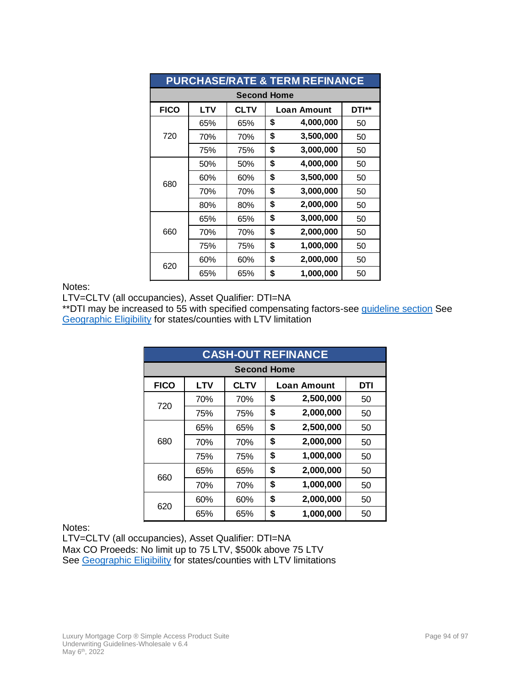| <b>PURCHASE/RATE &amp; TERM REFINANCE</b> |                    |                                            |    |           |    |  |  |
|-------------------------------------------|--------------------|--------------------------------------------|----|-----------|----|--|--|
|                                           | <b>Second Home</b> |                                            |    |           |    |  |  |
| <b>FICO</b>                               | <b>LTV</b>         | <b>CLTV</b><br>DTI**<br><b>Loan Amount</b> |    |           |    |  |  |
|                                           | 65%                | 65%                                        | \$ | 4,000,000 | 50 |  |  |
| 720                                       | 70%                | 70%                                        | \$ | 3,500,000 | 50 |  |  |
|                                           | 75%                | 75%                                        | \$ | 3,000,000 | 50 |  |  |
|                                           | 50%                | 50%                                        | \$ | 4,000,000 | 50 |  |  |
| 680                                       | 60%                | 60%                                        | \$ | 3,500,000 | 50 |  |  |
|                                           | 70%                | 70%                                        | \$ | 3,000,000 | 50 |  |  |
|                                           | 80%                | 80%                                        | \$ | 2,000,000 | 50 |  |  |
|                                           | 65%                | 65%                                        | \$ | 3,000,000 | 50 |  |  |
| 660                                       | 70%                | 70%                                        | \$ | 2,000,000 | 50 |  |  |
|                                           | 75%                | 75%                                        | \$ | 1,000,000 | 50 |  |  |
|                                           | 60%                | 60%                                        | \$ | 2,000,000 | 50 |  |  |
| 620                                       | 65%                | 65%                                        | \$ | 1,000,000 | 50 |  |  |

#### Notes:

LTV=CLTV (all occupancies), Asset Qualifier: DTI=NA

\*\*DTI may be increased to 55 with specified compensating factors-see [guideline section](file://///STAMSRV5/Home/LWinters/Starwood/Underwriting%20Guidelines/Correspondent/LMC%20Simple%20Access%20Underwriting%20Guidelines-Correspondent%20v%206.2.docx%23_Qualifying_Ratios) See [Geographic Eligibility](#page-13-1) for states/counties with LTV limitation

|             | <b>CASH-OUT REFINANCE</b>                                     |     |    |           |    |  |  |
|-------------|---------------------------------------------------------------|-----|----|-----------|----|--|--|
|             | <b>Second Home</b>                                            |     |    |           |    |  |  |
| <b>FICO</b> | <b>CLTV</b><br><b>LTV</b><br><b>DTI</b><br><b>Loan Amount</b> |     |    |           |    |  |  |
| 720         | 70%                                                           | 70% | \$ | 2,500,000 | 50 |  |  |
|             | 75%                                                           | 75% | \$ | 2,000,000 | 50 |  |  |
|             | 65%                                                           | 65% | \$ | 2,500,000 | 50 |  |  |
| 680         | 70%                                                           | 70% | \$ | 2,000,000 | 50 |  |  |
|             | 75%                                                           | 75% | \$ | 1,000,000 | 50 |  |  |
|             | 65%                                                           | 65% | \$ | 2,000,000 | 50 |  |  |
| 660         | 70%                                                           | 70% | \$ | 1,000,000 | 50 |  |  |
|             | 60%                                                           | 60% | \$ | 2,000,000 | 50 |  |  |
| 620         | 65%                                                           | 65% | \$ | 1,000,000 | 50 |  |  |

Notes:

LTV=CLTV (all occupancies), Asset Qualifier: DTI=NA Max CO Proeeds: No limit up to 75 LTV, \$500k above 75 LTV See [Geographic Eligibility](#page-13-1) for states/counties with LTV limitations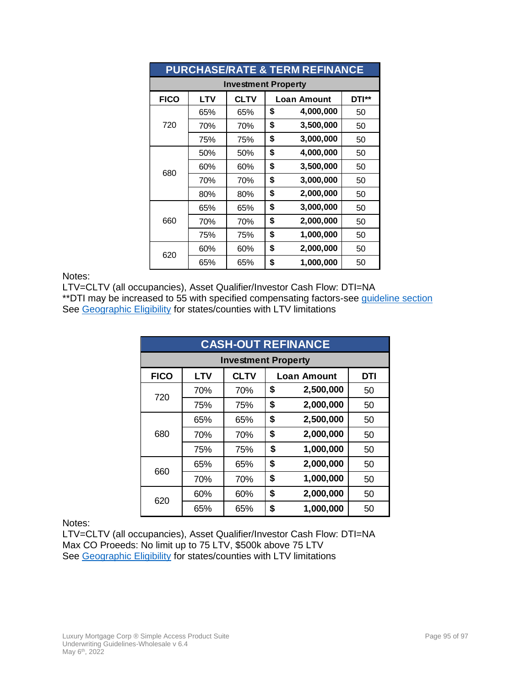| <b>PURCHASE/RATE &amp; TERM REFINANCE</b> |            |             |    |                             |    |  |  |
|-------------------------------------------|------------|-------------|----|-----------------------------|----|--|--|
| <b>Investment Property</b>                |            |             |    |                             |    |  |  |
| <b>FICO</b>                               | <b>LTV</b> | <b>CLTV</b> |    | DTI**<br><b>Loan Amount</b> |    |  |  |
|                                           | 65%        | 65%         | \$ | 4,000,000                   | 50 |  |  |
| 720                                       | 70%        | 70%         | \$ | 3,500,000                   | 50 |  |  |
|                                           | 75%        | 75%         | \$ | 3,000,000                   | 50 |  |  |
|                                           | 50%        | 50%         | \$ | 4,000,000                   | 50 |  |  |
| 680                                       | 60%        | 60%         | \$ | 3,500,000                   | 50 |  |  |
|                                           | 70%        | 70%         | \$ | 3,000,000                   | 50 |  |  |
|                                           | 80%        | 80%         | \$ | 2,000,000                   | 50 |  |  |
|                                           | 65%        | 65%         | \$ | 3,000,000                   | 50 |  |  |
| 660                                       | 70%        | 70%         | \$ | 2,000,000                   | 50 |  |  |
|                                           | 75%        | 75%         | \$ | 1,000,000                   | 50 |  |  |
|                                           | 60%        | 60%         | \$ | 2,000,000                   | 50 |  |  |
| 620                                       | 65%        | 65%         | \$ | 1,000,000                   | 50 |  |  |

#### Notes:

LTV=CLTV (all occupancies), Asset Qualifier/Investor Cash Flow: DTI=NA

\*\* DTI may be increased to 55 with specified compensating factors-see [guideline section](file://///STAMSRV5/Home/LWinters/Starwood/Underwriting%20Guidelines/Correspondent/LMC%20Simple%20Access%20Underwriting%20Guidelines-Correspondent%20v%206.2.docx%23_Qualifying_Ratios) See [Geographic Eligibility](#page-13-1) for states/counties with LTV limitations

| <b>CASH-OUT REFINANCE</b>  |            |             |    |                           |    |  |  |
|----------------------------|------------|-------------|----|---------------------------|----|--|--|
| <b>Investment Property</b> |            |             |    |                           |    |  |  |
| <b>FICO</b>                | <b>LTV</b> | <b>CLTV</b> |    | DTI<br><b>Loan Amount</b> |    |  |  |
| 720                        | 70%        | 70%         | \$ | 2,500,000                 | 50 |  |  |
|                            | 75%        | 75%         | \$ | 2,000,000                 | 50 |  |  |
| 680                        | 65%        | 65%         | \$ | 2,500,000                 | 50 |  |  |
|                            | 70%        | 70%         | \$ | 2,000,000                 | 50 |  |  |
|                            | 75%        | 75%         | \$ | 1,000,000                 | 50 |  |  |
| 660                        | 65%        | 65%         | \$ | 2,000,000                 | 50 |  |  |
|                            | 70%        | 70%         | \$ | 1,000,000                 | 50 |  |  |
| 620                        | 60%        | 60%         | \$ | 2,000,000                 | 50 |  |  |
|                            | 65%        | 65%         | \$ | 1,000,000                 | 50 |  |  |

#### Notes:

LTV=CLTV (all occupancies), Asset Qualifier/Investor Cash Flow: DTI=NA Max CO Proeeds: No limit up to 75 LTV, \$500k above 75 LTV See [Geographic Eligibility](#page-13-1) for states/counties with LTV limitations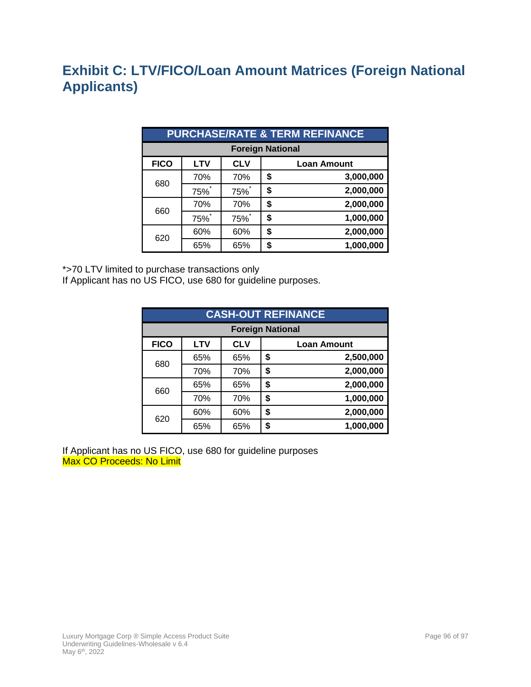## **Exhibit C: LTV/FICO/Loan Amount Matrices (Foreign National Applicants)**

| <b>PURCHASE/RATE &amp; TERM REFINANCE</b> |            |            |    |                    |  |
|-------------------------------------------|------------|------------|----|--------------------|--|
| <b>Foreign National</b>                   |            |            |    |                    |  |
| <b>FICO</b>                               | <b>LTV</b> | <b>CLV</b> |    | <b>Loan Amount</b> |  |
| 680                                       | 70%        | 70%        | \$ | 3,000,000          |  |
|                                           | 75%        | 75%        | \$ | 2,000,000          |  |
| 660                                       | 70%        | 70%        | \$ | 2,000,000          |  |
|                                           | 75%*       | <b>75%</b> | \$ | 1,000,000          |  |
| 620                                       | 60%        | 60%        | \$ | 2,000,000          |  |
|                                           | 65%        | 65%        |    | 1,000,000          |  |

\*>70 LTV limited to purchase transactions only

If Applicant has no US FICO, use 680 for guideline purposes.

| <b>CASH-OUT REFINANCE</b> |            |            |    |                    |  |
|---------------------------|------------|------------|----|--------------------|--|
| <b>Foreign National</b>   |            |            |    |                    |  |
| <b>FICO</b>               | <b>LTV</b> | <b>CLV</b> |    | <b>Loan Amount</b> |  |
| 680                       | 65%        | 65%        | \$ | 2,500,000          |  |
|                           | 70%        | 70%        | \$ | 2,000,000          |  |
| 660                       | 65%        | 65%        | \$ | 2,000,000          |  |
|                           | 70%        | 70%        | \$ | 1,000,000          |  |
| 620                       | 60%        | 60%        | \$ | 2,000,000          |  |
|                           | 65%        | 65%        | \$ | 1,000,000          |  |

If Applicant has no US FICO, use 680 for guideline purposes Max CO Proceeds: No Limit